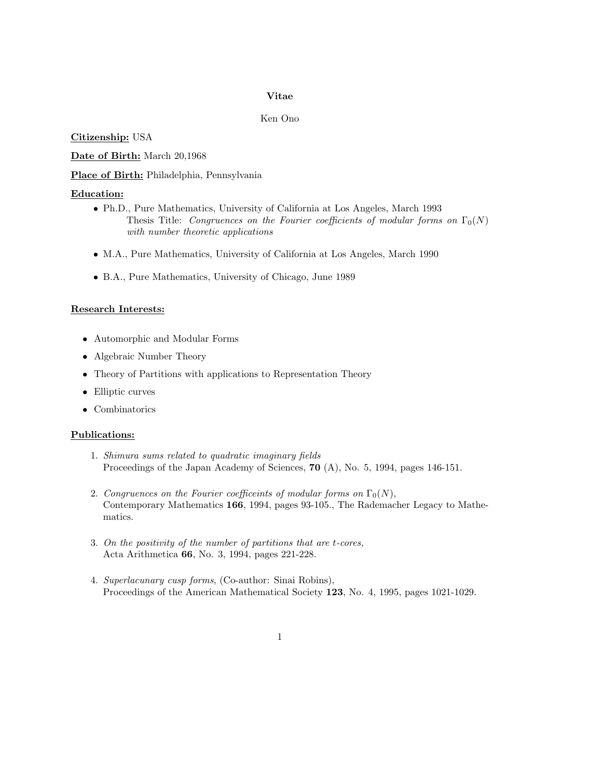## Vitae

## Ken Ono

Citizenship: USA

Date of Birth: March 20,1968

Place of Birth: Philadelphia, Pennsylvania

# Education:

- Ph.D., Pure Mathematics, University of California at Los Angeles, March 1993 Thesis Title: Congruences on the Fourier coefficients of modular forms on  $\Gamma_0(N)$ with number theoretic applications
- M.A., Pure Mathematics, University of California at Los Angeles, March 1990
- B.A., Pure Mathematics, University of Chicago, June 1989

## Research Interests:

- Automorphic and Modular Forms
- Algebraic Number Theory
- Theory of Partitions with applications to Representation Theory
- Elliptic curves
- Combinatorics

#### Publications:

- 1. Shimura sums related to quadratic imaginary fields Proceedings of the Japan Academy of Sciences, 70 (A), No. 5, 1994, pages 146-151.
- 2. Congruences on the Fourier coefficeints of modular forms on  $\Gamma_0(N)$ , Contemporary Mathematics 166, 1994, pages 93-105., The Rademacher Legacy to Mathematics.
- 3. On the positivity of the number of partitions that are t-cores, Acta Arithmetica 66, No. 3, 1994, pages 221-228.
- 4. Superlacunary cusp forms, (Co-author: Sinai Robins), Proceedings of the American Mathematical Society 123, No. 4, 1995, pages 1021-1029.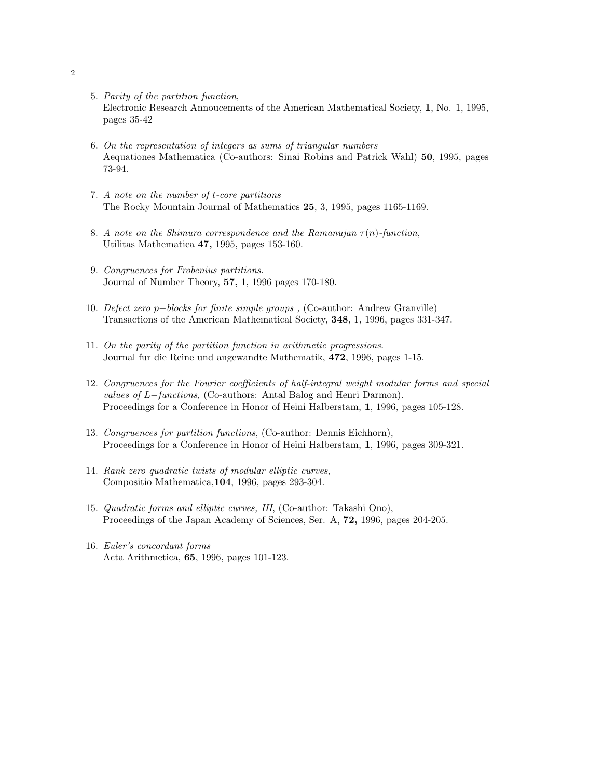- 5. Parity of the partition function, Electronic Research Annoucements of the American Mathematical Society, 1, No. 1, 1995, pages 35-42
- 6. On the representation of integers as sums of triangular numbers Aequationes Mathematica (Co-authors: Sinai Robins and Patrick Wahl) 50, 1995, pages 73-94.
- 7. A note on the number of t-core partitions The Rocky Mountain Journal of Mathematics 25, 3, 1995, pages 1165-1169.
- 8. A note on the Shimura correspondence and the Ramanujan  $\tau(n)$ -function, Utilitas Mathematica 47, 1995, pages 153-160.
- 9. Congruences for Frobenius partitions. Journal of Number Theory, 57, 1, 1996 pages 170-180.
- 10. Defect zero p−blocks for finite simple groups , (Co-author: Andrew Granville) Transactions of the American Mathematical Society, 348, 1, 1996, pages 331-347.
- 11. On the parity of the partition function in arithmetic progressions. Journal fur die Reine und angewandte Mathematik, 472, 1996, pages 1-15.
- 12. Congruences for the Fourier coefficients of half-integral weight modular forms and special values of L−functions, (Co-authors: Antal Balog and Henri Darmon). Proceedings for a Conference in Honor of Heini Halberstam, 1, 1996, pages 105-128.
- 13. Congruences for partition functions, (Co-author: Dennis Eichhorn), Proceedings for a Conference in Honor of Heini Halberstam, 1, 1996, pages 309-321.
- 14. Rank zero quadratic twists of modular elliptic curves, Compositio Mathematica,104, 1996, pages 293-304.
- 15. Quadratic forms and elliptic curves, III, (Co-author: Takashi Ono), Proceedings of the Japan Academy of Sciences, Ser. A, 72, 1996, pages 204-205.
- 16. Euler's concordant forms Acta Arithmetica, 65, 1996, pages 101-123.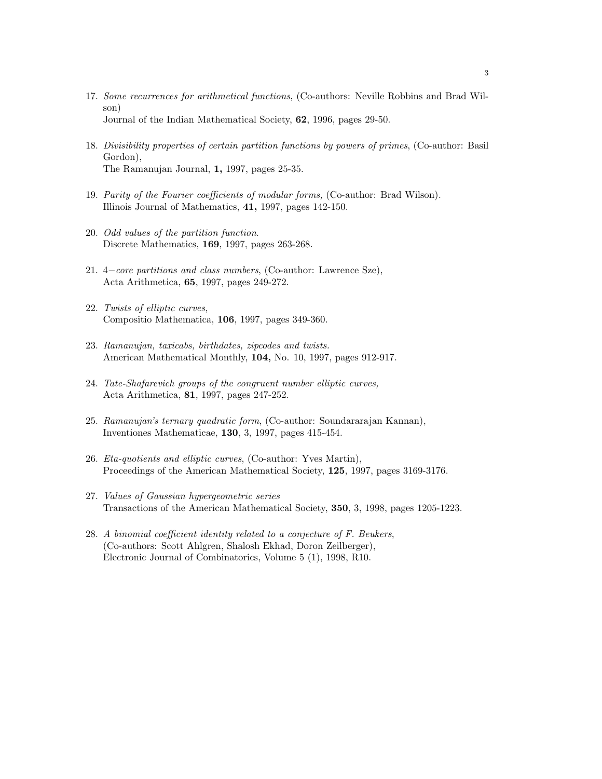- 17. Some recurrences for arithmetical functions, (Co-authors: Neville Robbins and Brad Wilson) Journal of the Indian Mathematical Society, 62, 1996, pages 29-50.
- 18. Divisibility properties of certain partition functions by powers of primes, (Co-author: Basil Gordon), The Ramanujan Journal, 1, 1997, pages 25-35.
- 19. Parity of the Fourier coefficients of modular forms, (Co-author: Brad Wilson). Illinois Journal of Mathematics, 41, 1997, pages 142-150.
- 20. Odd values of the partition function. Discrete Mathematics, 169, 1997, pages 263-268.
- 21. 4−core partitions and class numbers, (Co-author: Lawrence Sze), Acta Arithmetica, 65, 1997, pages 249-272.
- 22. Twists of elliptic curves, Compositio Mathematica, 106, 1997, pages 349-360.
- 23. Ramanujan, taxicabs, birthdates, zipcodes and twists. American Mathematical Monthly, 104, No. 10, 1997, pages 912-917.
- 24. Tate-Shafarevich groups of the congruent number elliptic curves, Acta Arithmetica, 81, 1997, pages 247-252.
- 25. Ramanujan's ternary quadratic form, (Co-author: Soundararajan Kannan), Inventiones Mathematicae, 130, 3, 1997, pages 415-454.
- 26. Eta-quotients and elliptic curves, (Co-author: Yves Martin), Proceedings of the American Mathematical Society, 125, 1997, pages 3169-3176.
- 27. Values of Gaussian hypergeometric series Transactions of the American Mathematical Society, 350, 3, 1998, pages 1205-1223.
- 28. A binomial coefficient identity related to a conjecture of F. Beukers, (Co-authors: Scott Ahlgren, Shalosh Ekhad, Doron Zeilberger), Electronic Journal of Combinatorics, Volume 5 (1), 1998, R10.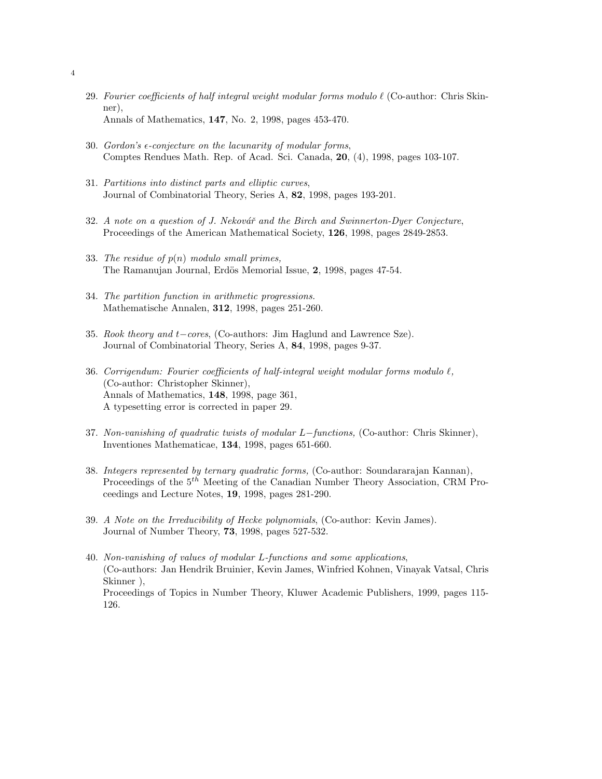- 29. Fourier coefficients of half integral weight modular forms modulo  $\ell$  (Co-author: Chris Skinner), Annals of Mathematics, 147, No. 2, 1998, pages 453-470.
- 30. Gordon's  $\epsilon$ -conjecture on the lacunarity of modular forms, Comptes Rendues Math. Rep. of Acad. Sci. Canada, 20, (4), 1998, pages 103-107.
- 31. Partitions into distinct parts and elliptic curves, Journal of Combinatorial Theory, Series A, 82, 1998, pages 193-201.
- $32.$  A note on a question of J. Nekovář and the Birch and Swinnerton-Dyer Conjecture, Proceedings of the American Mathematical Society, 126, 1998, pages 2849-2853.
- 33. The residue of  $p(n)$  modulo small primes, The Ramanujan Journal, Erdös Memorial Issue, 2, 1998, pages 47-54.
- 34. The partition function in arithmetic progressions. Mathematische Annalen, 312, 1998, pages 251-260.
- 35. Rook theory and t−cores, (Co-authors: Jim Haglund and Lawrence Sze). Journal of Combinatorial Theory, Series A, 84, 1998, pages 9-37.
- 36. Corrigendum: Fourier coefficients of half-integral weight modular forms modulo  $\ell$ , (Co-author: Christopher Skinner), Annals of Mathematics, 148, 1998, page 361, A typesetting error is corrected in paper 29.
- 37. Non-vanishing of quadratic twists of modular L−functions, (Co-author: Chris Skinner), Inventiones Mathematicae, 134, 1998, pages 651-660.
- 38. Integers represented by ternary quadratic forms, (Co-author: Soundararajan Kannan), Proceedings of the  $5<sup>th</sup>$  Meeting of the Canadian Number Theory Association, CRM Proceedings and Lecture Notes, 19, 1998, pages 281-290.
- 39. A Note on the Irreducibility of Hecke polynomials, (Co-author: Kevin James). Journal of Number Theory, 73, 1998, pages 527-532.
- 40. Non-vanishing of values of modular L-functions and some applications, (Co-authors: Jan Hendrik Bruinier, Kevin James, Winfried Kohnen, Vinayak Vatsal, Chris Skinner ), Proceedings of Topics in Number Theory, Kluwer Academic Publishers, 1999, pages 115- 126.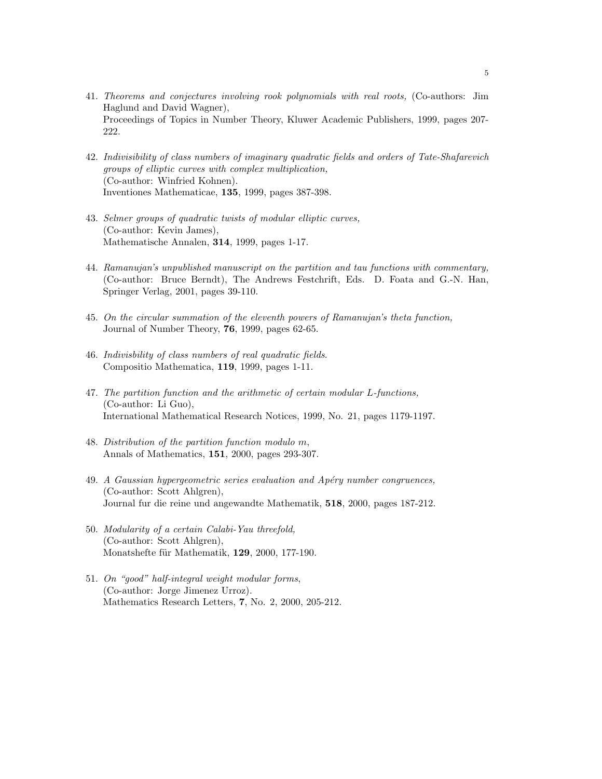- 41. Theorems and conjectures involving rook polynomials with real roots, (Co-authors: Jim Haglund and David Wagner), Proceedings of Topics in Number Theory, Kluwer Academic Publishers, 1999, pages 207- 222.
- 42. Indivisibility of class numbers of imaginary quadratic fields and orders of Tate-Shafarevich groups of elliptic curves with complex multiplication, (Co-author: Winfried Kohnen). Inventiones Mathematicae, 135, 1999, pages 387-398.
- 43. Selmer groups of quadratic twists of modular elliptic curves, (Co-author: Kevin James), Mathematische Annalen, 314, 1999, pages 1-17.
- 44. Ramanujan's unpublished manuscript on the partition and tau functions with commentary, (Co-author: Bruce Berndt), The Andrews Festchrift, Eds. D. Foata and G.-N. Han, Springer Verlag, 2001, pages 39-110.
- 45. On the circular summation of the eleventh powers of Ramanujan's theta function, Journal of Number Theory, 76, 1999, pages 62-65.
- 46. Indivisbility of class numbers of real quadratic fields. Compositio Mathematica, 119, 1999, pages 1-11.
- 47. The partition function and the arithmetic of certain modular L-functions, (Co-author: Li Guo), International Mathematical Research Notices, 1999, No. 21, pages 1179-1197.
- 48. Distribution of the partition function modulo m, Annals of Mathematics, 151, 2000, pages 293-307.
- 49. A Gaussian hypergeometric series evaluation and Apéry number congruences, (Co-author: Scott Ahlgren), Journal fur die reine und angewandte Mathematik, 518, 2000, pages 187-212.
- 50. Modularity of a certain Calabi-Yau threefold, (Co-author: Scott Ahlgren), Monatshefte für Mathematik, 129, 2000, 177-190.
- 51. On "good" half-integral weight modular forms, (Co-author: Jorge Jimenez Urroz). Mathematics Research Letters, 7, No. 2, 2000, 205-212.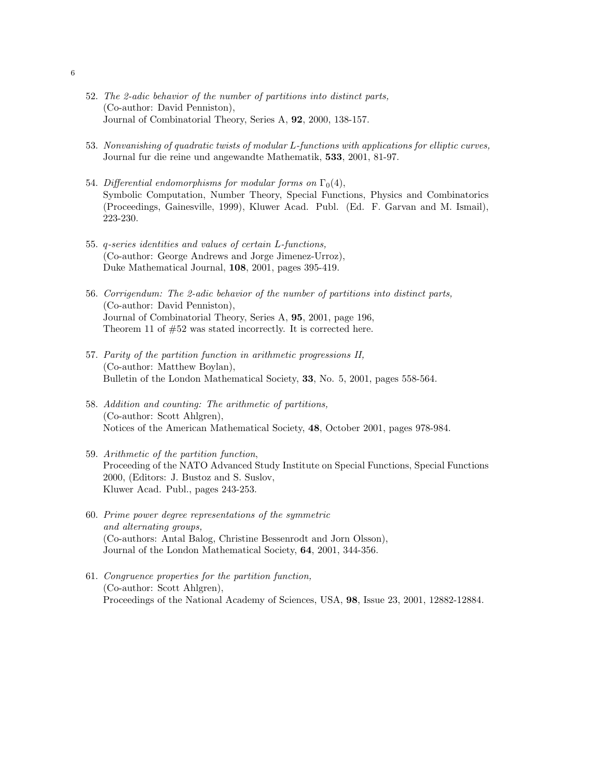- 52. The 2-adic behavior of the number of partitions into distinct parts, (Co-author: David Penniston), Journal of Combinatorial Theory, Series A, 92, 2000, 138-157.
- 53. Nonvanishing of quadratic twists of modular L-functions with applications for elliptic curves, Journal fur die reine und angewandte Mathematik, 533, 2001, 81-97.
- 54. Differential endomorphisms for modular forms on  $\Gamma_0(4)$ , Symbolic Computation, Number Theory, Special Functions, Physics and Combinatorics (Proceedings, Gainesville, 1999), Kluwer Acad. Publ. (Ed. F. Garvan and M. Ismail), 223-230.
- 55. q-series identities and values of certain L-functions, (Co-author: George Andrews and Jorge Jimenez-Urroz), Duke Mathematical Journal, 108, 2001, pages 395-419.
- 56. Corrigendum: The 2-adic behavior of the number of partitions into distinct parts, (Co-author: David Penniston), Journal of Combinatorial Theory, Series A, 95, 2001, page 196, Theorem 11 of #52 was stated incorrectly. It is corrected here.
- 57. Parity of the partition function in arithmetic progressions II, (Co-author: Matthew Boylan), Bulletin of the London Mathematical Society, 33, No. 5, 2001, pages 558-564.
- 58. Addition and counting: The arithmetic of partitions, (Co-author: Scott Ahlgren), Notices of the American Mathematical Society, 48, October 2001, pages 978-984.
- 59. Arithmetic of the partition function, Proceeding of the NATO Advanced Study Institute on Special Functions, Special Functions 2000, (Editors: J. Bustoz and S. Suslov, Kluwer Acad. Publ., pages 243-253.
- 60. Prime power degree representations of the symmetric and alternating groups, (Co-authors: Antal Balog, Christine Bessenrodt and Jorn Olsson), Journal of the London Mathematical Society, 64, 2001, 344-356.
- 61. Congruence properties for the partition function, (Co-author: Scott Ahlgren), Proceedings of the National Academy of Sciences, USA, 98, Issue 23, 2001, 12882-12884.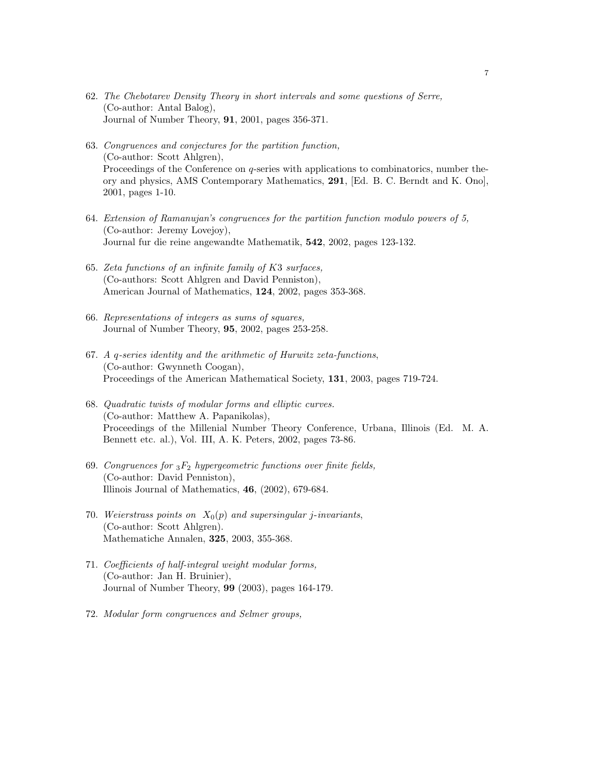- 62. The Chebotarev Density Theory in short intervals and some questions of Serre, (Co-author: Antal Balog), Journal of Number Theory, 91, 2001, pages 356-371.
- 63. Congruences and conjectures for the partition function, (Co-author: Scott Ahlgren), Proceedings of the Conference on q-series with applications to combinatorics, number theory and physics, AMS Contemporary Mathematics, 291, [Ed. B. C. Berndt and K. Ono], 2001, pages 1-10.
- 64. Extension of Ramanujan's congruences for the partition function modulo powers of 5, (Co-author: Jeremy Lovejoy), Journal fur die reine angewandte Mathematik, 542, 2002, pages 123-132.
- 65. Zeta functions of an infinite family of K3 surfaces, (Co-authors: Scott Ahlgren and David Penniston), American Journal of Mathematics, 124, 2002, pages 353-368.
- 66. Representations of integers as sums of squares, Journal of Number Theory, 95, 2002, pages 253-258.
- 67. A q-series identity and the arithmetic of Hurwitz zeta-functions, (Co-author: Gwynneth Coogan), Proceedings of the American Mathematical Society, 131, 2003, pages 719-724.
- 68. Quadratic twists of modular forms and elliptic curves. (Co-author: Matthew A. Papanikolas), Proceedings of the Millenial Number Theory Conference, Urbana, Illinois (Ed. M. A. Bennett etc. al.), Vol. III, A. K. Peters, 2002, pages 73-86.
- 69. Congruences for  ${}_{3}F_{2}$  hypergeometric functions over finite fields, (Co-author: David Penniston), Illinois Journal of Mathematics, 46, (2002), 679-684.
- 70. Weierstrass points on  $X_0(p)$  and supersingular j-invariants, (Co-author: Scott Ahlgren). Mathematiche Annalen, 325, 2003, 355-368.
- 71. Coefficients of half-integral weight modular forms, (Co-author: Jan H. Bruinier), Journal of Number Theory, 99 (2003), pages 164-179.
- 72. Modular form congruences and Selmer groups,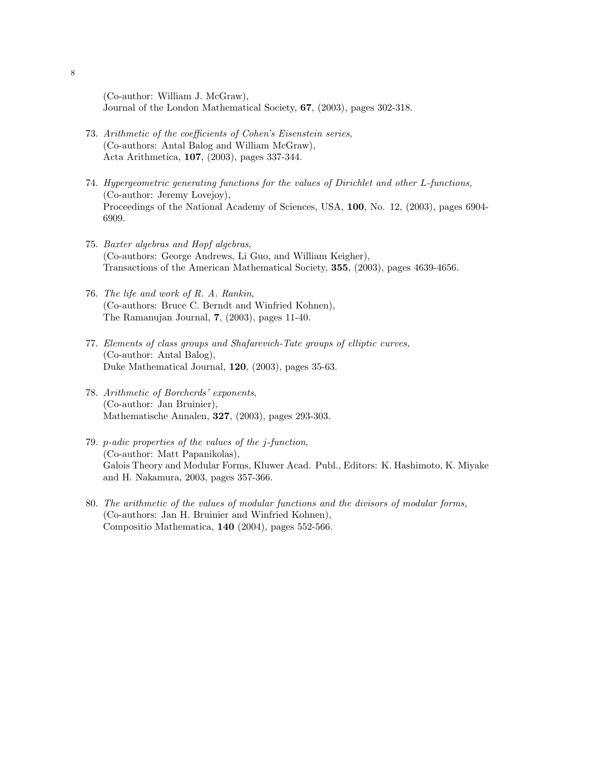(Co-author: William J. McGraw), Journal of the London Mathematical Society, 67, (2003), pages 302-318.

- 73. Arithmetic of the coefficients of Cohen's Eisenstein series, (Co-authors: Antal Balog and William McGraw), Acta Arithmetica, 107, (2003), pages 337-344.
- 74. Hypergeometric generating functions for the values of Dirichlet and other L-functions, (Co-author: Jeremy Lovejoy), Proceedings of the National Academy of Sciences, USA, 100, No. 12, (2003), pages 6904- 6909.
- 75. Baxter algebras and Hopf algebras, (Co-authors: George Andrews, Li Guo, and William Keigher), Transactions of the American Mathematical Society, 355, (2003), pages 4639-4656.
- 76. The life and work of R. A. Rankin, (Co-authors: Bruce C. Berndt and Winfried Kohnen), The Ramanujan Journal, 7, (2003), pages 11-40.
- 77. Elements of class groups and Shafarevich-Tate groups of elliptic curves, (Co-author: Antal Balog), Duke Mathematical Journal, 120, (2003), pages 35-63.
- 78. Arithmetic of Borcherds' exponents, (Co-author: Jan Bruinier), Mathematische Annalen, 327, (2003), pages 293-303.
- 79. p-adic properties of the values of the j-function, (Co-author: Matt Papanikolas), Galois Theory and Modular Forms, Kluwer Acad. Publ., Editors: K. Hashimoto, K. Miyake and H. Nakamura, 2003, pages 357-366.
- 80. The arithmetic of the values of modular functions and the divisors of modular forms, (Co-authors: Jan H. Bruinier and Winfried Kohnen), Compositio Mathematica, 140 (2004), pages 552-566.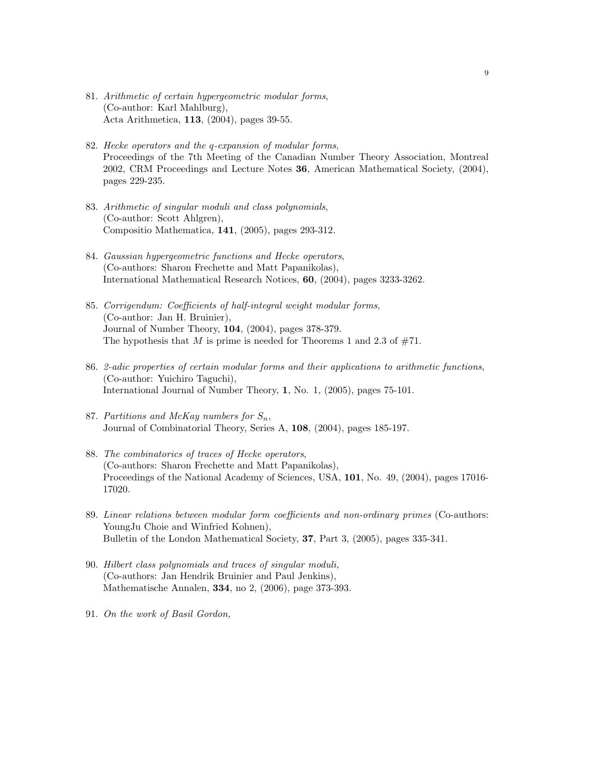- 81. Arithmetic of certain hypergeometric modular forms, (Co-author: Karl Mahlburg), Acta Arithmetica, 113, (2004), pages 39-55.
- 82. Hecke operators and the q-expansion of modular forms, Proceedings of the 7th Meeting of the Canadian Number Theory Association, Montreal 2002, CRM Proceedings and Lecture Notes 36, American Mathematical Society, (2004), pages 229-235.
- 83. Arithmetic of singular moduli and class polynomials, (Co-author: Scott Ahlgren), Compositio Mathematica, 141, (2005), pages 293-312.
- 84. Gaussian hypergeometric functions and Hecke operators, (Co-authors: Sharon Frechette and Matt Papanikolas), International Mathematical Research Notices, 60, (2004), pages 3233-3262.
- 85. Corrigendum: Coefficients of half-integral weight modular forms, (Co-author: Jan H. Bruinier), Journal of Number Theory, 104, (2004), pages 378-379. The hypothesis that M is prime is needed for Theorems 1 and 2.3 of  $#71$ .
- 86. 2-adic properties of certain modular forms and their applications to arithmetic functions, (Co-author: Yuichiro Taguchi), International Journal of Number Theory, 1, No. 1, (2005), pages 75-101.
- 87. Partitions and McKay numbers for  $S_n$ , Journal of Combinatorial Theory, Series A, 108, (2004), pages 185-197.
- 88. The combinatorics of traces of Hecke operators, (Co-authors: Sharon Frechette and Matt Papanikolas), Proceedings of the National Academy of Sciences, USA, 101, No. 49, (2004), pages 17016- 17020.
- 89. Linear relations between modular form coefficients and non-ordinary primes (Co-authors: YoungJu Choie and Winfried Kohnen), Bulletin of the London Mathematical Society, 37, Part 3, (2005), pages 335-341.
- 90. Hilbert class polynomials and traces of singular moduli, (Co-authors: Jan Hendrik Bruinier and Paul Jenkins), Mathematische Annalen, 334, no 2, (2006), page 373-393.
- 91. On the work of Basil Gordon,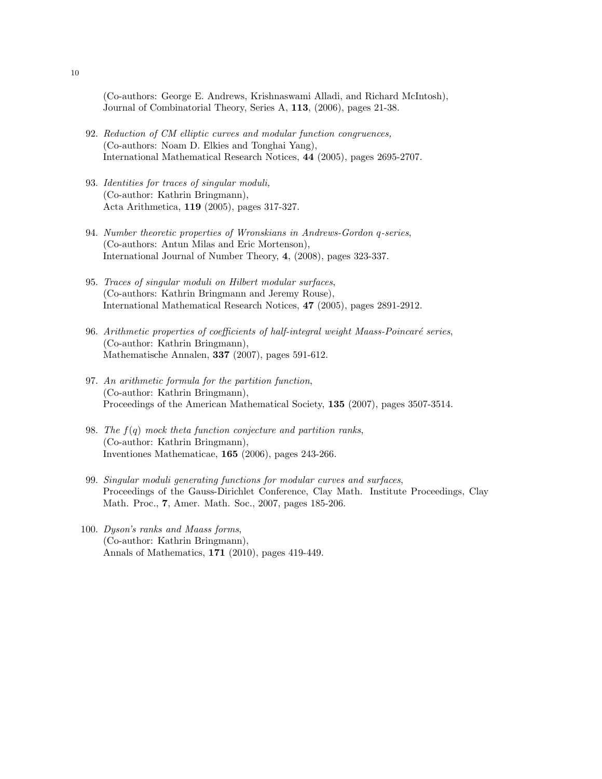(Co-authors: George E. Andrews, Krishnaswami Alladi, and Richard McIntosh), Journal of Combinatorial Theory, Series A, 113, (2006), pages 21-38.

- 92. Reduction of CM elliptic curves and modular function congruences, (Co-authors: Noam D. Elkies and Tonghai Yang), International Mathematical Research Notices, 44 (2005), pages 2695-2707.
- 93. Identities for traces of singular moduli, (Co-author: Kathrin Bringmann), Acta Arithmetica, 119 (2005), pages 317-327.
- 94. Number theoretic properties of Wronskians in Andrews-Gordon q-series, (Co-authors: Antun Milas and Eric Mortenson), International Journal of Number Theory, 4, (2008), pages 323-337.
- 95. Traces of singular moduli on Hilbert modular surfaces, (Co-authors: Kathrin Bringmann and Jeremy Rouse), International Mathematical Research Notices, 47 (2005), pages 2891-2912.
- 96. Arithmetic properties of coefficients of half-integral weight Maass-Poincaré series, (Co-author: Kathrin Bringmann), Mathematische Annalen, 337 (2007), pages 591-612.
- 97. An arithmetic formula for the partition function, (Co-author: Kathrin Bringmann), Proceedings of the American Mathematical Society, 135 (2007), pages 3507-3514.
- 98. The  $f(q)$  mock theta function conjecture and partition ranks, (Co-author: Kathrin Bringmann), Inventiones Mathematicae, 165 (2006), pages 243-266.
- 99. Singular moduli generating functions for modular curves and surfaces, Proceedings of the Gauss-Dirichlet Conference, Clay Math. Institute Proceedings, Clay Math. Proc., 7, Amer. Math. Soc., 2007, pages 185-206.
- 100. Dyson's ranks and Maass forms, (Co-author: Kathrin Bringmann), Annals of Mathematics, 171 (2010), pages 419-449.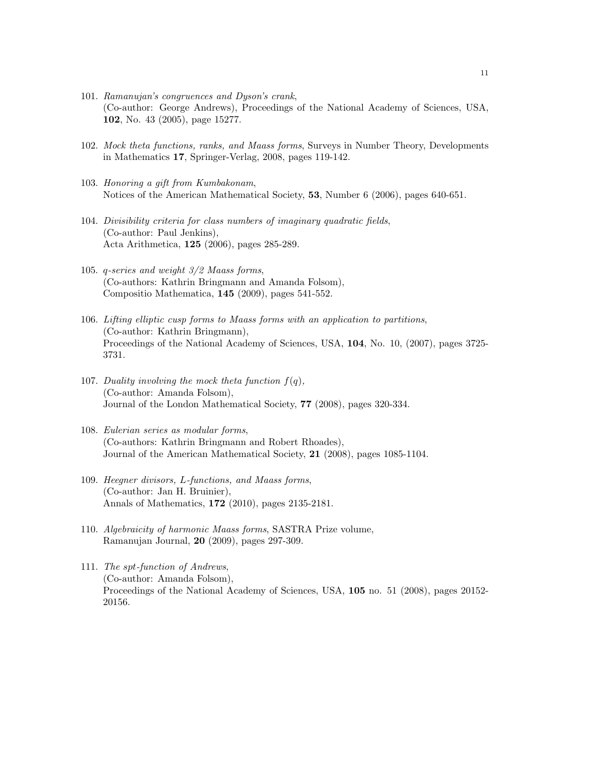- 101. Ramanujan's congruences and Dyson's crank, (Co-author: George Andrews), Proceedings of the National Academy of Sciences, USA, 102, No. 43 (2005), page 15277.
- 102. Mock theta functions, ranks, and Maass forms, Surveys in Number Theory, Developments in Mathematics 17, Springer-Verlag, 2008, pages 119-142.
- 103. Honoring a gift from Kumbakonam, Notices of the American Mathematical Society, 53, Number 6 (2006), pages 640-651.
- 104. Divisibility criteria for class numbers of imaginary quadratic fields, (Co-author: Paul Jenkins), Acta Arithmetica, 125 (2006), pages 285-289.
- 105. q-series and weight 3/2 Maass forms, (Co-authors: Kathrin Bringmann and Amanda Folsom), Compositio Mathematica, 145 (2009), pages 541-552.
- 106. Lifting elliptic cusp forms to Maass forms with an application to partitions, (Co-author: Kathrin Bringmann), Proceedings of the National Academy of Sciences, USA, 104, No. 10, (2007), pages 3725- 3731.
- 107. Duality involving the mock theta function  $f(q)$ , (Co-author: Amanda Folsom), Journal of the London Mathematical Society, 77 (2008), pages 320-334.
- 108. Eulerian series as modular forms, (Co-authors: Kathrin Bringmann and Robert Rhoades), Journal of the American Mathematical Society, 21 (2008), pages 1085-1104.
- 109. Heegner divisors, L-functions, and Maass forms, (Co-author: Jan H. Bruinier), Annals of Mathematics, 172 (2010), pages 2135-2181.
- 110. Algebraicity of harmonic Maass forms, SASTRA Prize volume, Ramanujan Journal, 20 (2009), pages 297-309.
- 111. The spt-function of Andrews, (Co-author: Amanda Folsom), Proceedings of the National Academy of Sciences, USA, 105 no. 51 (2008), pages 20152- 20156.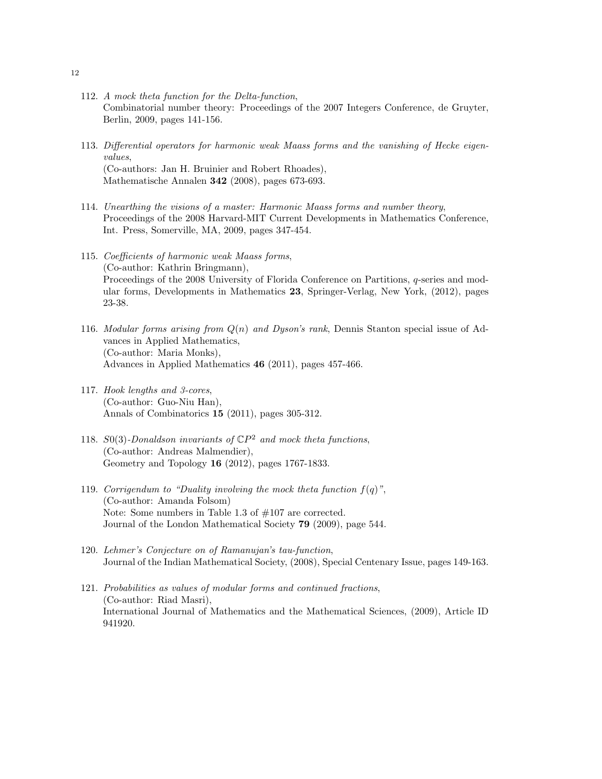- 112. A mock theta function for the Delta-function, Combinatorial number theory: Proceedings of the 2007 Integers Conference, de Gruyter, Berlin, 2009, pages 141-156.
- 113. Differential operators for harmonic weak Maass forms and the vanishing of Hecke eigenvalues, (Co-authors: Jan H. Bruinier and Robert Rhoades), Mathematische Annalen 342 (2008), pages 673-693.
- 114. Unearthing the visions of a master: Harmonic Maass forms and number theory, Proceedings of the 2008 Harvard-MIT Current Developments in Mathematics Conference, Int. Press, Somerville, MA, 2009, pages 347-454.
- 115. Coefficients of harmonic weak Maass forms, (Co-author: Kathrin Bringmann), Proceedings of the 2008 University of Florida Conference on Partitions, q-series and modular forms, Developments in Mathematics 23, Springer-Verlag, New York, (2012), pages 23-38.
- 116. Modular forms arising from  $Q(n)$  and Dyson's rank, Dennis Stanton special issue of Advances in Applied Mathematics, (Co-author: Maria Monks), Advances in Applied Mathematics 46 (2011), pages 457-466.
- 117. Hook lengths and 3-cores, (Co-author: Guo-Niu Han), Annals of Combinatorics 15 (2011), pages 305-312.
- 118. S0(3)-Donaldson invariants of  $\mathbb{C}P^2$  and mock theta functions, (Co-author: Andreas Malmendier), Geometry and Topology 16 (2012), pages 1767-1833.
- 119. Corrigendum to "Duality involving the mock theta function  $f(q)$ ", (Co-author: Amanda Folsom) Note: Some numbers in Table 1.3 of #107 are corrected. Journal of the London Mathematical Society 79 (2009), page 544.
- 120. Lehmer's Conjecture on of Ramanujan's tau-function, Journal of the Indian Mathematical Society, (2008), Special Centenary Issue, pages 149-163.
- 121. Probabilities as values of modular forms and continued fractions, (Co-author: Riad Masri), International Journal of Mathematics and the Mathematical Sciences, (2009), Article ID 941920.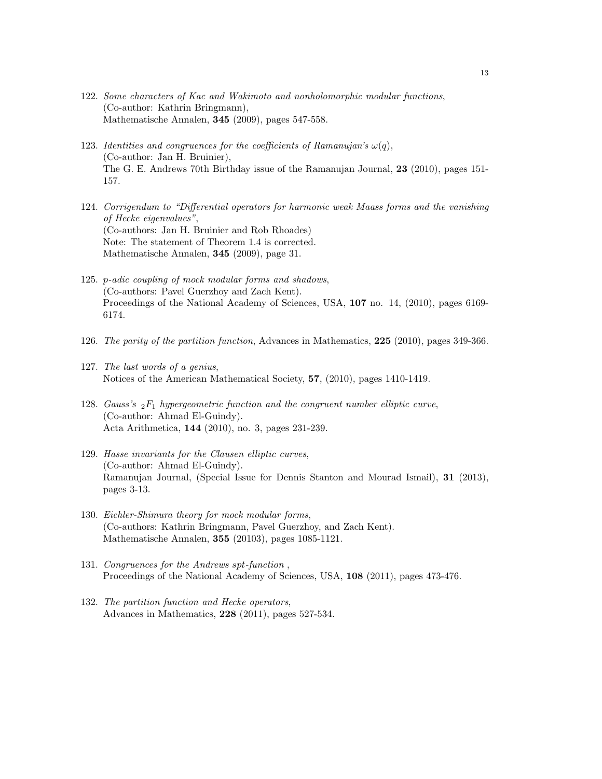- 122. Some characters of Kac and Wakimoto and nonholomorphic modular functions, (Co-author: Kathrin Bringmann), Mathematische Annalen, 345 (2009), pages 547-558.
- 123. Identities and congruences for the coefficients of Ramanujan's  $\omega(q)$ , (Co-author: Jan H. Bruinier), The G. E. Andrews 70th Birthday issue of the Ramanujan Journal, 23 (2010), pages 151- 157.
- 124. Corrigendum to "Differential operators for harmonic weak Maass forms and the vanishing of Hecke eigenvalues", (Co-authors: Jan H. Bruinier and Rob Rhoades) Note: The statement of Theorem 1.4 is corrected. Mathematische Annalen, 345 (2009), page 31.
- 125. p-adic coupling of mock modular forms and shadows, (Co-authors: Pavel Guerzhoy and Zach Kent). Proceedings of the National Academy of Sciences, USA, 107 no. 14, (2010), pages 6169- 6174.
- 126. The parity of the partition function, Advances in Mathematics, 225 (2010), pages 349-366.
- 127. The last words of a genius, Notices of the American Mathematical Society, 57, (2010), pages 1410-1419.
- 128. Gauss's  $_2F_1$  hypergeometric function and the congruent number elliptic curve, (Co-author: Ahmad El-Guindy). Acta Arithmetica, 144 (2010), no. 3, pages 231-239.
- 129. Hasse invariants for the Clausen elliptic curves, (Co-author: Ahmad El-Guindy). Ramanujan Journal, (Special Issue for Dennis Stanton and Mourad Ismail), 31 (2013), pages 3-13.
- 130. Eichler-Shimura theory for mock modular forms, (Co-authors: Kathrin Bringmann, Pavel Guerzhoy, and Zach Kent). Mathematische Annalen, 355 (20103), pages 1085-1121.
- 131. Congruences for the Andrews spt-function , Proceedings of the National Academy of Sciences, USA, 108 (2011), pages 473-476.
- 132. The partition function and Hecke operators, Advances in Mathematics, 228 (2011), pages 527-534.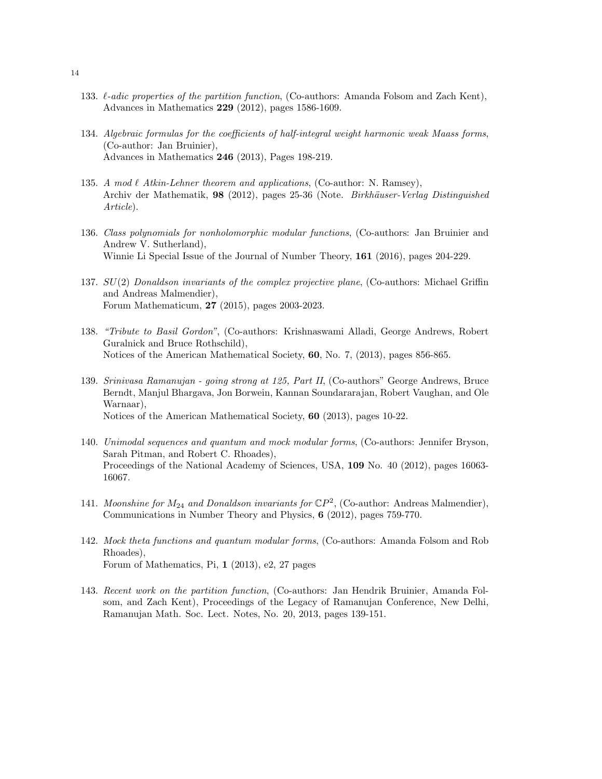- 133.  $\ell$ -adic properties of the partition function, (Co-authors: Amanda Folsom and Zach Kent), Advances in Mathematics 229 (2012), pages 1586-1609.
- 134. Algebraic formulas for the coefficients of half-integral weight harmonic weak Maass forms, (Co-author: Jan Bruinier), Advances in Mathematics 246 (2013), Pages 198-219.
- 135. A mod  $\ell$  Atkin-Lehner theorem and applications, (Co-author: N. Ramsey), Archiv der Mathematik, 98 (2012), pages 25-36 (Note. Birkhäuser-Verlag Distinguished Article).
- 136. Class polynomials for nonholomorphic modular functions, (Co-authors: Jan Bruinier and Andrew V. Sutherland), Winnie Li Special Issue of the Journal of Number Theory, 161 (2016), pages 204-229.
- 137. SU(2) Donaldson invariants of the complex projective plane, (Co-authors: Michael Griffin and Andreas Malmendier), Forum Mathematicum, 27 (2015), pages 2003-2023.
- 138. "Tribute to Basil Gordon", (Co-authors: Krishnaswami Alladi, George Andrews, Robert Guralnick and Bruce Rothschild), Notices of the American Mathematical Society, 60, No. 7, (2013), pages 856-865.
- 139. Srinivasa Ramanujan going strong at 125, Part II, (Co-authors" George Andrews, Bruce Berndt, Manjul Bhargava, Jon Borwein, Kannan Soundararajan, Robert Vaughan, and Ole Warnaar), Notices of the American Mathematical Society, 60 (2013), pages 10-22.
- 140. Unimodal sequences and quantum and mock modular forms, (Co-authors: Jennifer Bryson, Sarah Pitman, and Robert C. Rhoades), Proceedings of the National Academy of Sciences, USA, 109 No. 40 (2012), pages 16063- 16067.
- 141. Moonshine for  $M_{24}$  and Donaldson invariants for  $\mathbb{C}P^2$ , (Co-author: Andreas Malmendier), Communications in Number Theory and Physics, 6 (2012), pages 759-770.
- 142. Mock theta functions and quantum modular forms, (Co-authors: Amanda Folsom and Rob Rhoades), Forum of Mathematics, Pi, 1 (2013), e2, 27 pages
- 143. Recent work on the partition function, (Co-authors: Jan Hendrik Bruinier, Amanda Folsom, and Zach Kent), Proceedings of the Legacy of Ramanujan Conference, New Delhi, Ramanujan Math. Soc. Lect. Notes, No. 20, 2013, pages 139-151.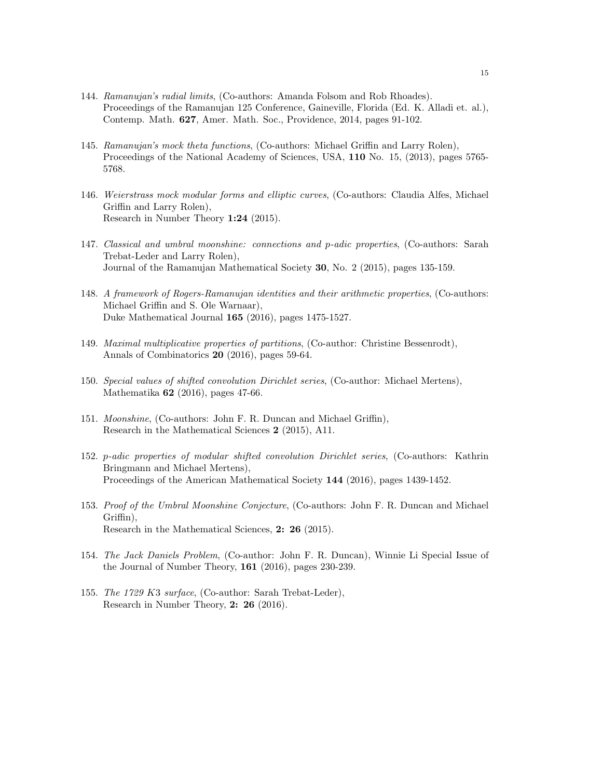- 144. Ramanujan's radial limits, (Co-authors: Amanda Folsom and Rob Rhoades). Proceedings of the Ramanujan 125 Conference, Gaineville, Florida (Ed. K. Alladi et. al.), Contemp. Math. 627, Amer. Math. Soc., Providence, 2014, pages 91-102.
- 145. Ramanujan's mock theta functions, (Co-authors: Michael Griffin and Larry Rolen), Proceedings of the National Academy of Sciences, USA, 110 No. 15, (2013), pages 5765- 5768.
- 146. Weierstrass mock modular forms and elliptic curves, (Co-authors: Claudia Alfes, Michael Griffin and Larry Rolen), Research in Number Theory 1:24 (2015).
- 147. Classical and umbral moonshine: connections and p-adic properties, (Co-authors: Sarah Trebat-Leder and Larry Rolen), Journal of the Ramanujan Mathematical Society 30, No. 2 (2015), pages 135-159.
- 148. A framework of Rogers-Ramanujan identities and their arithmetic properties, (Co-authors: Michael Griffin and S. Ole Warnaar), Duke Mathematical Journal 165 (2016), pages 1475-1527.
- 149. Maximal multiplicative properties of partitions, (Co-author: Christine Bessenrodt), Annals of Combinatorics 20 (2016), pages 59-64.
- 150. Special values of shifted convolution Dirichlet series, (Co-author: Michael Mertens), Mathematika 62 (2016), pages 47-66.
- 151. Moonshine, (Co-authors: John F. R. Duncan and Michael Griffin), Research in the Mathematical Sciences 2 (2015), A11.
- 152. p-adic properties of modular shifted convolution Dirichlet series, (Co-authors: Kathrin Bringmann and Michael Mertens), Proceedings of the American Mathematical Society 144 (2016), pages 1439-1452.
- 153. Proof of the Umbral Moonshine Conjecture, (Co-authors: John F. R. Duncan and Michael Griffin), Research in the Mathematical Sciences, 2: 26 (2015).
- 154. The Jack Daniels Problem, (Co-author: John F. R. Duncan), Winnie Li Special Issue of the Journal of Number Theory, 161 (2016), pages 230-239.
- 155. The 1729 K3 surface, (Co-author: Sarah Trebat-Leder), Research in Number Theory, 2: 26 (2016).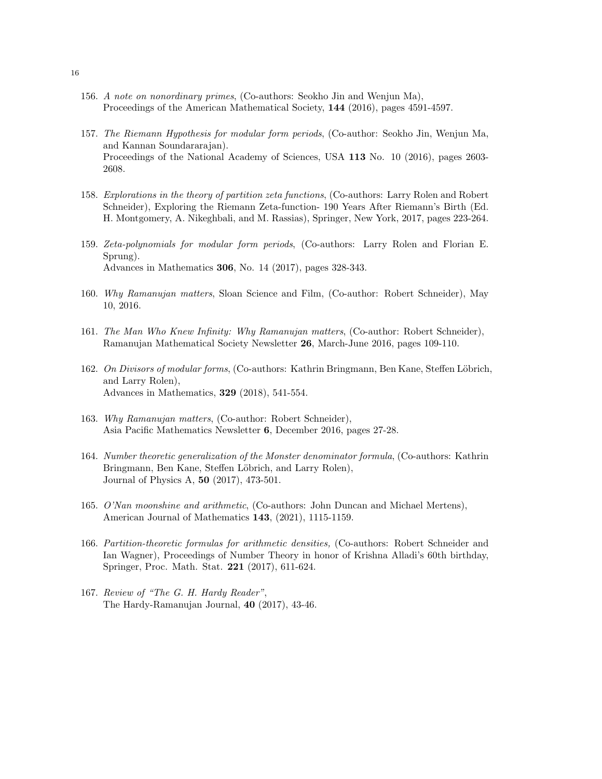- 156. A note on nonordinary primes, (Co-authors: Seokho Jin and Wenjun Ma), Proceedings of the American Mathematical Society, 144 (2016), pages 4591-4597.
- 157. The Riemann Hypothesis for modular form periods, (Co-author: Seokho Jin, Wenjun Ma, and Kannan Soundararajan). Proceedings of the National Academy of Sciences, USA 113 No. 10 (2016), pages 2603- 2608.
- 158. Explorations in the theory of partition zeta functions, (Co-authors: Larry Rolen and Robert Schneider), Exploring the Riemann Zeta-function- 190 Years After Riemann's Birth (Ed. H. Montgomery, A. Nikeghbali, and M. Rassias), Springer, New York, 2017, pages 223-264.
- 159. Zeta-polynomials for modular form periods, (Co-authors: Larry Rolen and Florian E. Sprung). Advances in Mathematics 306, No. 14 (2017), pages 328-343.
- 160. Why Ramanujan matters, Sloan Science and Film, (Co-author: Robert Schneider), May 10, 2016.
- 161. The Man Who Knew Infinity: Why Ramanujan matters, (Co-author: Robert Schneider), Ramanujan Mathematical Society Newsletter 26, March-June 2016, pages 109-110.
- 162. On Divisors of modular forms, (Co-authors: Kathrin Bringmann, Ben Kane, Steffen Löbrich, and Larry Rolen), Advances in Mathematics, 329 (2018), 541-554.
- 163. Why Ramanujan matters, (Co-author: Robert Schneider), Asia Pacific Mathematics Newsletter 6, December 2016, pages 27-28.
- 164. Number theoretic generalization of the Monster denominator formula, (Co-authors: Kathrin Bringmann, Ben Kane, Steffen Löbrich, and Larry Rolen), Journal of Physics A, 50 (2017), 473-501.
- 165. O'Nan moonshine and arithmetic, (Co-authors: John Duncan and Michael Mertens), American Journal of Mathematics 143, (2021), 1115-1159.
- 166. Partition-theoretic formulas for arithmetic densities, (Co-authors: Robert Schneider and Ian Wagner), Proceedings of Number Theory in honor of Krishna Alladi's 60th birthday, Springer, Proc. Math. Stat. 221 (2017), 611-624.
- 167. Review of "The G. H. Hardy Reader", The Hardy-Ramanujan Journal, 40 (2017), 43-46.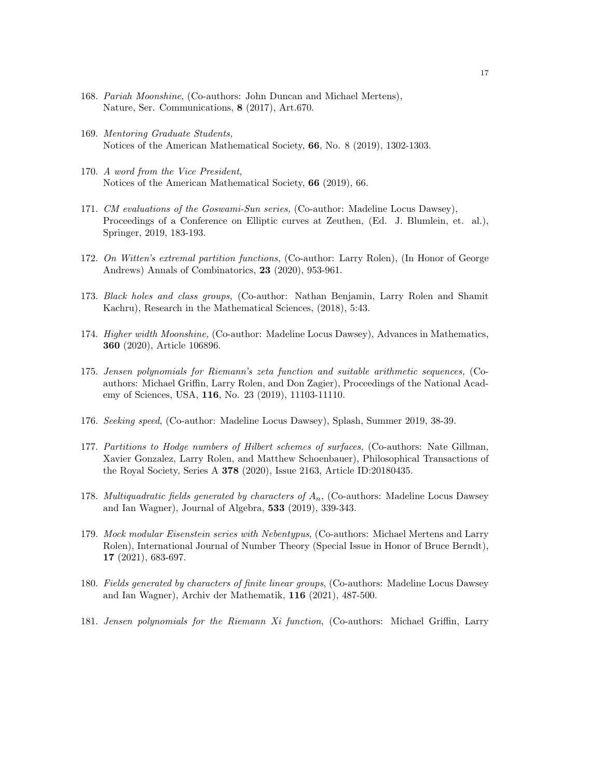- 168. Pariah Moonshine, (Co-authors: John Duncan and Michael Mertens), Nature, Ser. Communications, 8 (2017), Art.670.
- 169. Mentoring Graduate Students, Notices of the American Mathematical Society, 66, No. 8 (2019), 1302-1303.
- 170. A word from the Vice President, Notices of the American Mathematical Society, 66 (2019), 66.
- 171. CM evaluations of the Goswami-Sun series, (Co-author: Madeline Locus Dawsey), Proceedings of a Conference on Elliptic curves at Zeuthen, (Ed. J. Blumlein, et. al.), Springer, 2019, 183-193.
- 172. On Witten's extremal partition functions, (Co-author: Larry Rolen), (In Honor of George Andrews) Annals of Combinatorics, 23 (2020), 953-961.
- 173. Black holes and class groups, (Co-author: Nathan Benjamin, Larry Rolen and Shamit Kachru), Research in the Mathematical Sciences, (2018), 5:43.
- 174. Higher width Moonshine, (Co-author: Madeline Locus Dawsey), Advances in Mathematics, 360 (2020), Article 106896.
- 175. Jensen polynomials for Riemann's zeta function and suitable arithmetic sequences, (Coauthors: Michael Griffin, Larry Rolen, and Don Zagier), Proceedings of the National Academy of Sciences, USA, 116, No. 23 (2019), 11103-11110.
- 176. Seeking speed, (Co-author: Madeline Locus Dawsey), Splash, Summer 2019, 38-39.
- 177. Partitions to Hodge numbers of Hilbert schemes of surfaces, (Co-authors: Nate Gillman, Xavier Gonzalez, Larry Rolen, and Matthew Schoenbauer), Philosophical Transactions of the Royal Society, Series A 378 (2020), Issue 2163, Article ID:20180435.
- 178. Multiquadratic fields generated by characters of  $A_n$ , (Co-authors: Madeline Locus Dawsey and Ian Wagner), Journal of Algebra, 533 (2019), 339-343.
- 179. Mock modular Eisenstein series with Nebentypus, (Co-authors: Michael Mertens and Larry Rolen), International Journal of Number Theory (Special Issue in Honor of Bruce Berndt), 17 (2021), 683-697.
- 180. Fields generated by characters of finite linear groups, (Co-authors: Madeline Locus Dawsey and Ian Wagner), Archiv der Mathematik, 116 (2021), 487-500.
- 181. Jensen polynomials for the Riemann Xi function, (Co-authors: Michael Griffin, Larry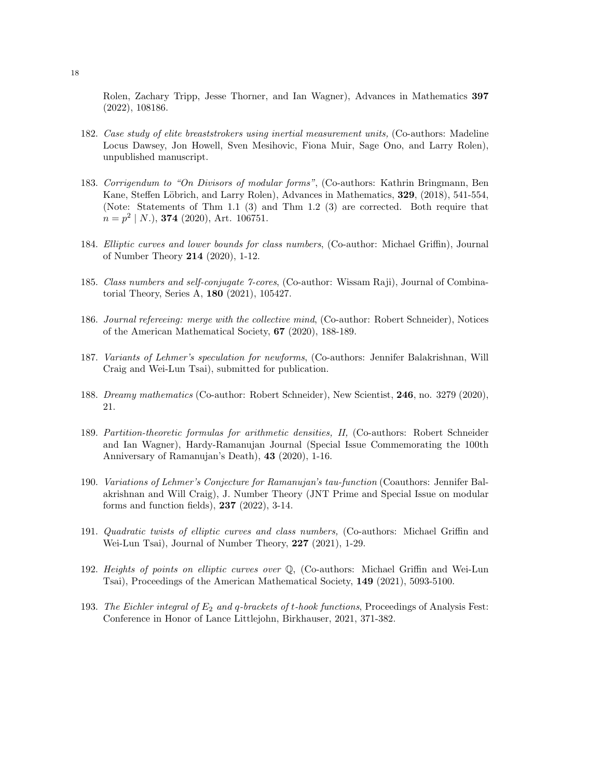Rolen, Zachary Tripp, Jesse Thorner, and Ian Wagner), Advances in Mathematics 397 (2022), 108186.

- 182. Case study of elite breaststrokers using inertial measurement units, (Co-authors: Madeline Locus Dawsey, Jon Howell, Sven Mesihovic, Fiona Muir, Sage Ono, and Larry Rolen), unpublished manuscript.
- 183. Corrigendum to "On Divisors of modular forms", (Co-authors: Kathrin Bringmann, Ben Kane, Steffen Löbrich, and Larry Rolen), Advances in Mathematics, 329, (2018), 541-554, (Note: Statements of Thm 1.1 (3) and Thm 1.2 (3) are corrected. Both require that  $n = p^2 | N.$ ), **374** (2020), Art. 106751.
- 184. Elliptic curves and lower bounds for class numbers, (Co-author: Michael Griffin), Journal of Number Theory 214 (2020), 1-12.
- 185. Class numbers and self-conjugate 7-cores, (Co-author: Wissam Raji), Journal of Combinatorial Theory, Series A, 180 (2021), 105427.
- 186. Journal refereeing: merge with the collective mind, (Co-author: Robert Schneider), Notices of the American Mathematical Society, 67 (2020), 188-189.
- 187. Variants of Lehmer's speculation for newforms, (Co-authors: Jennifer Balakrishnan, Will Craig and Wei-Lun Tsai), submitted for publication.
- 188. Dreamy mathematics (Co-author: Robert Schneider), New Scientist, 246, no. 3279 (2020), 21.
- 189. Partition-theoretic formulas for arithmetic densities, II, (Co-authors: Robert Schneider and Ian Wagner), Hardy-Ramanujan Journal (Special Issue Commemorating the 100th Anniversary of Ramanujan's Death), 43 (2020), 1-16.
- 190. Variations of Lehmer's Conjecture for Ramanujan's tau-function (Coauthors: Jennifer Balakrishnan and Will Craig), J. Number Theory (JNT Prime and Special Issue on modular forms and function fields), 237 (2022), 3-14.
- 191. Quadratic twists of elliptic curves and class numbers, (Co-authors: Michael Griffin and Wei-Lun Tsai), Journal of Number Theory, 227 (2021), 1-29.
- 192. Heights of points on elliptic curves over Q, (Co-authors: Michael Griffin and Wei-Lun Tsai), Proceedings of the American Mathematical Society, 149 (2021), 5093-5100.
- 193. The Eichler integral of  $E_2$  and q-brackets of t-hook functions, Proceedings of Analysis Fest: Conference in Honor of Lance Littlejohn, Birkhauser, 2021, 371-382.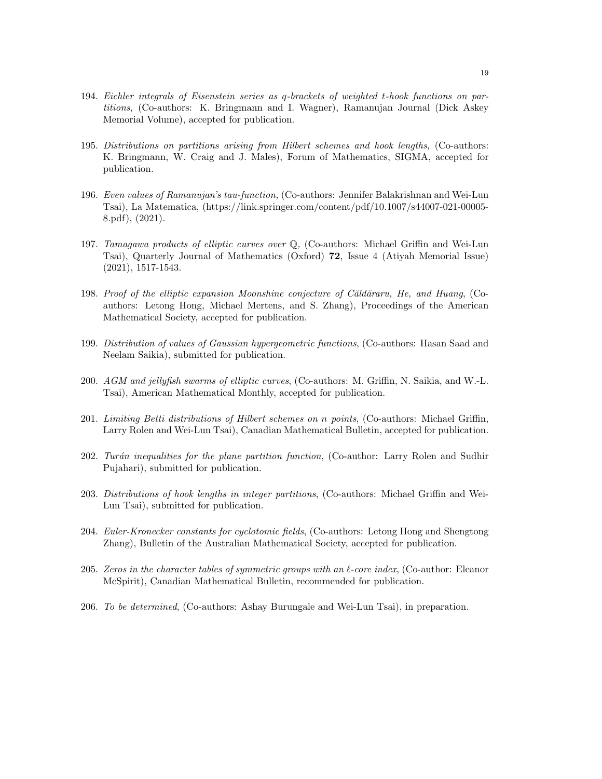- 194. Eichler integrals of Eisenstein series as q-brackets of weighted t-hook functions on partitions, (Co-authors: K. Bringmann and I. Wagner), Ramanujan Journal (Dick Askey Memorial Volume), accepted for publication.
- 195. Distributions on partitions arising from Hilbert schemes and hook lengths, (Co-authors: K. Bringmann, W. Craig and J. Males), Forum of Mathematics, SIGMA, accepted for publication.
- 196. Even values of Ramanujan's tau-function, (Co-authors: Jennifer Balakrishnan and Wei-Lun Tsai), La Matematica, (https://link.springer.com/content/pdf/10.1007/s44007-021-00005- 8.pdf), (2021).
- 197. Tamagawa products of elliptic curves over Q, (Co-authors: Michael Griffin and Wei-Lun Tsai), Quarterly Journal of Mathematics (Oxford) 72, Issue 4 (Atiyah Memorial Issue) (2021), 1517-1543.
- 198. Proof of the elliptic expansion Moonshine conjecture of Căldăraru, He, and Huang, (Coauthors: Letong Hong, Michael Mertens, and S. Zhang), Proceedings of the American Mathematical Society, accepted for publication.
- 199. Distribution of values of Gaussian hypergeometric functions, (Co-authors: Hasan Saad and Neelam Saikia), submitted for publication.
- 200. AGM and jellyfish swarms of elliptic curves, (Co-authors: M. Griffin, N. Saikia, and W.-L. Tsai), American Mathematical Monthly, accepted for publication.
- 201. Limiting Betti distributions of Hilbert schemes on n points, (Co-authors: Michael Griffin, Larry Rolen and Wei-Lun Tsai), Canadian Mathematical Bulletin, accepted for publication.
- 202. Turán inequalities for the plane partition function, (Co-author: Larry Rolen and Sudhir Pujahari), submitted for publication.
- 203. Distributions of hook lengths in integer partitions, (Co-authors: Michael Griffin and Wei-Lun Tsai), submitted for publication.
- 204. Euler-Kronecker constants for cyclotomic fields, (Co-authors: Letong Hong and Shengtong Zhang), Bulletin of the Australian Mathematical Society, accepted for publication.
- 205. Zeros in the character tables of symmetric groups with an  $\ell$ -core index, (Co-author: Eleanor McSpirit), Canadian Mathematical Bulletin, recommended for publication.
- 206. To be determined, (Co-authors: Ashay Burungale and Wei-Lun Tsai), in preparation.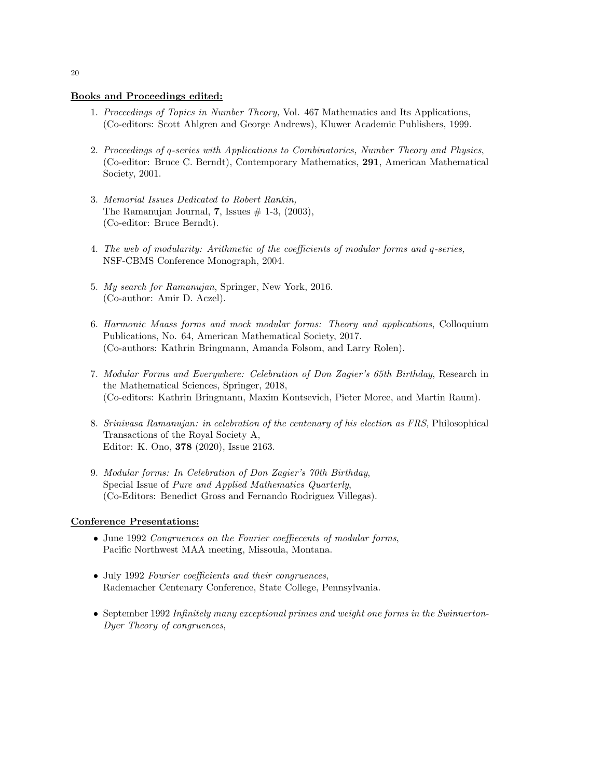## Books and Proceedings edited:

- 1. Proceedings of Topics in Number Theory, Vol. 467 Mathematics and Its Applications, (Co-editors: Scott Ahlgren and George Andrews), Kluwer Academic Publishers, 1999.
- 2. Proceedings of q-series with Applications to Combinatorics, Number Theory and Physics, (Co-editor: Bruce C. Berndt), Contemporary Mathematics, 291, American Mathematical Society, 2001.
- 3. Memorial Issues Dedicated to Robert Rankin, The Ramanujan Journal, 7, Issues  $\#$  1-3, (2003), (Co-editor: Bruce Berndt).
- 4. The web of modularity: Arithmetic of the coefficients of modular forms and q-series, NSF-CBMS Conference Monograph, 2004.
- 5. My search for Ramanujan, Springer, New York, 2016. (Co-author: Amir D. Aczel).
- 6. Harmonic Maass forms and mock modular forms: Theory and applications, Colloquium Publications, No. 64, American Mathematical Society, 2017. (Co-authors: Kathrin Bringmann, Amanda Folsom, and Larry Rolen).
- 7. Modular Forms and Everywhere: Celebration of Don Zagier's 65th Birthday, Research in the Mathematical Sciences, Springer, 2018, (Co-editors: Kathrin Bringmann, Maxim Kontsevich, Pieter Moree, and Martin Raum).
- 8. Srinivasa Ramanujan: in celebration of the centenary of his election as FRS, Philosophical Transactions of the Royal Society A, Editor: K. Ono, 378 (2020), Issue 2163.
- 9. Modular forms: In Celebration of Don Zagier's 70th Birthday, Special Issue of Pure and Applied Mathematics Quarterly, (Co-Editors: Benedict Gross and Fernando Rodriguez Villegas).

#### Conference Presentations:

- June 1992 Congruences on the Fourier coeffiecents of modular forms, Pacific Northwest MAA meeting, Missoula, Montana.
- July 1992 Fourier coefficients and their congruences, Rademacher Centenary Conference, State College, Pennsylvania.
- September 1992 Infinitely many exceptional primes and weight one forms in the Swinnerton-Dyer Theory of congruences,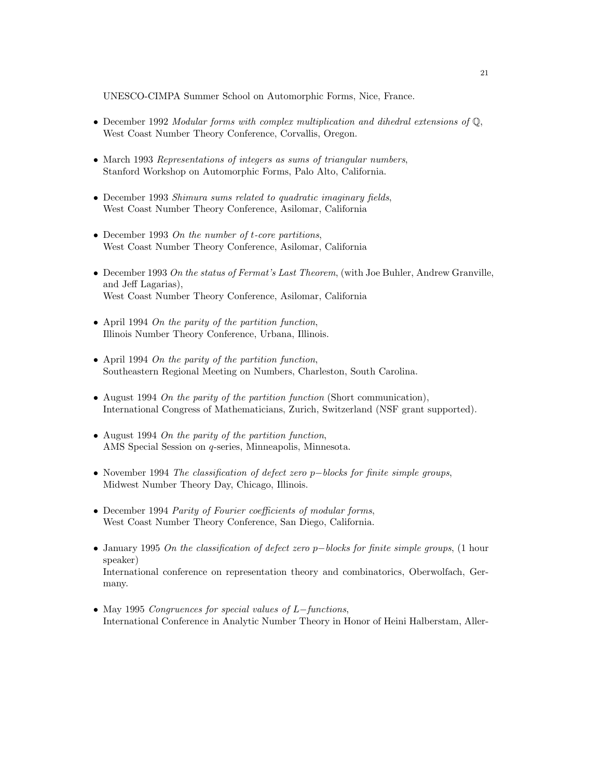UNESCO-CIMPA Summer School on Automorphic Forms, Nice, France.

- December 1992 Modular forms with complex multiplication and dihedral extensions of Q, West Coast Number Theory Conference, Corvallis, Oregon.
- March 1993 Representations of integers as sums of triangular numbers, Stanford Workshop on Automorphic Forms, Palo Alto, California.
- December 1993 Shimura sums related to quadratic imaginary fields, West Coast Number Theory Conference, Asilomar, California
- December 1993 On the number of t-core partitions, West Coast Number Theory Conference, Asilomar, California
- December 1993 On the status of Fermat's Last Theorem, (with Joe Buhler, Andrew Granville, and Jeff Lagarias), West Coast Number Theory Conference, Asilomar, California
- April 1994 On the parity of the partition function, Illinois Number Theory Conference, Urbana, Illinois.
- April 1994 On the parity of the partition function, Southeastern Regional Meeting on Numbers, Charleston, South Carolina.
- August 1994 On the parity of the partition function (Short communication), International Congress of Mathematicians, Zurich, Switzerland (NSF grant supported).
- August 1994 On the parity of the partition function, AMS Special Session on q-series, Minneapolis, Minnesota.
- November 1994 The classification of defect zero p−blocks for finite simple groups, Midwest Number Theory Day, Chicago, Illinois.
- December 1994 Parity of Fourier coefficients of modular forms, West Coast Number Theory Conference, San Diego, California.
- January 1995 On the classification of defect zero p−blocks for finite simple groups, (1 hour speaker) International conference on representation theory and combinatorics, Oberwolfach, Germany.
- May 1995 Congruences for special values of L−functions, International Conference in Analytic Number Theory in Honor of Heini Halberstam, Aller-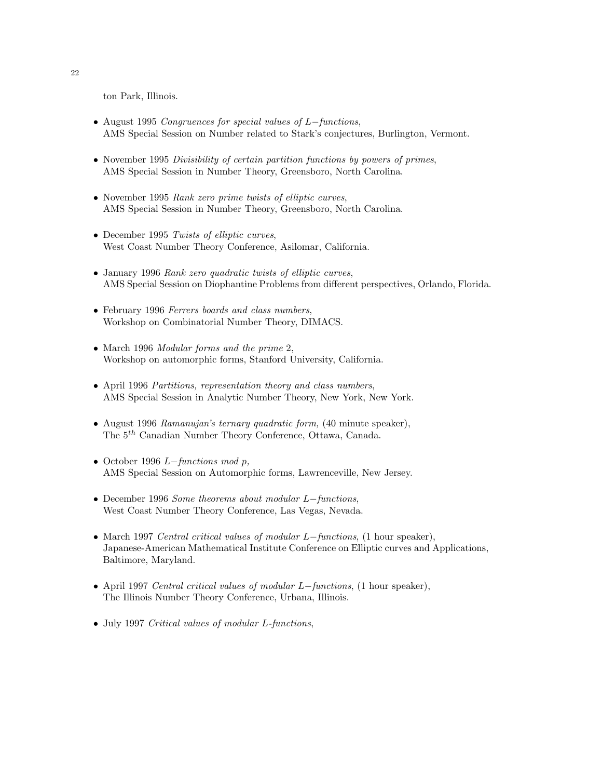ton Park, Illinois.

- August 1995 Congruences for special values of L−functions, AMS Special Session on Number related to Stark's conjectures, Burlington, Vermont.
- November 1995 Divisibility of certain partition functions by powers of primes, AMS Special Session in Number Theory, Greensboro, North Carolina.
- November 1995 Rank zero prime twists of elliptic curves, AMS Special Session in Number Theory, Greensboro, North Carolina.
- December 1995 Twists of elliptic curves, West Coast Number Theory Conference, Asilomar, California.
- January 1996 Rank zero quadratic twists of elliptic curves, AMS Special Session on Diophantine Problems from different perspectives, Orlando, Florida.
- February 1996 Ferrers boards and class numbers, Workshop on Combinatorial Number Theory, DIMACS.
- March 1996 Modular forms and the prime 2, Workshop on automorphic forms, Stanford University, California.
- April 1996 Partitions, representation theory and class numbers, AMS Special Session in Analytic Number Theory, New York, New York.
- August 1996 Ramanujan's ternary quadratic form, (40 minute speaker), The 5th Canadian Number Theory Conference, Ottawa, Canada.
- October 1996  $L-functions \mod p$ , AMS Special Session on Automorphic forms, Lawrenceville, New Jersey.
- December 1996 Some theorems about modular L−functions, West Coast Number Theory Conference, Las Vegas, Nevada.
- March 1997 Central critical values of modular L−functions, (1 hour speaker), Japanese-American Mathematical Institute Conference on Elliptic curves and Applications, Baltimore, Maryland.
- April 1997 Central critical values of modular L−functions, (1 hour speaker), The Illinois Number Theory Conference, Urbana, Illinois.
- July 1997 Critical values of modular L-functions,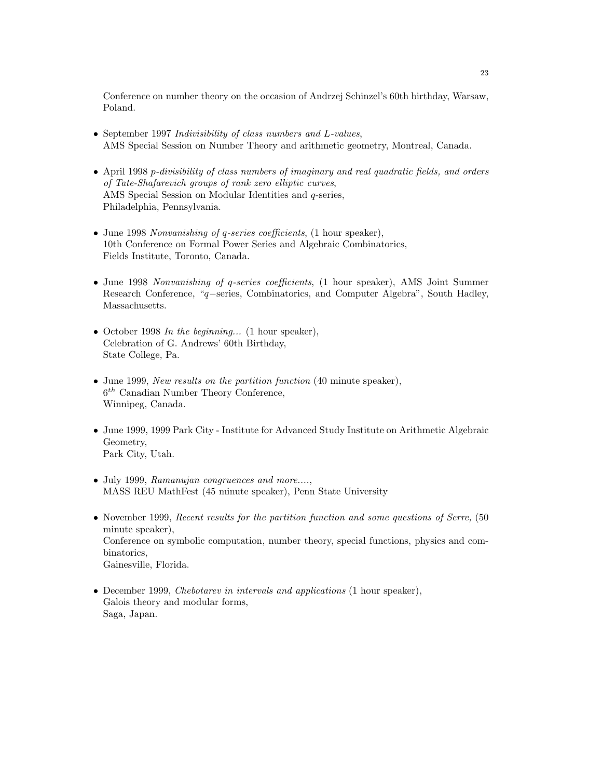Conference on number theory on the occasion of Andrzej Schinzel's 60th birthday, Warsaw, Poland.

- September 1997 Indivisibility of class numbers and L-values, AMS Special Session on Number Theory and arithmetic geometry, Montreal, Canada.
- April 1998 p-divisibility of class numbers of imaginary and real quadratic fields, and orders of Tate-Shafarevich groups of rank zero elliptic curves, AMS Special Session on Modular Identities and q-series, Philadelphia, Pennsylvania.
- June 1998 Nonvanishing of q-series coefficients, (1 hour speaker), 10th Conference on Formal Power Series and Algebraic Combinatorics, Fields Institute, Toronto, Canada.
- June 1998 Nonvanishing of q-series coefficients, (1 hour speaker), AMS Joint Summer Research Conference, "q−series, Combinatorics, and Computer Algebra", South Hadley, Massachusetts.
- October 1998 In the beginning... (1 hour speaker), Celebration of G. Andrews' 60th Birthday, State College, Pa.
- June 1999, New results on the partition function (40 minute speaker),  $6<sup>th</sup>$  Canadian Number Theory Conference, Winnipeg, Canada.
- June 1999, 1999 Park City Institute for Advanced Study Institute on Arithmetic Algebraic Geometry, Park City, Utah.
- July 1999, Ramanujan congruences and more...., MASS REU MathFest (45 minute speaker), Penn State University
- November 1999, Recent results for the partition function and some questions of Serre, (50 minute speaker), Conference on symbolic computation, number theory, special functions, physics and combinatorics, Gainesville, Florida.
- December 1999, *Chebotarev in intervals and applications* (1 hour speaker), Galois theory and modular forms, Saga, Japan.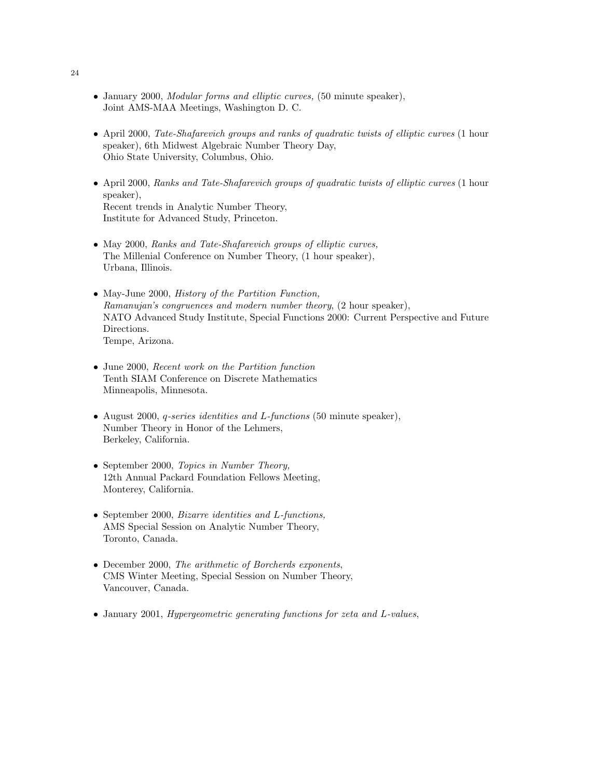- January 2000, Modular forms and elliptic curves, (50 minute speaker), Joint AMS-MAA Meetings, Washington D. C.
- April 2000, Tate-Shafarevich groups and ranks of quadratic twists of elliptic curves (1 hour speaker), 6th Midwest Algebraic Number Theory Day, Ohio State University, Columbus, Ohio.
- April 2000, Ranks and Tate-Shafarevich groups of quadratic twists of elliptic curves (1 hour speaker), Recent trends in Analytic Number Theory, Institute for Advanced Study, Princeton.
- May 2000, Ranks and Tate-Shafarevich groups of elliptic curves, The Millenial Conference on Number Theory, (1 hour speaker), Urbana, Illinois.
- May-June 2000, History of the Partition Function, Ramanujan's congruences and modern number theory, (2 hour speaker), NATO Advanced Study Institute, Special Functions 2000: Current Perspective and Future Directions. Tempe, Arizona.
- June 2000, Recent work on the Partition function Tenth SIAM Conference on Discrete Mathematics Minneapolis, Minnesota.
- August 2000, q-series identities and L-functions (50 minute speaker), Number Theory in Honor of the Lehmers, Berkeley, California.
- September 2000, Topics in Number Theory, 12th Annual Packard Foundation Fellows Meeting, Monterey, California.
- September 2000, Bizarre identities and L-functions, AMS Special Session on Analytic Number Theory, Toronto, Canada.
- December 2000, The arithmetic of Borcherds exponents, CMS Winter Meeting, Special Session on Number Theory, Vancouver, Canada.
- January 2001, Hypergeometric generating functions for zeta and L-values,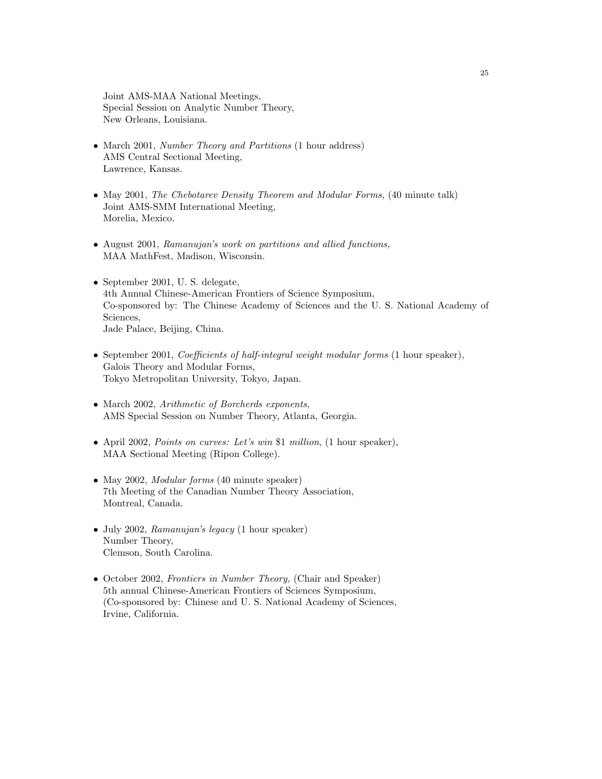Joint AMS-MAA National Meetings, Special Session on Analytic Number Theory, New Orleans, Louisiana.

- March 2001, Number Theory and Partitions (1 hour address) AMS Central Sectional Meeting, Lawrence, Kansas.
- May 2001, The Chebotarev Density Theorem and Modular Forms, (40 minute talk) Joint AMS-SMM International Meeting, Morelia, Mexico.
- August 2001, Ramanujan's work on partitions and allied functions, MAA MathFest, Madison, Wisconsin.
- September 2001, U.S. delegate, 4th Annual Chinese-American Frontiers of Science Symposium, Co-sponsored by: The Chinese Academy of Sciences and the U. S. National Academy of Sciences, Jade Palace, Beijing, China.
- September 2001, *Coefficients of half-integral weight modular forms* (1 hour speaker), Galois Theory and Modular Forms, Tokyo Metropolitan University, Tokyo, Japan.
- March 2002, Arithmetic of Borcherds exponents, AMS Special Session on Number Theory, Atlanta, Georgia.
- April 2002, Points on curves: Let's win \$1 million, (1 hour speaker), MAA Sectional Meeting (Ripon College).
- May 2002, *Modular forms* (40 minute speaker) 7th Meeting of the Canadian Number Theory Association, Montreal, Canada.
- July 2002, Ramanujan's legacy (1 hour speaker) Number Theory, Clemson, South Carolina.
- October 2002, Frontiers in Number Theory, (Chair and Speaker) 5th annual Chinese-American Frontiers of Sciences Symposium, (Co-sponsored by: Chinese and U. S. National Academy of Sciences, Irvine, California.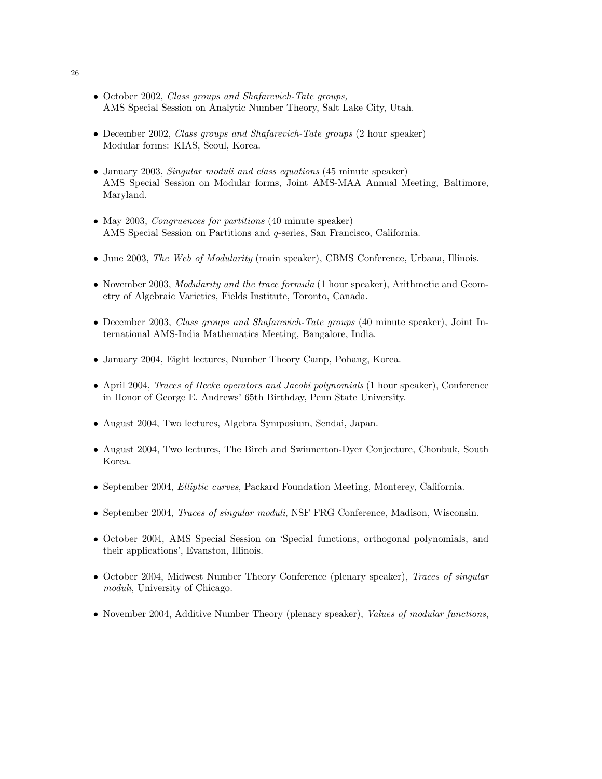- October 2002, *Class groups and Shafarevich-Tate groups*, AMS Special Session on Analytic Number Theory, Salt Lake City, Utah.
- December 2002, Class groups and Shafarevich-Tate groups (2 hour speaker) Modular forms: KIAS, Seoul, Korea.
- January 2003, *Singular moduli and class equations* (45 minute speaker) AMS Special Session on Modular forms, Joint AMS-MAA Annual Meeting, Baltimore, Maryland.
- May 2003, Congruences for partitions (40 minute speaker) AMS Special Session on Partitions and q-series, San Francisco, California.
- June 2003, The Web of Modularity (main speaker), CBMS Conference, Urbana, Illinois.
- November 2003, *Modularity and the trace formula* (1 hour speaker), Arithmetic and Geometry of Algebraic Varieties, Fields Institute, Toronto, Canada.
- December 2003, Class groups and Shafarevich-Tate groups (40 minute speaker), Joint International AMS-India Mathematics Meeting, Bangalore, India.
- January 2004, Eight lectures, Number Theory Camp, Pohang, Korea.
- April 2004, Traces of Hecke operators and Jacobi polynomials (1 hour speaker), Conference in Honor of George E. Andrews' 65th Birthday, Penn State University.
- August 2004, Two lectures, Algebra Symposium, Sendai, Japan.
- August 2004, Two lectures, The Birch and Swinnerton-Dyer Conjecture, Chonbuk, South Korea.
- September 2004, Elliptic curves, Packard Foundation Meeting, Monterey, California.
- September 2004, Traces of singular moduli, NSF FRG Conference, Madison, Wisconsin.
- October 2004, AMS Special Session on 'Special functions, orthogonal polynomials, and their applications', Evanston, Illinois.
- October 2004, Midwest Number Theory Conference (plenary speaker), Traces of singular moduli, University of Chicago.
- November 2004, Additive Number Theory (plenary speaker), Values of modular functions,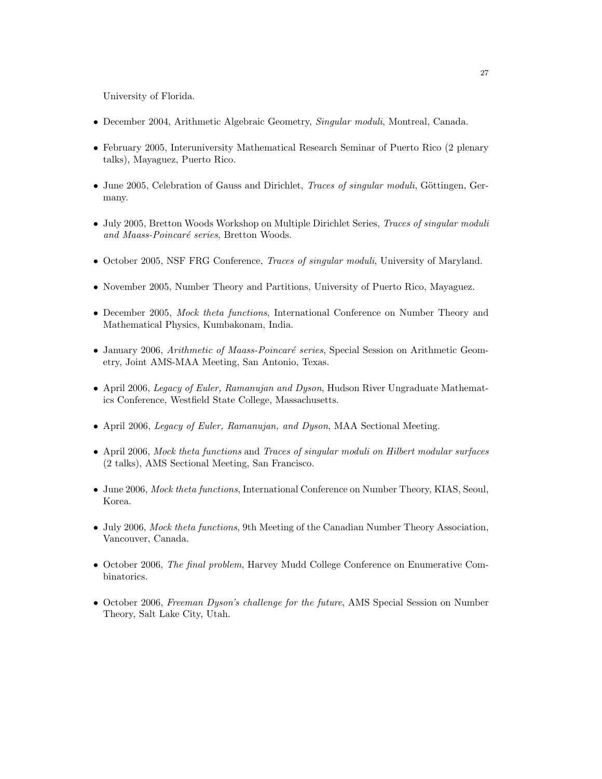University of Florida.

- December 2004, Arithmetic Algebraic Geometry, Singular moduli, Montreal, Canada.
- February 2005, Interuniversity Mathematical Research Seminar of Puerto Rico (2 plenary talks), Mayaguez, Puerto Rico.
- June 2005, Celebration of Gauss and Dirichlet, *Traces of singular moduli*, Göttingen, Germany.
- July 2005, Bretton Woods Workshop on Multiple Dirichlet Series, Traces of singular moduli and Maass-Poincaré series, Bretton Woods.
- October 2005, NSF FRG Conference, Traces of singular moduli, University of Maryland.
- November 2005, Number Theory and Partitions, University of Puerto Rico, Mayaguez.
- December 2005, *Mock theta functions*, International Conference on Number Theory and Mathematical Physics, Kumbakonam, India.
- January 2006, Arithmetic of Maass-Poincaré series, Special Session on Arithmetic Geometry, Joint AMS-MAA Meeting, San Antonio, Texas.
- April 2006, Legacy of Euler, Ramanujan and Dyson, Hudson River Ungraduate Mathematics Conference, Westfield State College, Massachusetts.
- April 2006, *Legacy of Euler, Ramanujan, and Dyson*, MAA Sectional Meeting.
- April 2006, Mock theta functions and Traces of singular moduli on Hilbert modular surfaces (2 talks), AMS Sectional Meeting, San Francisco.
- June 2006, *Mock theta functions*, International Conference on Number Theory, KIAS, Seoul, Korea.
- July 2006, *Mock theta functions*, 9th Meeting of the Canadian Number Theory Association, Vancouver, Canada.
- October 2006, The final problem, Harvey Mudd College Conference on Enumerative Combinatorics.
- October 2006, *Freeman Dyson's challenge for the future*, AMS Special Session on Number Theory, Salt Lake City, Utah.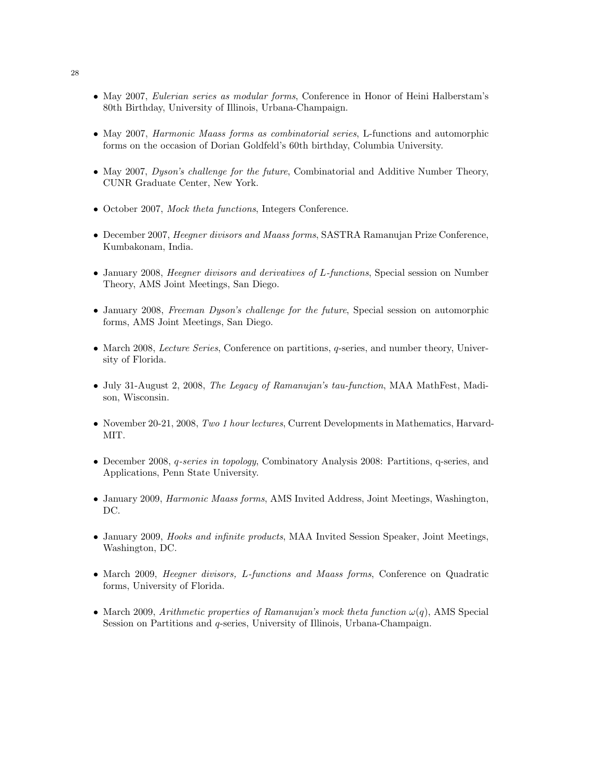- May 2007, *Eulerian series as modular forms*, Conference in Honor of Heini Halberstam's 80th Birthday, University of Illinois, Urbana-Champaign.
- May 2007, *Harmonic Maass forms as combinatorial series*, L-functions and automorphic forms on the occasion of Dorian Goldfeld's 60th birthday, Columbia University.
- May 2007, *Dyson's challenge for the future*, Combinatorial and Additive Number Theory, CUNR Graduate Center, New York.
- October 2007, Mock theta functions, Integers Conference.
- December 2007, Heegner divisors and Maass forms, SASTRA Ramanujan Prize Conference, Kumbakonam, India.
- January 2008, Heegner divisors and derivatives of L-functions, Special session on Number Theory, AMS Joint Meetings, San Diego.
- January 2008, Freeman Dyson's challenge for the future, Special session on automorphic forms, AMS Joint Meetings, San Diego.
- March 2008, *Lecture Series*, Conference on partitions, *q*-series, and number theory, University of Florida.
- July 31-August 2, 2008, The Legacy of Ramanujan's tau-function, MAA MathFest, Madison, Wisconsin.
- November 20-21, 2008, Two 1 hour lectures, Current Developments in Mathematics, Harvard-MIT.
- December 2008, q-series in topology, Combinatory Analysis 2008: Partitions, q-series, and Applications, Penn State University.
- January 2009, *Harmonic Maass forms*, AMS Invited Address, Joint Meetings, Washington, DC.
- January 2009, Hooks and infinite products, MAA Invited Session Speaker, Joint Meetings, Washington, DC.
- March 2009, Heegner divisors, L-functions and Maass forms, Conference on Quadratic forms, University of Florida.
- March 2009, Arithmetic properties of Ramanujan's mock theta function  $\omega(q)$ , AMS Special Session on Partitions and q-series, University of Illinois, Urbana-Champaign.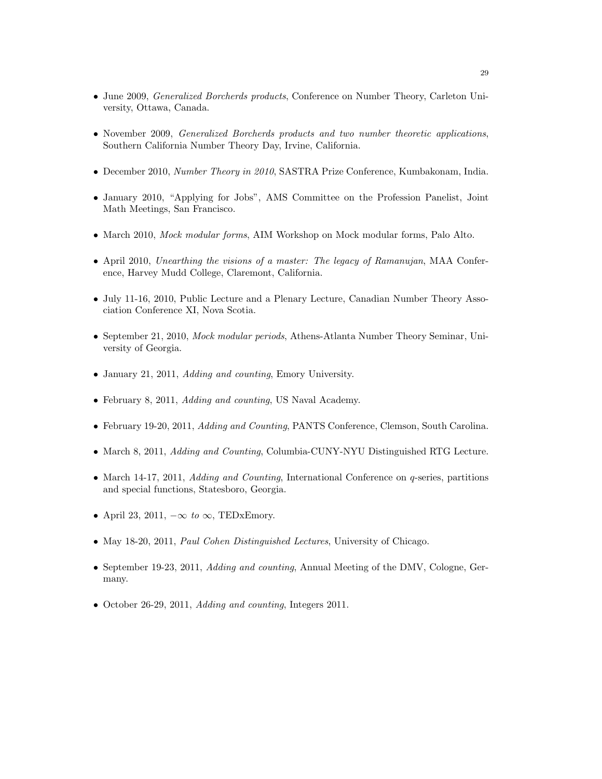- June 2009, *Generalized Borcherds products*, Conference on Number Theory, Carleton University, Ottawa, Canada.
- November 2009, Generalized Borcherds products and two number theoretic applications, Southern California Number Theory Day, Irvine, California.
- December 2010, Number Theory in 2010, SASTRA Prize Conference, Kumbakonam, India.
- January 2010, "Applying for Jobs", AMS Committee on the Profession Panelist, Joint Math Meetings, San Francisco.
- March 2010, *Mock modular forms*, AIM Workshop on Mock modular forms, Palo Alto.
- April 2010, Unearthing the visions of a master: The legacy of Ramanujan, MAA Conference, Harvey Mudd College, Claremont, California.
- July 11-16, 2010, Public Lecture and a Plenary Lecture, Canadian Number Theory Association Conference XI, Nova Scotia.
- September 21, 2010, *Mock modular periods*, Athens-Atlanta Number Theory Seminar, University of Georgia.
- January 21, 2011, *Adding and counting*, Emory University.
- February 8, 2011, Adding and counting, US Naval Academy.
- February 19-20, 2011, Adding and Counting, PANTS Conference, Clemson, South Carolina.
- March 8, 2011, *Adding and Counting*, Columbia-CUNY-NYU Distinguished RTG Lecture.
- March 14-17, 2011, *Adding and Counting*, International Conference on *q*-series, partitions and special functions, Statesboro, Georgia.
- April 23, 2011,  $-\infty$  to  $\infty$ , TEDxEmory.
- May 18-20, 2011, *Paul Cohen Distinguished Lectures*, University of Chicago.
- September 19-23, 2011, *Adding and counting*, Annual Meeting of the DMV, Cologne, Germany.
- October 26-29, 2011, Adding and counting, Integers 2011.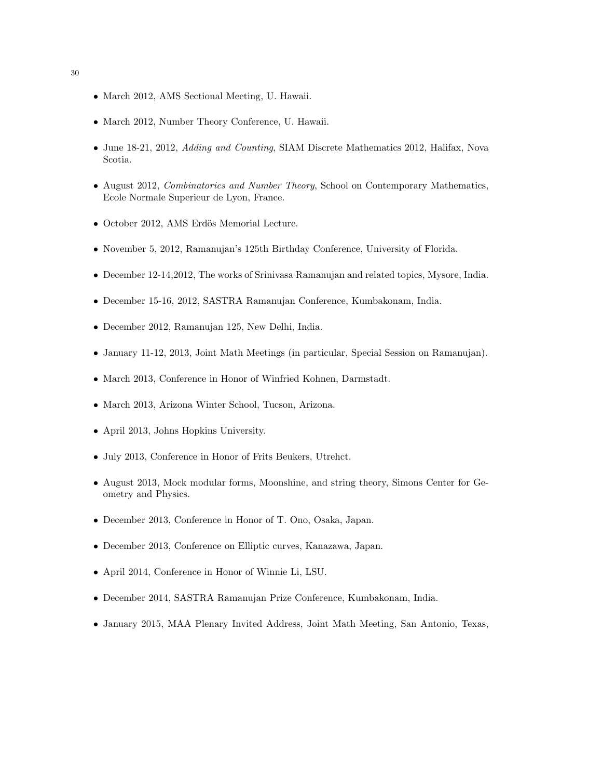- March 2012, AMS Sectional Meeting, U. Hawaii.
- March 2012, Number Theory Conference, U. Hawaii.
- June 18-21, 2012, *Adding and Counting*, SIAM Discrete Mathematics 2012, Halifax, Nova Scotia.
- August 2012, Combinatorics and Number Theory, School on Contemporary Mathematics, Ecole Normale Superieur de Lyon, France.
- October 2012, AMS Erdös Memorial Lecture.
- November 5, 2012, Ramanujan's 125th Birthday Conference, University of Florida.
- December 12-14,2012, The works of Srinivasa Ramanujan and related topics, Mysore, India.
- December 15-16, 2012, SASTRA Ramanujan Conference, Kumbakonam, India.
- December 2012, Ramanujan 125, New Delhi, India.
- January 11-12, 2013, Joint Math Meetings (in particular, Special Session on Ramanujan).
- March 2013, Conference in Honor of Winfried Kohnen, Darmstadt.
- March 2013, Arizona Winter School, Tucson, Arizona.
- April 2013, Johns Hopkins University.
- July 2013, Conference in Honor of Frits Beukers, Utrehct.
- August 2013, Mock modular forms, Moonshine, and string theory, Simons Center for Geometry and Physics.
- December 2013, Conference in Honor of T. Ono, Osaka, Japan.
- December 2013, Conference on Elliptic curves, Kanazawa, Japan.
- April 2014, Conference in Honor of Winnie Li, LSU.
- December 2014, SASTRA Ramanujan Prize Conference, Kumbakonam, India.
- January 2015, MAA Plenary Invited Address, Joint Math Meeting, San Antonio, Texas,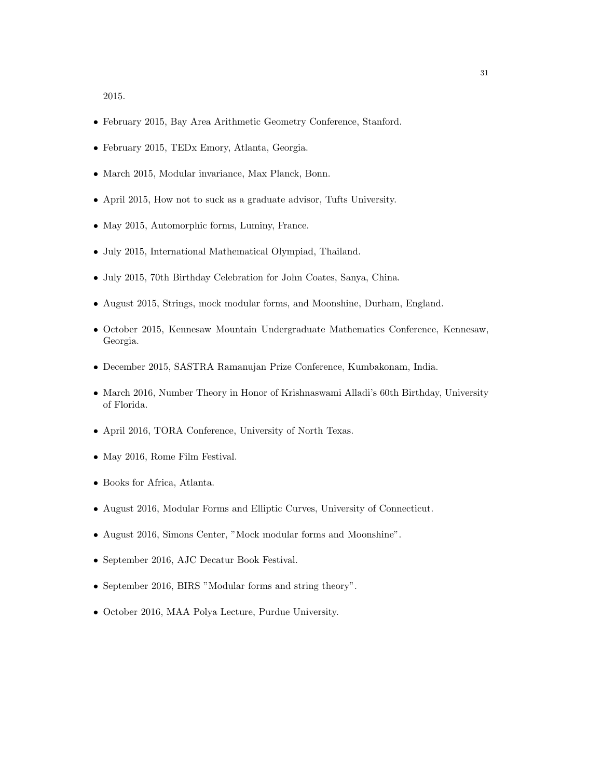2015.

- February 2015, Bay Area Arithmetic Geometry Conference, Stanford.
- February 2015, TEDx Emory, Atlanta, Georgia.
- March 2015, Modular invariance, Max Planck, Bonn.
- April 2015, How not to suck as a graduate advisor, Tufts University.
- May 2015, Automorphic forms, Luminy, France.
- July 2015, International Mathematical Olympiad, Thailand.
- July 2015, 70th Birthday Celebration for John Coates, Sanya, China.
- August 2015, Strings, mock modular forms, and Moonshine, Durham, England.
- October 2015, Kennesaw Mountain Undergraduate Mathematics Conference, Kennesaw, Georgia.
- December 2015, SASTRA Ramanujan Prize Conference, Kumbakonam, India.
- March 2016, Number Theory in Honor of Krishnaswami Alladi's 60th Birthday, University of Florida.
- April 2016, TORA Conference, University of North Texas.
- May 2016, Rome Film Festival.
- Books for Africa, Atlanta.
- August 2016, Modular Forms and Elliptic Curves, University of Connecticut.
- August 2016, Simons Center, "Mock modular forms and Moonshine".
- September 2016, AJC Decatur Book Festival.
- September 2016, BIRS "Modular forms and string theory".
- October 2016, MAA Polya Lecture, Purdue University.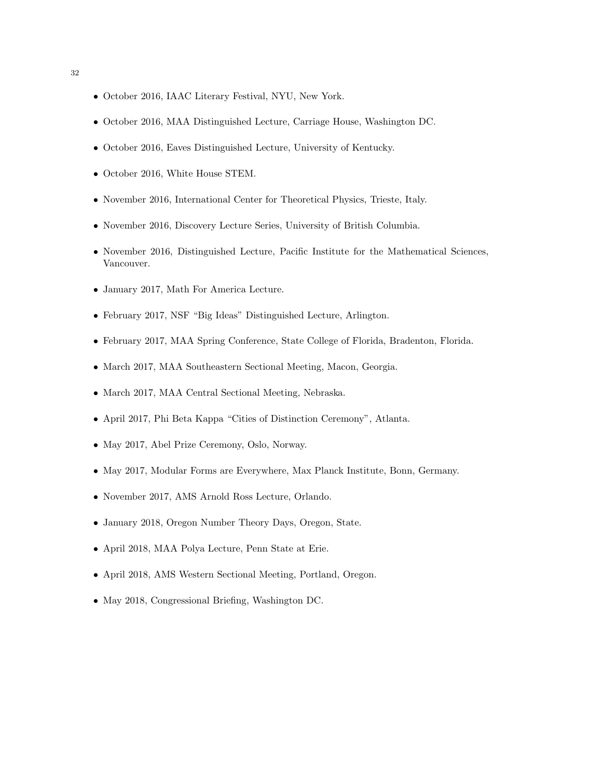- October 2016, IAAC Literary Festival, NYU, New York.
- October 2016, MAA Distinguished Lecture, Carriage House, Washington DC.
- October 2016, Eaves Distinguished Lecture, University of Kentucky.
- October 2016, White House STEM.
- November 2016, International Center for Theoretical Physics, Trieste, Italy.
- November 2016, Discovery Lecture Series, University of British Columbia.
- November 2016, Distinguished Lecture, Pacific Institute for the Mathematical Sciences, Vancouver.
- January 2017, Math For America Lecture.
- February 2017, NSF "Big Ideas" Distinguished Lecture, Arlington.
- February 2017, MAA Spring Conference, State College of Florida, Bradenton, Florida.
- March 2017, MAA Southeastern Sectional Meeting, Macon, Georgia.
- March 2017, MAA Central Sectional Meeting, Nebraska.
- April 2017, Phi Beta Kappa "Cities of Distinction Ceremony", Atlanta.
- May 2017, Abel Prize Ceremony, Oslo, Norway.
- May 2017, Modular Forms are Everywhere, Max Planck Institute, Bonn, Germany.
- November 2017, AMS Arnold Ross Lecture, Orlando.
- January 2018, Oregon Number Theory Days, Oregon, State.
- April 2018, MAA Polya Lecture, Penn State at Erie.
- April 2018, AMS Western Sectional Meeting, Portland, Oregon.
- May 2018, Congressional Briefing, Washington DC.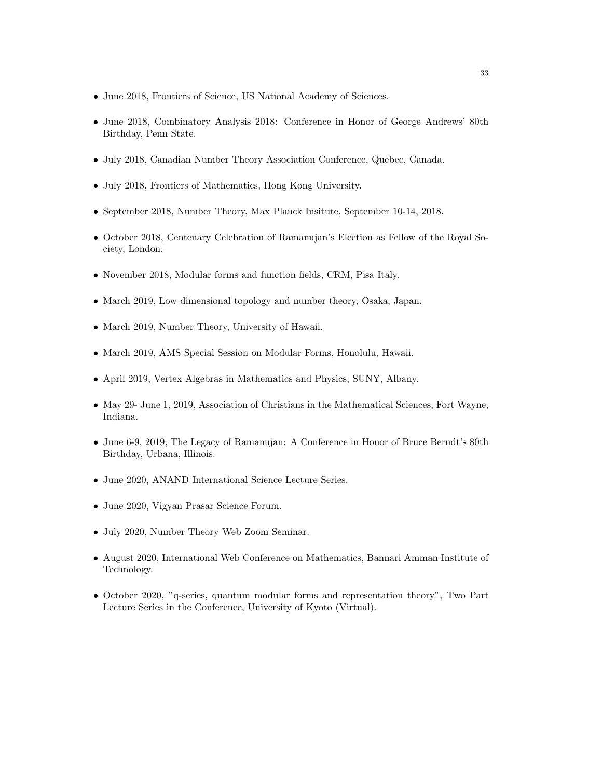- June 2018, Frontiers of Science, US National Academy of Sciences.
- June 2018, Combinatory Analysis 2018: Conference in Honor of George Andrews' 80th Birthday, Penn State.
- July 2018, Canadian Number Theory Association Conference, Quebec, Canada.
- July 2018, Frontiers of Mathematics, Hong Kong University.
- September 2018, Number Theory, Max Planck Insitute, September 10-14, 2018.
- October 2018, Centenary Celebration of Ramanujan's Election as Fellow of the Royal Society, London.
- November 2018, Modular forms and function fields, CRM, Pisa Italy.
- March 2019, Low dimensional topology and number theory, Osaka, Japan.
- March 2019, Number Theory, University of Hawaii.
- March 2019, AMS Special Session on Modular Forms, Honolulu, Hawaii.
- April 2019, Vertex Algebras in Mathematics and Physics, SUNY, Albany.
- May 29- June 1, 2019, Association of Christians in the Mathematical Sciences, Fort Wayne, Indiana.
- June 6-9, 2019, The Legacy of Ramanujan: A Conference in Honor of Bruce Berndt's 80th Birthday, Urbana, Illinois.
- June 2020, ANAND International Science Lecture Series.
- June 2020, Vigyan Prasar Science Forum.
- July 2020, Number Theory Web Zoom Seminar.
- August 2020, International Web Conference on Mathematics, Bannari Amman Institute of Technology.
- October 2020, "q-series, quantum modular forms and representation theory", Two Part Lecture Series in the Conference, University of Kyoto (Virtual).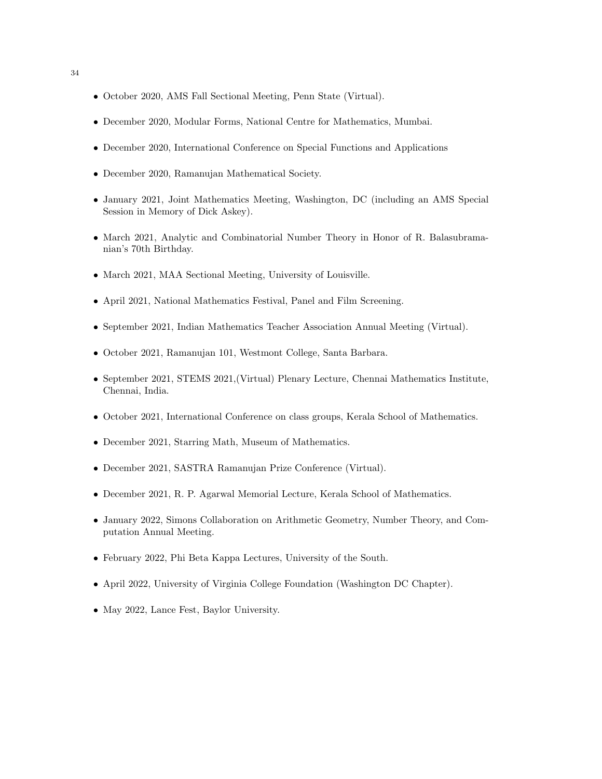- October 2020, AMS Fall Sectional Meeting, Penn State (Virtual).
- December 2020, Modular Forms, National Centre for Mathematics, Mumbai.
- December 2020, International Conference on Special Functions and Applications
- December 2020, Ramanujan Mathematical Society.
- January 2021, Joint Mathematics Meeting, Washington, DC (including an AMS Special Session in Memory of Dick Askey).
- March 2021, Analytic and Combinatorial Number Theory in Honor of R. Balasubramanian's 70th Birthday.
- March 2021, MAA Sectional Meeting, University of Louisville.
- April 2021, National Mathematics Festival, Panel and Film Screening.
- September 2021, Indian Mathematics Teacher Association Annual Meeting (Virtual).
- October 2021, Ramanujan 101, Westmont College, Santa Barbara.
- September 2021, STEMS 2021,(Virtual) Plenary Lecture, Chennai Mathematics Institute, Chennai, India.
- October 2021, International Conference on class groups, Kerala School of Mathematics.
- December 2021, Starring Math, Museum of Mathematics.
- December 2021, SASTRA Ramanujan Prize Conference (Virtual).
- December 2021, R. P. Agarwal Memorial Lecture, Kerala School of Mathematics.
- January 2022, Simons Collaboration on Arithmetic Geometry, Number Theory, and Computation Annual Meeting.
- February 2022, Phi Beta Kappa Lectures, University of the South.
- April 2022, University of Virginia College Foundation (Washington DC Chapter).
- May 2022, Lance Fest, Baylor University.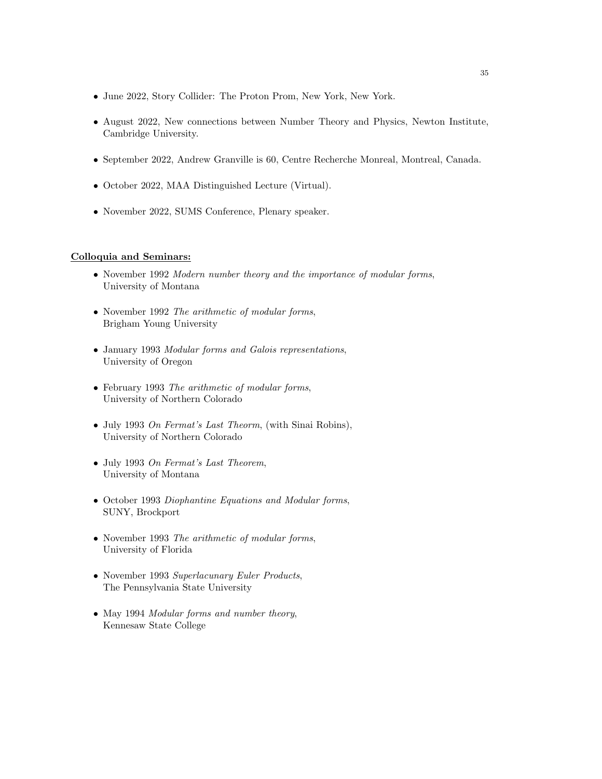- June 2022, Story Collider: The Proton Prom, New York, New York.
- August 2022, New connections between Number Theory and Physics, Newton Institute, Cambridge University.
- September 2022, Andrew Granville is 60, Centre Recherche Monreal, Montreal, Canada.
- October 2022, MAA Distinguished Lecture (Virtual).
- November 2022, SUMS Conference, Plenary speaker.

#### Colloquia and Seminars:

- November 1992 Modern number theory and the importance of modular forms, University of Montana
- November 1992 The arithmetic of modular forms, Brigham Young University
- January 1993 Modular forms and Galois representations, University of Oregon
- February 1993 The arithmetic of modular forms, University of Northern Colorado
- July 1993 On Fermat's Last Theorm, (with Sinai Robins), University of Northern Colorado
- July 1993 On Fermat's Last Theorem, University of Montana
- October 1993 Diophantine Equations and Modular forms, SUNY, Brockport
- November 1993 The arithmetic of modular forms, University of Florida
- November 1993 Superlacunary Euler Products, The Pennsylvania State University
- May 1994 Modular forms and number theory, Kennesaw State College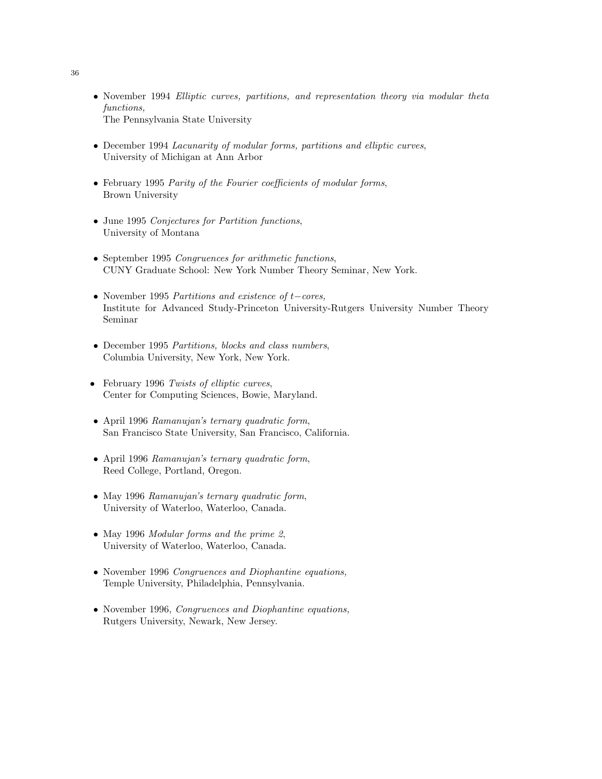- November 1994 Elliptic curves, partitions, and representation theory via modular theta functions, The Pennsylvania State University
- December 1994 Lacunarity of modular forms, partitions and elliptic curves, University of Michigan at Ann Arbor
- February 1995 Parity of the Fourier coefficients of modular forms, Brown University
- June 1995 Conjectures for Partition functions, University of Montana
- September 1995 Congruences for arithmetic functions, CUNY Graduate School: New York Number Theory Seminar, New York.
- November 1995 Partitions and existence of t−cores, Institute for Advanced Study-Princeton University-Rutgers University Number Theory Seminar
- December 1995 Partitions, blocks and class numbers, Columbia University, New York, New York.
- February 1996 Twists of elliptic curves, Center for Computing Sciences, Bowie, Maryland.
- April 1996 Ramanujan's ternary quadratic form, San Francisco State University, San Francisco, California.
- April 1996 Ramanujan's ternary quadratic form, Reed College, Portland, Oregon.
- May 1996 Ramanujan's ternary quadratic form, University of Waterloo, Waterloo, Canada.
- May 1996 Modular forms and the prime 2, University of Waterloo, Waterloo, Canada.
- November 1996 Congruences and Diophantine equations, Temple University, Philadelphia, Pennsylvania.
- November 1996, Congruences and Diophantine equations, Rutgers University, Newark, New Jersey.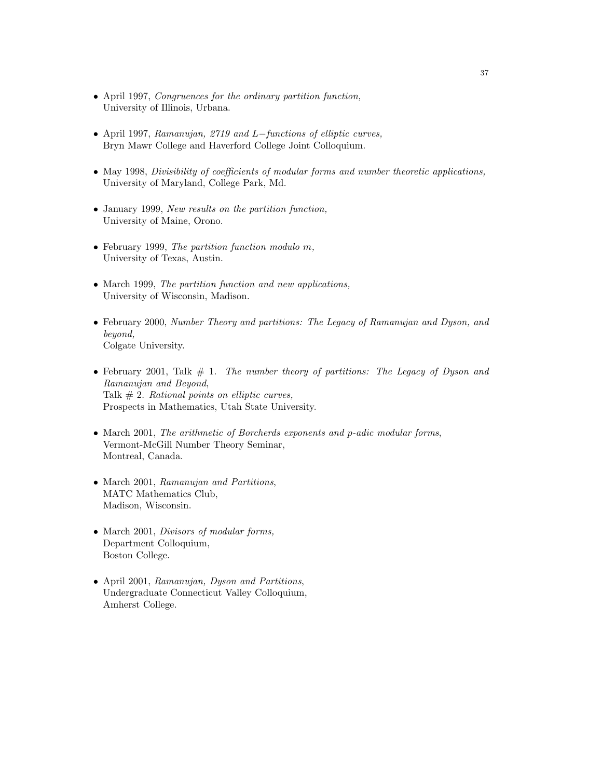- April 1997, Congruences for the ordinary partition function, University of Illinois, Urbana.
- April 1997, Ramanujan, 2719 and L−functions of elliptic curves, Bryn Mawr College and Haverford College Joint Colloquium.
- May 1998, *Divisibility of coefficients of modular forms and number theoretic applications*, University of Maryland, College Park, Md.
- January 1999, New results on the partition function, University of Maine, Orono.
- February 1999, The partition function modulo m, University of Texas, Austin.
- March 1999, The partition function and new applications, University of Wisconsin, Madison.
- February 2000, Number Theory and partitions: The Legacy of Ramanujan and Dyson, and beyond, Colgate University.
- February 2001, Talk  $# 1$ . The number theory of partitions: The Legacy of Dyson and Ramanujan and Beyond, Talk  $# 2$ . Rational points on elliptic curves, Prospects in Mathematics, Utah State University.
- March 2001, The arithmetic of Borcherds exponents and p-adic modular forms, Vermont-McGill Number Theory Seminar, Montreal, Canada.
- March 2001, Ramanujan and Partitions, MATC Mathematics Club, Madison, Wisconsin.
- March 2001, *Divisors of modular forms*, Department Colloquium, Boston College.
- April 2001, Ramanujan, Dyson and Partitions, Undergraduate Connecticut Valley Colloquium, Amherst College.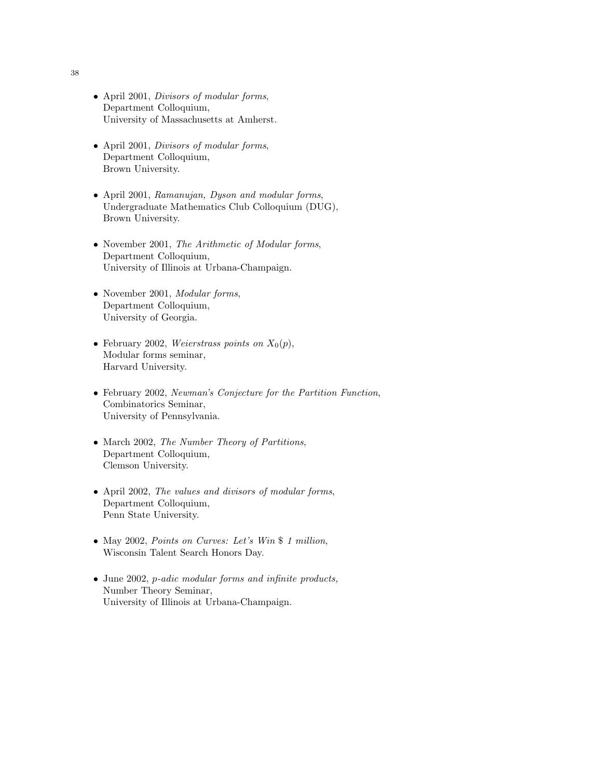- April 2001, Divisors of modular forms, Department Colloquium, University of Massachusetts at Amherst.
- April 2001, Divisors of modular forms, Department Colloquium, Brown University.
- April 2001, Ramanujan, Dyson and modular forms, Undergraduate Mathematics Club Colloquium (DUG), Brown University.
- November 2001, The Arithmetic of Modular forms, Department Colloquium, University of Illinois at Urbana-Champaign.
- November 2001, *Modular forms*, Department Colloquium, University of Georgia.
- February 2002, Weierstrass points on  $X_0(p)$ , Modular forms seminar, Harvard University.
- February 2002, Newman's Conjecture for the Partition Function, Combinatorics Seminar, University of Pennsylvania.
- March 2002, The Number Theory of Partitions, Department Colloquium, Clemson University.
- April 2002, The values and divisors of modular forms, Department Colloquium, Penn State University.
- May 2002, Points on Curves: Let's Win \$ 1 million, Wisconsin Talent Search Honors Day.
- June 2002, *p*-adic modular forms and infinite products, Number Theory Seminar, University of Illinois at Urbana-Champaign.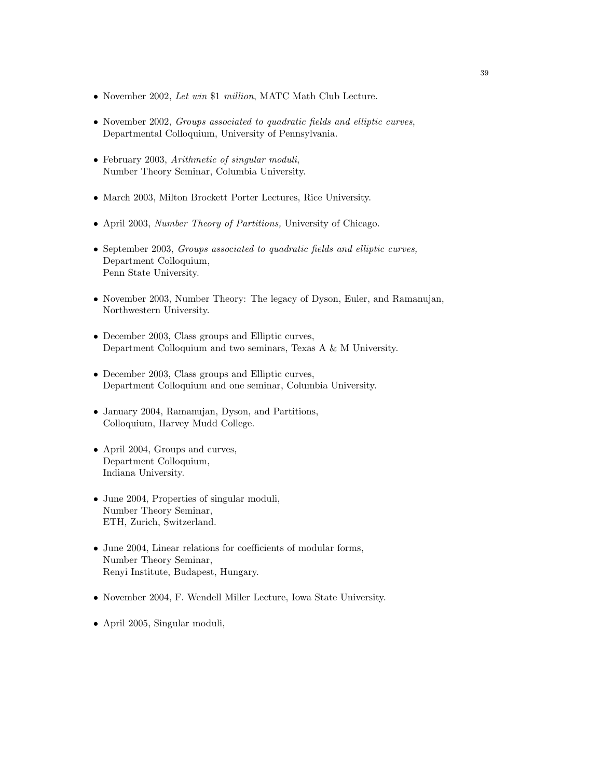- November 2002, Let win \$1 million, MATC Math Club Lecture.
- November 2002, *Groups associated to quadratic fields and elliptic curves*, Departmental Colloquium, University of Pennsylvania.
- February 2003, Arithmetic of singular moduli, Number Theory Seminar, Columbia University.
- March 2003, Milton Brockett Porter Lectures, Rice University.
- April 2003, *Number Theory of Partitions*, University of Chicago.
- September 2003, Groups associated to quadratic fields and elliptic curves, Department Colloquium, Penn State University.
- November 2003, Number Theory: The legacy of Dyson, Euler, and Ramanujan, Northwestern University.
- December 2003, Class groups and Elliptic curves, Department Colloquium and two seminars, Texas A & M University.
- December 2003, Class groups and Elliptic curves, Department Colloquium and one seminar, Columbia University.
- January 2004, Ramanujan, Dyson, and Partitions, Colloquium, Harvey Mudd College.
- April 2004, Groups and curves, Department Colloquium, Indiana University.
- June 2004, Properties of singular moduli, Number Theory Seminar, ETH, Zurich, Switzerland.
- June 2004, Linear relations for coefficients of modular forms, Number Theory Seminar, Renyi Institute, Budapest, Hungary.
- November 2004, F. Wendell Miller Lecture, Iowa State University.
- April 2005, Singular moduli,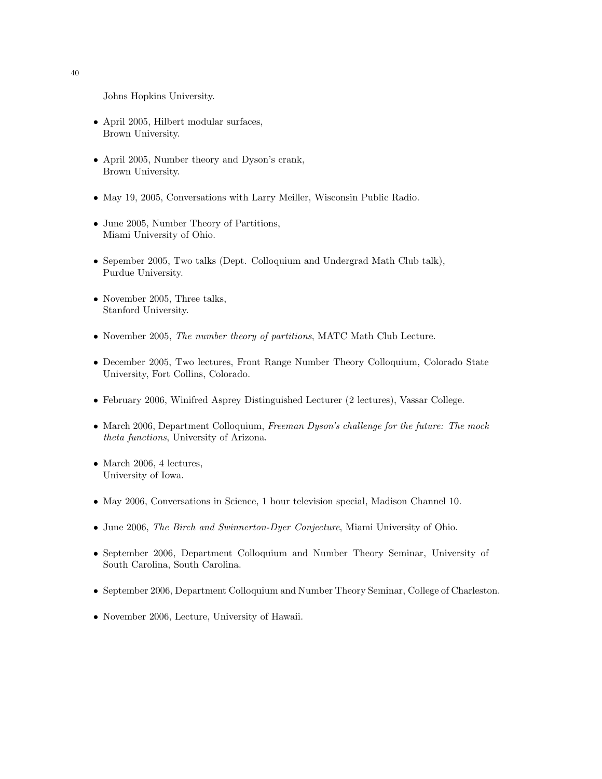Johns Hopkins University.

- April 2005, Hilbert modular surfaces, Brown University.
- April 2005, Number theory and Dyson's crank, Brown University.
- May 19, 2005, Conversations with Larry Meiller, Wisconsin Public Radio.
- June 2005, Number Theory of Partitions, Miami University of Ohio.
- Sepember 2005, Two talks (Dept. Colloquium and Undergrad Math Club talk), Purdue University.
- November 2005, Three talks, Stanford University.
- November 2005, The number theory of partitions, MATC Math Club Lecture.
- December 2005, Two lectures, Front Range Number Theory Colloquium, Colorado State University, Fort Collins, Colorado.
- February 2006, Winifred Asprey Distinguished Lecturer (2 lectures), Vassar College.
- March 2006, Department Colloquium, Freeman Dyson's challenge for the future: The mock theta functions, University of Arizona.
- March 2006, 4 lectures, University of Iowa.
- May 2006, Conversations in Science, 1 hour television special, Madison Channel 10.
- June 2006, The Birch and Swinnerton-Dyer Conjecture, Miami University of Ohio.
- September 2006, Department Colloquium and Number Theory Seminar, University of South Carolina, South Carolina.
- September 2006, Department Colloquium and Number Theory Seminar, College of Charleston.
- November 2006, Lecture, University of Hawaii.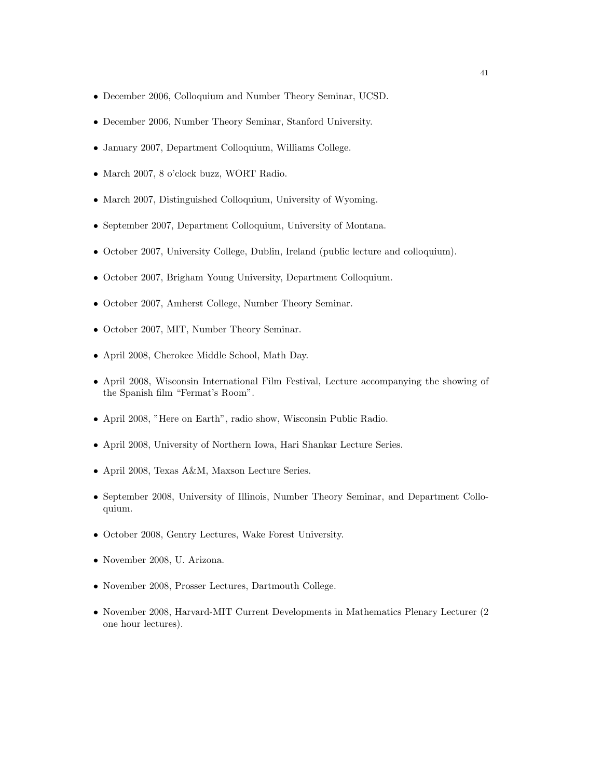- December 2006, Colloquium and Number Theory Seminar, UCSD.
- December 2006, Number Theory Seminar, Stanford University.
- January 2007, Department Colloquium, Williams College.
- March 2007, 8 o'clock buzz, WORT Radio.
- March 2007, Distinguished Colloquium, University of Wyoming.
- September 2007, Department Colloquium, University of Montana.
- October 2007, University College, Dublin, Ireland (public lecture and colloquium).
- October 2007, Brigham Young University, Department Colloquium.
- October 2007, Amherst College, Number Theory Seminar.
- October 2007, MIT, Number Theory Seminar.
- April 2008, Cherokee Middle School, Math Day.
- April 2008, Wisconsin International Film Festival, Lecture accompanying the showing of the Spanish film "Fermat's Room".
- April 2008, "Here on Earth", radio show, Wisconsin Public Radio.
- April 2008, University of Northern Iowa, Hari Shankar Lecture Series.
- April 2008, Texas A&M, Maxson Lecture Series.
- September 2008, University of Illinois, Number Theory Seminar, and Department Colloquium.
- October 2008, Gentry Lectures, Wake Forest University.
- November 2008, U. Arizona.
- November 2008, Prosser Lectures, Dartmouth College.
- November 2008, Harvard-MIT Current Developments in Mathematics Plenary Lecturer (2 one hour lectures).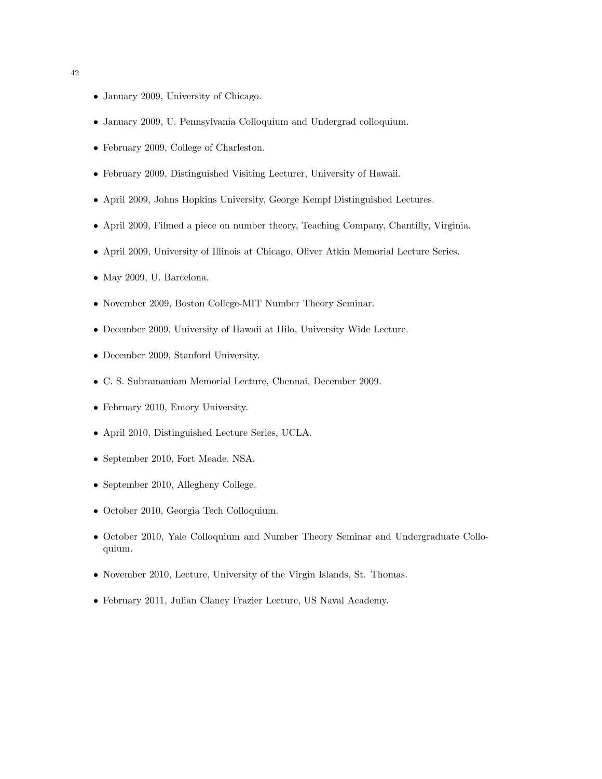- January 2009, University of Chicago.
- January 2009, U. Pennsylvania Colloquium and Undergrad colloquium.
- February 2009, College of Charleston.
- February 2009, Distinguished Visiting Lecturer, University of Hawaii.
- April 2009, Johns Hopkins University, George Kempf Distinguished Lectures.
- April 2009, Filmed a piece on number theory, Teaching Company, Chantilly, Virginia.
- April 2009, University of Illinois at Chicago, Oliver Atkin Memorial Lecture Series.
- May 2009, U. Barcelona.
- November 2009, Boston College-MIT Number Theory Seminar.
- December 2009, University of Hawaii at Hilo, University Wide Lecture.
- December 2009, Stanford University.
- C. S. Subramaniam Memorial Lecture, Chennai, December 2009.
- February 2010, Emory University.
- April 2010, Distinguished Lecture Series, UCLA.
- September 2010, Fort Meade, NSA.
- September 2010, Allegheny College.
- October 2010, Georgia Tech Colloquium.
- October 2010, Yale Colloquium and Number Theory Seminar and Undergraduate Colloquium.
- November 2010, Lecture, University of the Virgin Islands, St. Thomas.
- February 2011, Julian Clancy Frazier Lecture, US Naval Academy.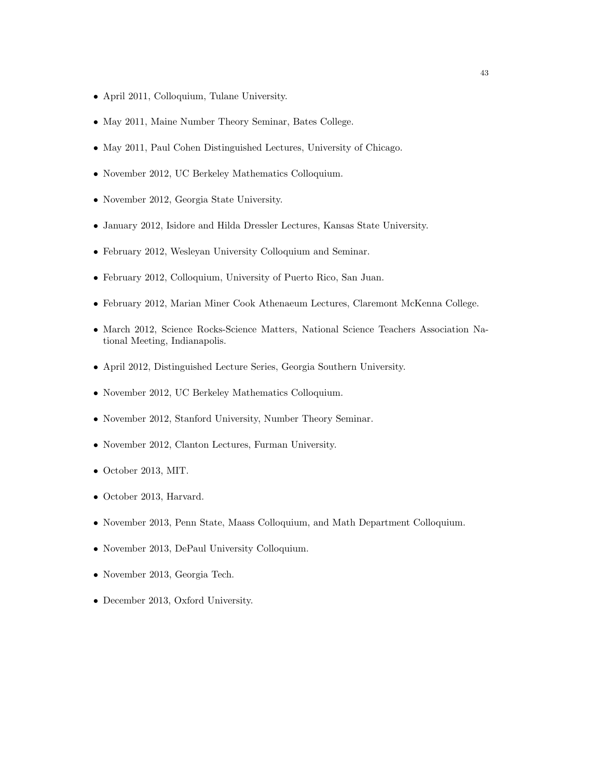- April 2011, Colloquium, Tulane University.
- May 2011, Maine Number Theory Seminar, Bates College.
- May 2011, Paul Cohen Distinguished Lectures, University of Chicago.
- November 2012, UC Berkeley Mathematics Colloquium.
- November 2012, Georgia State University.
- January 2012, Isidore and Hilda Dressler Lectures, Kansas State University.
- February 2012, Wesleyan University Colloquium and Seminar.
- February 2012, Colloquium, University of Puerto Rico, San Juan.
- February 2012, Marian Miner Cook Athenaeum Lectures, Claremont McKenna College.
- March 2012, Science Rocks-Science Matters, National Science Teachers Association National Meeting, Indianapolis.
- April 2012, Distinguished Lecture Series, Georgia Southern University.
- November 2012, UC Berkeley Mathematics Colloquium.
- November 2012, Stanford University, Number Theory Seminar.
- November 2012, Clanton Lectures, Furman University.
- October 2013, MIT.
- October 2013, Harvard.
- November 2013, Penn State, Maass Colloquium, and Math Department Colloquium.
- November 2013, DePaul University Colloquium.
- November 2013, Georgia Tech.
- December 2013, Oxford University.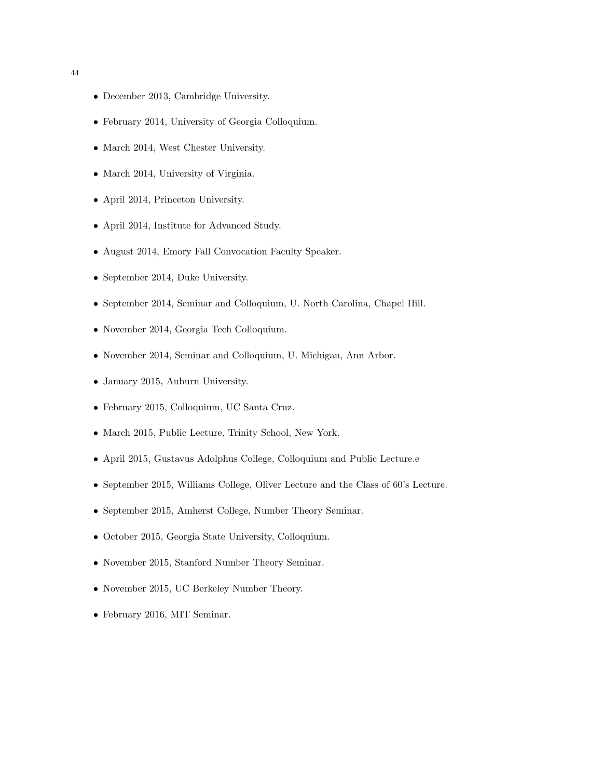- December 2013, Cambridge University.
- February 2014, University of Georgia Colloquium.
- March 2014, West Chester University.
- March 2014, University of Virginia.
- April 2014, Princeton University.
- April 2014, Institute for Advanced Study.
- August 2014, Emory Fall Convocation Faculty Speaker.
- September 2014, Duke University.
- September 2014, Seminar and Colloquium, U. North Carolina, Chapel Hill.
- November 2014, Georgia Tech Colloquium.
- November 2014, Seminar and Colloquium, U. Michigan, Ann Arbor.
- January 2015, Auburn University.
- February 2015, Colloquium, UC Santa Cruz.
- March 2015, Public Lecture, Trinity School, New York.
- April 2015, Gustavus Adolphus College, Colloquium and Public Lecture.e
- September 2015, Williams College, Oliver Lecture and the Class of 60's Lecture.
- September 2015, Amherst College, Number Theory Seminar.
- October 2015, Georgia State University, Colloquium.
- November 2015, Stanford Number Theory Seminar.
- November 2015, UC Berkeley Number Theory.
- February 2016, MIT Seminar.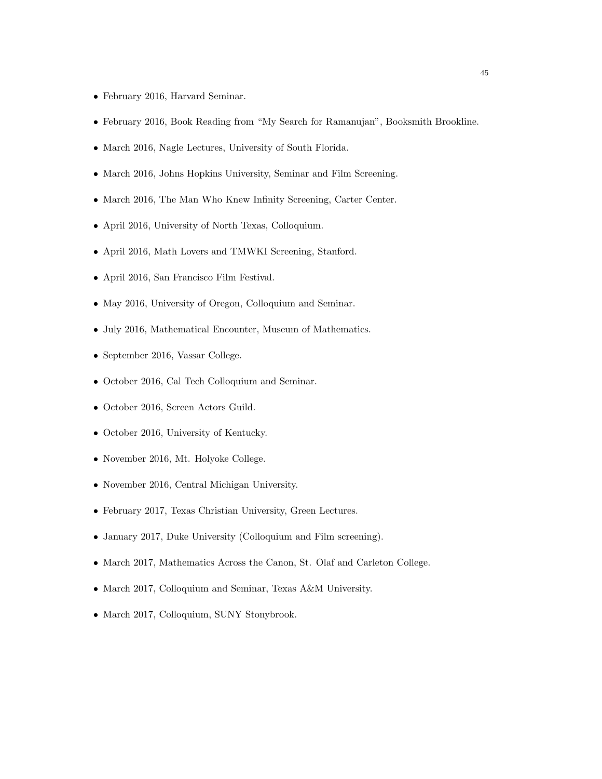- February 2016, Harvard Seminar.
- February 2016, Book Reading from "My Search for Ramanujan", Booksmith Brookline.
- March 2016, Nagle Lectures, University of South Florida.
- March 2016, Johns Hopkins University, Seminar and Film Screening.
- March 2016, The Man Who Knew Infinity Screening, Carter Center.
- April 2016, University of North Texas, Colloquium.
- April 2016, Math Lovers and TMWKI Screening, Stanford.
- April 2016, San Francisco Film Festival.
- May 2016, University of Oregon, Colloquium and Seminar.
- July 2016, Mathematical Encounter, Museum of Mathematics.
- September 2016, Vassar College.
- October 2016, Cal Tech Colloquium and Seminar.
- October 2016, Screen Actors Guild.
- October 2016, University of Kentucky.
- November 2016, Mt. Holyoke College.
- November 2016, Central Michigan University.
- February 2017, Texas Christian University, Green Lectures.
- January 2017, Duke University (Colloquium and Film screening).
- March 2017, Mathematics Across the Canon, St. Olaf and Carleton College.
- March 2017, Colloquium and Seminar, Texas A&M University.
- March 2017, Colloquium, SUNY Stonybrook.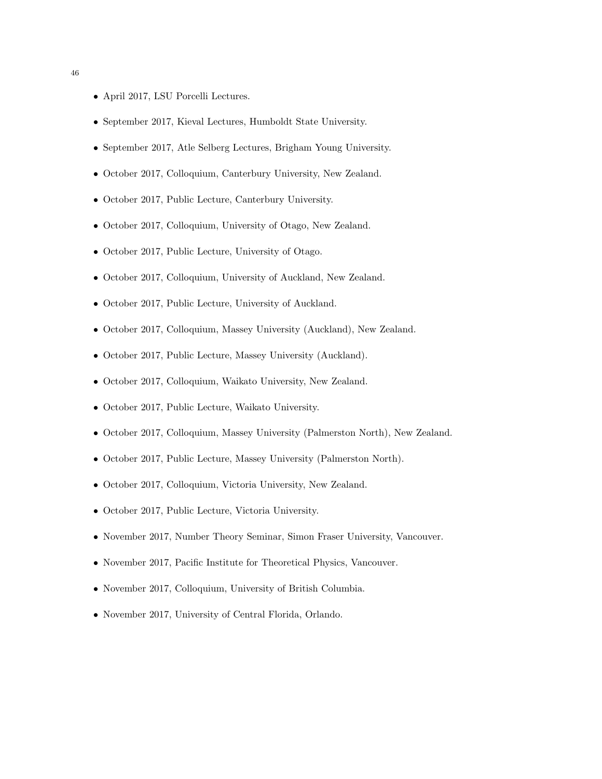- April 2017, LSU Porcelli Lectures.
- September 2017, Kieval Lectures, Humboldt State University.
- September 2017, Atle Selberg Lectures, Brigham Young University.
- October 2017, Colloquium, Canterbury University, New Zealand.
- October 2017, Public Lecture, Canterbury University.
- October 2017, Colloquium, University of Otago, New Zealand.
- October 2017, Public Lecture, University of Otago.
- October 2017, Colloquium, University of Auckland, New Zealand.
- October 2017, Public Lecture, University of Auckland.
- October 2017, Colloquium, Massey University (Auckland), New Zealand.
- October 2017, Public Lecture, Massey University (Auckland).
- October 2017, Colloquium, Waikato University, New Zealand.
- October 2017, Public Lecture, Waikato University.
- October 2017, Colloquium, Massey University (Palmerston North), New Zealand.
- October 2017, Public Lecture, Massey University (Palmerston North).
- October 2017, Colloquium, Victoria University, New Zealand.
- October 2017, Public Lecture, Victoria University.
- November 2017, Number Theory Seminar, Simon Fraser University, Vancouver.
- November 2017, Pacific Institute for Theoretical Physics, Vancouver.
- November 2017, Colloquium, University of British Columbia.
- November 2017, University of Central Florida, Orlando.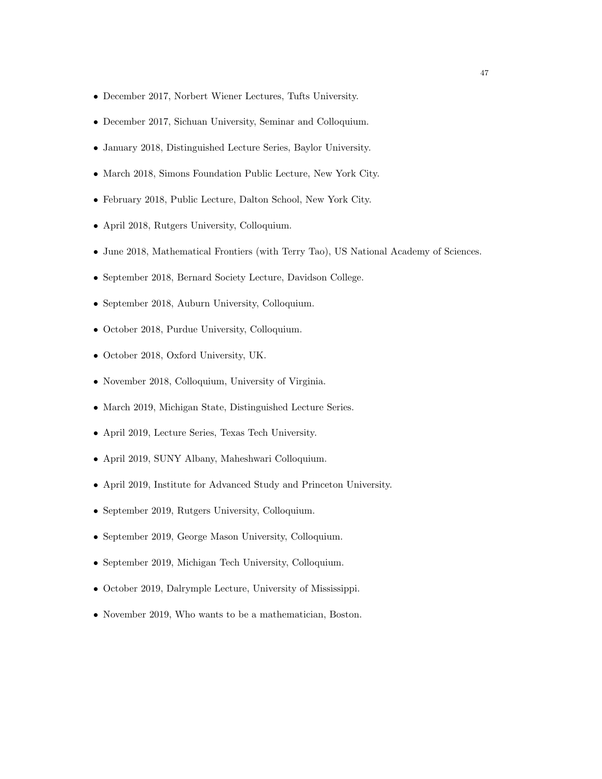- December 2017, Norbert Wiener Lectures, Tufts University.
- December 2017, Sichuan University, Seminar and Colloquium.
- January 2018, Distinguished Lecture Series, Baylor University.
- March 2018, Simons Foundation Public Lecture, New York City.
- February 2018, Public Lecture, Dalton School, New York City.
- April 2018, Rutgers University, Colloquium.
- June 2018, Mathematical Frontiers (with Terry Tao), US National Academy of Sciences.
- September 2018, Bernard Society Lecture, Davidson College.
- September 2018, Auburn University, Colloquium.
- October 2018, Purdue University, Colloquium.
- October 2018, Oxford University, UK.
- November 2018, Colloquium, University of Virginia.
- March 2019, Michigan State, Distinguished Lecture Series.
- April 2019, Lecture Series, Texas Tech University.
- April 2019, SUNY Albany, Maheshwari Colloquium.
- April 2019, Institute for Advanced Study and Princeton University.
- September 2019, Rutgers University, Colloquium.
- September 2019, George Mason University, Colloquium.
- September 2019, Michigan Tech University, Colloquium.
- October 2019, Dalrymple Lecture, University of Mississippi.
- November 2019, Who wants to be a mathematician, Boston.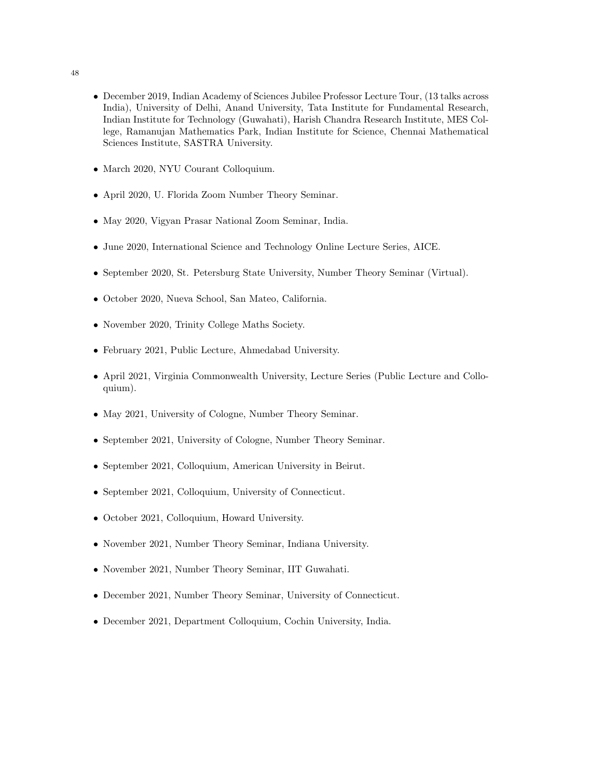- December 2019, Indian Academy of Sciences Jubilee Professor Lecture Tour, (13 talks across India), University of Delhi, Anand University, Tata Institute for Fundamental Research, Indian Institute for Technology (Guwahati), Harish Chandra Research Institute, MES College, Ramanujan Mathematics Park, Indian Institute for Science, Chennai Mathematical Sciences Institute, SASTRA University.
- March 2020, NYU Courant Colloquium.
- April 2020, U. Florida Zoom Number Theory Seminar.
- May 2020, Vigyan Prasar National Zoom Seminar, India.
- June 2020, International Science and Technology Online Lecture Series, AICE.
- September 2020, St. Petersburg State University, Number Theory Seminar (Virtual).
- October 2020, Nueva School, San Mateo, California.
- November 2020, Trinity College Maths Society.
- February 2021, Public Lecture, Ahmedabad University.
- April 2021, Virginia Commonwealth University, Lecture Series (Public Lecture and Colloquium).
- May 2021, University of Cologne, Number Theory Seminar.
- September 2021, University of Cologne, Number Theory Seminar.
- September 2021, Colloquium, American University in Beirut.
- September 2021, Colloquium, University of Connecticut.
- October 2021, Colloquium, Howard University.
- November 2021, Number Theory Seminar, Indiana University.
- November 2021, Number Theory Seminar, IIT Guwahati.
- December 2021, Number Theory Seminar, University of Connecticut.
- December 2021, Department Colloquium, Cochin University, India.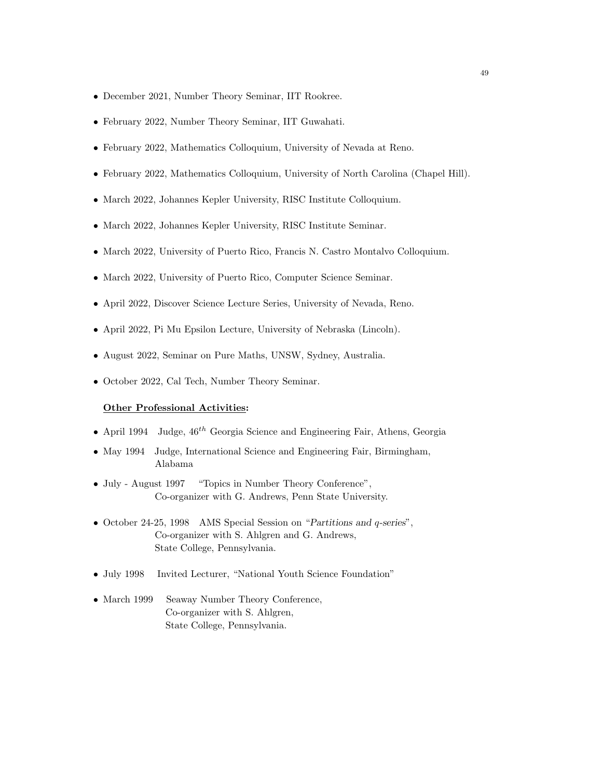- December 2021, Number Theory Seminar, IIT Rookree.
- February 2022, Number Theory Seminar, IIT Guwahati.
- February 2022, Mathematics Colloquium, University of Nevada at Reno.
- February 2022, Mathematics Colloquium, University of North Carolina (Chapel Hill).
- March 2022, Johannes Kepler University, RISC Institute Colloquium.
- March 2022, Johannes Kepler University, RISC Institute Seminar.
- March 2022, University of Puerto Rico, Francis N. Castro Montalvo Colloquium.
- March 2022, University of Puerto Rico, Computer Science Seminar.
- April 2022, Discover Science Lecture Series, University of Nevada, Reno.
- April 2022, Pi Mu Epsilon Lecture, University of Nebraska (Lincoln).
- August 2022, Seminar on Pure Maths, UNSW, Sydney, Australia.
- October 2022, Cal Tech, Number Theory Seminar.

#### Other Professional Activities:

- April 1994 Judge,  $46^{th}$  Georgia Science and Engineering Fair, Athens, Georgia
- May 1994 Judge, International Science and Engineering Fair, Birmingham, Alabama
- July August 1997 "Topics in Number Theory Conference", Co-organizer with G. Andrews, Penn State University.
- October 24-25, 1998 AMS Special Session on "Partitions and q-series", Co-organizer with S. Ahlgren and G. Andrews, State College, Pennsylvania.
- July 1998 Invited Lecturer, "National Youth Science Foundation"
- March 1999 Seaway Number Theory Conference, Co-organizer with S. Ahlgren, State College, Pennsylvania.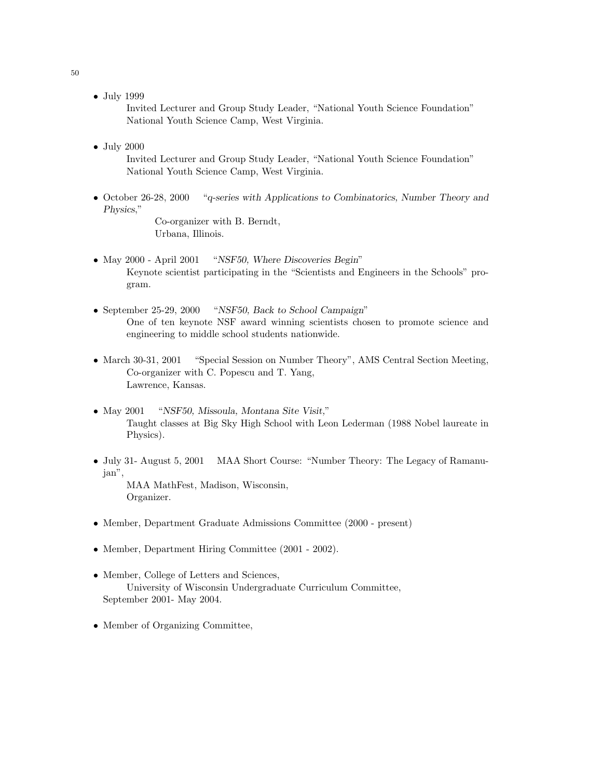• July 1999

Invited Lecturer and Group Study Leader, "National Youth Science Foundation" National Youth Science Camp, West Virginia.

• July 2000

Invited Lecturer and Group Study Leader, "National Youth Science Foundation" National Youth Science Camp, West Virginia.

• October 26-28, 2000 "q-series with Applications to Combinatorics, Number Theory and Physics,"

Co-organizer with B. Berndt, Urbana, Illinois.

- May 2000 April 2001 "NSF50, Where Discoveries Begin" Keynote scientist participating in the "Scientists and Engineers in the Schools" program.
- September 25-29, 2000 "NSF50, Back to School Campaign" One of ten keynote NSF award winning scientists chosen to promote science and engineering to middle school students nationwide.
- March 30-31, 2001 "Special Session on Number Theory", AMS Central Section Meeting, Co-organizer with C. Popescu and T. Yang, Lawrence, Kansas.
- May 2001 "NSF50, Missoula, Montana Site Visit," Taught classes at Big Sky High School with Leon Lederman (1988 Nobel laureate in Physics).
- July 31- August 5, 2001 MAA Short Course: "Number Theory: The Legacy of Ramanujan",

MAA MathFest, Madison, Wisconsin, Organizer.

- Member, Department Graduate Admissions Committee (2000 present)
- Member, Department Hiring Committee (2001 2002).
- Member, College of Letters and Sciences, University of Wisconsin Undergraduate Curriculum Committee, September 2001- May 2004.
- Member of Organizing Committee,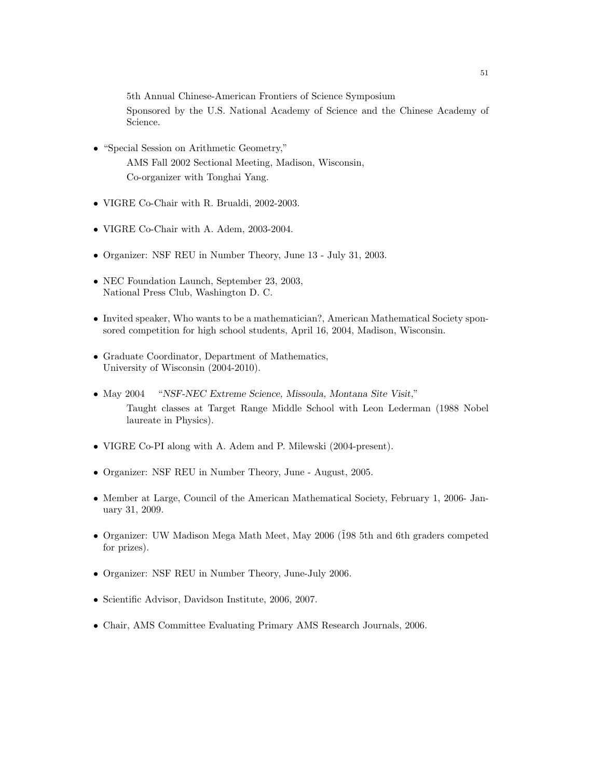5th Annual Chinese-American Frontiers of Science Symposium

Sponsored by the U.S. National Academy of Science and the Chinese Academy of Science.

- "Special Session on Arithmetic Geometry," AMS Fall 2002 Sectional Meeting, Madison, Wisconsin, Co-organizer with Tonghai Yang.
- VIGRE Co-Chair with R. Brualdi, 2002-2003.
- VIGRE Co-Chair with A. Adem, 2003-2004.
- Organizer: NSF REU in Number Theory, June 13 July 31, 2003.
- NEC Foundation Launch, September 23, 2003, National Press Club, Washington D. C.
- Invited speaker, Who wants to be a mathematician?, American Mathematical Society sponsored competition for high school students, April 16, 2004, Madison, Wisconsin.
- Graduate Coordinator, Department of Mathematics, University of Wisconsin (2004-2010).
- May 2004 "NSF-NEC Extreme Science, Missoula, Montana Site Visit," Taught classes at Target Range Middle School with Leon Lederman (1988 Nobel laureate in Physics).
- VIGRE Co-PI along with A. Adem and P. Milewski (2004-present).
- Organizer: NSF REU in Number Theory, June August, 2005.
- Member at Large, Council of the American Mathematical Society, February 1, 2006- January 31, 2009.
- Organizer: UW Madison Mega Math Meet, May 2006 ( $198$  5th and 6th graders competed for prizes).
- Organizer: NSF REU in Number Theory, June-July 2006.
- Scientific Advisor, Davidson Institute, 2006, 2007.
- Chair, AMS Committee Evaluating Primary AMS Research Journals, 2006.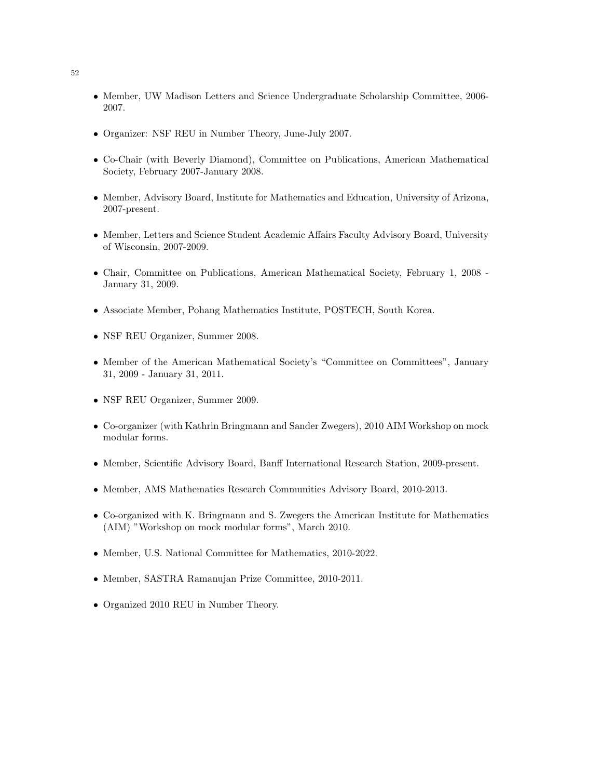- Member, UW Madison Letters and Science Undergraduate Scholarship Committee, 2006- 2007.
- Organizer: NSF REU in Number Theory, June-July 2007.
- Co-Chair (with Beverly Diamond), Committee on Publications, American Mathematical Society, February 2007-January 2008.
- Member, Advisory Board, Institute for Mathematics and Education, University of Arizona, 2007-present.
- Member, Letters and Science Student Academic Affairs Faculty Advisory Board, University of Wisconsin, 2007-2009.
- Chair, Committee on Publications, American Mathematical Society, February 1, 2008 January 31, 2009.
- Associate Member, Pohang Mathematics Institute, POSTECH, South Korea.
- NSF REU Organizer, Summer 2008.
- Member of the American Mathematical Society's "Committee on Committees", January 31, 2009 - January 31, 2011.
- NSF REU Organizer, Summer 2009.
- Co-organizer (with Kathrin Bringmann and Sander Zwegers), 2010 AIM Workshop on mock modular forms.
- Member, Scientific Advisory Board, Banff International Research Station, 2009-present.
- Member, AMS Mathematics Research Communities Advisory Board, 2010-2013.
- Co-organized with K. Bringmann and S. Zwegers the American Institute for Mathematics (AIM) "Workshop on mock modular forms", March 2010.
- Member, U.S. National Committee for Mathematics, 2010-2022.
- Member, SASTRA Ramanujan Prize Committee, 2010-2011.
- Organized 2010 REU in Number Theory.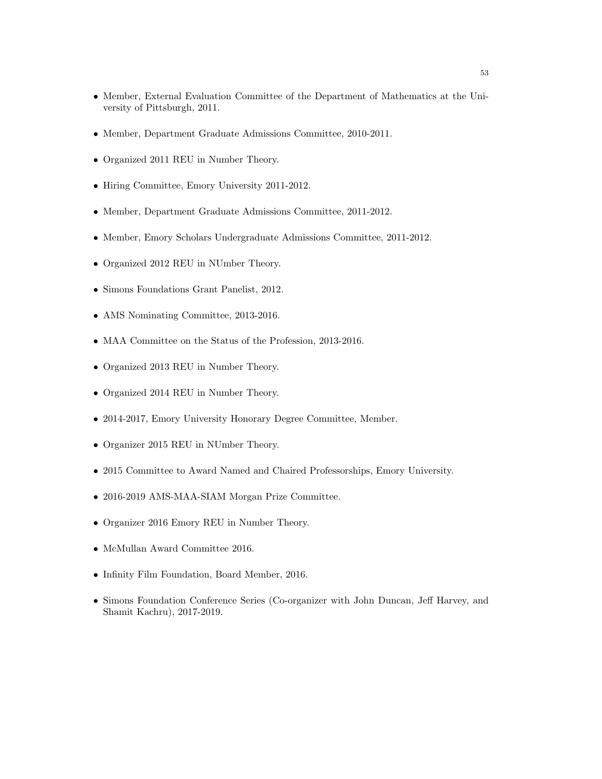- Member, External Evaluation Committee of the Department of Mathematics at the University of Pittsburgh, 2011.
- Member, Department Graduate Admissions Committee, 2010-2011.
- Organized 2011 REU in Number Theory.
- Hiring Committee, Emory University 2011-2012.
- Member, Department Graduate Admissions Committee, 2011-2012.
- Member, Emory Scholars Undergraduate Admissions Committee, 2011-2012.
- Organized 2012 REU in NUmber Theory.
- Simons Foundations Grant Panelist, 2012.
- AMS Nominating Committee, 2013-2016.
- MAA Committee on the Status of the Profession, 2013-2016.
- Organized 2013 REU in Number Theory.
- Organized 2014 REU in Number Theory.
- 2014-2017, Emory University Honorary Degree Committee, Member.
- Organizer 2015 REU in NUmber Theory.
- 2015 Committee to Award Named and Chaired Professorships, Emory University.
- 2016-2019 AMS-MAA-SIAM Morgan Prize Committee.
- Organizer 2016 Emory REU in Number Theory.
- McMullan Award Committee 2016.
- Infinity Film Foundation, Board Member, 2016.
- Simons Foundation Conference Series (Co-organizer with John Duncan, Jeff Harvey, and Shamit Kachru), 2017-2019.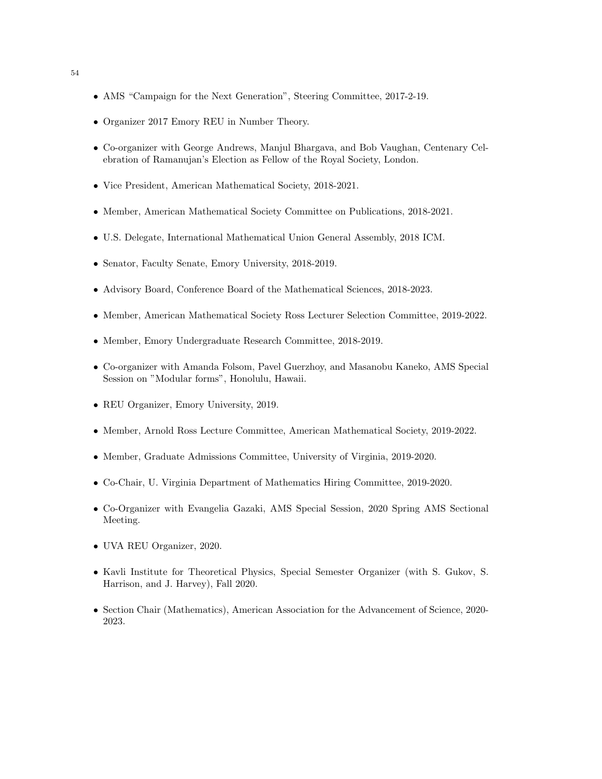- AMS "Campaign for the Next Generation", Steering Committee, 2017-2-19.
- Organizer 2017 Emory REU in Number Theory.
- Co-organizer with George Andrews, Manjul Bhargava, and Bob Vaughan, Centenary Celebration of Ramanujan's Election as Fellow of the Royal Society, London.
- Vice President, American Mathematical Society, 2018-2021.
- Member, American Mathematical Society Committee on Publications, 2018-2021.
- U.S. Delegate, International Mathematical Union General Assembly, 2018 ICM.
- Senator, Faculty Senate, Emory University, 2018-2019.
- Advisory Board, Conference Board of the Mathematical Sciences, 2018-2023.
- Member, American Mathematical Society Ross Lecturer Selection Committee, 2019-2022.
- Member, Emory Undergraduate Research Committee, 2018-2019.
- Co-organizer with Amanda Folsom, Pavel Guerzhoy, and Masanobu Kaneko, AMS Special Session on "Modular forms", Honolulu, Hawaii.
- REU Organizer, Emory University, 2019.
- Member, Arnold Ross Lecture Committee, American Mathematical Society, 2019-2022.
- Member, Graduate Admissions Committee, University of Virginia, 2019-2020.
- Co-Chair, U. Virginia Department of Mathematics Hiring Committee, 2019-2020.
- Co-Organizer with Evangelia Gazaki, AMS Special Session, 2020 Spring AMS Sectional Meeting.
- UVA REU Organizer, 2020.
- Kavli Institute for Theoretical Physics, Special Semester Organizer (with S. Gukov, S. Harrison, and J. Harvey), Fall 2020.
- Section Chair (Mathematics), American Association for the Advancement of Science, 2020-2023.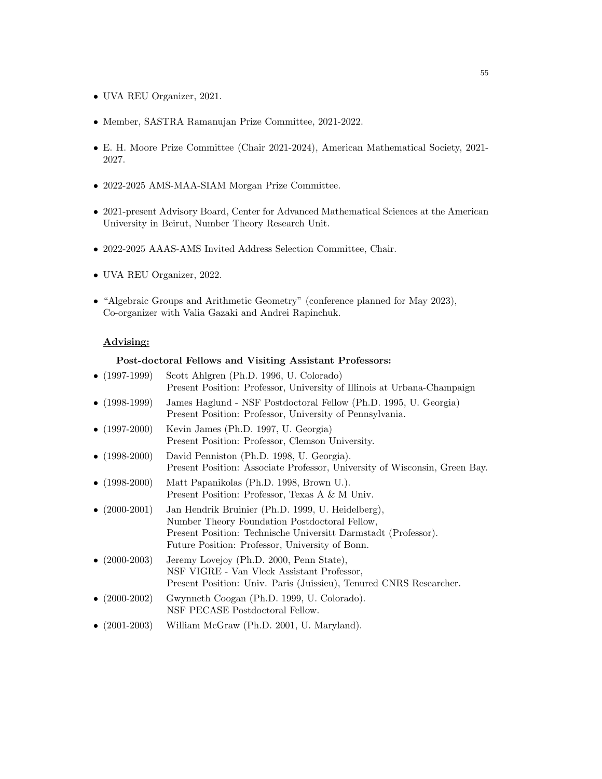- UVA REU Organizer, 2021.
- Member, SASTRA Ramanujan Prize Committee, 2021-2022.
- E. H. Moore Prize Committee (Chair 2021-2024), American Mathematical Society, 2021- 2027.
- 2022-2025 AMS-MAA-SIAM Morgan Prize Committee.
- 2021-present Advisory Board, Center for Advanced Mathematical Sciences at the American University in Beirut, Number Theory Research Unit.
- 2022-2025 AAAS-AMS Invited Address Selection Committee, Chair.
- UVA REU Organizer, 2022.
- "Algebraic Groups and Arithmetic Geometry" (conference planned for May 2023), Co-organizer with Valia Gazaki and Andrei Rapinchuk.

# Advising:

#### Post-doctoral Fellows and Visiting Assistant Professors:

| • $(1997-1999)$ | Scott Ahlgren (Ph.D. 1996, U. Colorado)<br>Present Position: Professor, University of Illinois at Urbana-Champaign                                                                                                      |
|-----------------|-------------------------------------------------------------------------------------------------------------------------------------------------------------------------------------------------------------------------|
| • $(1998-1999)$ | James Haglund - NSF Postdoctoral Fellow (Ph.D. 1995, U. Georgia)<br>Present Position: Professor, University of Pennsylvania.                                                                                            |
| • $(1997-2000)$ | Kevin James (Ph.D. 1997, U. Georgia)<br>Present Position: Professor, Clemson University.                                                                                                                                |
| • $(1998-2000)$ | David Penniston (Ph.D. 1998, U. Georgia).<br>Present Position: Associate Professor, University of Wisconsin, Green Bay.                                                                                                 |
| • $(1998-2000)$ | Matt Papanikolas (Ph.D. 1998, Brown U.).<br>Present Position: Professor, Texas A & M Univ.                                                                                                                              |
| • $(2000-2001)$ | Jan Hendrik Bruinier (Ph.D. 1999, U. Heidelberg),<br>Number Theory Foundation Postdoctoral Fellow,<br>Present Position: Technische Universitt Darmstadt (Professor).<br>Future Position: Professor, University of Bonn. |
| • $(2000-2003)$ | Jeremy Lovejoy (Ph.D. 2000, Penn State),<br>NSF VIGRE - Van Vleck Assistant Professor,<br>Present Position: Univ. Paris (Juissieu), Tenured CNRS Researcher.                                                            |
| • $(2000-2002)$ | Gwynneth Coogan (Ph.D. 1999, U. Colorado).<br>NSF PECASE Postdoctoral Fellow.                                                                                                                                           |
| • $(2001-2003)$ | William McGraw (Ph.D. 2001, U. Maryland).                                                                                                                                                                               |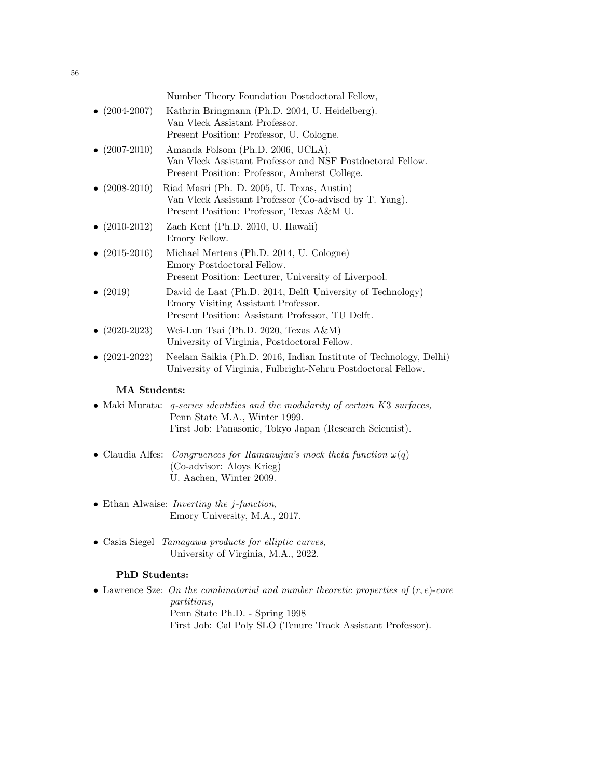|                       | Number Theory Foundation Postdoctoral Fellow,                                                                                                                                                                                                                                                                                                                   |
|-----------------------|-----------------------------------------------------------------------------------------------------------------------------------------------------------------------------------------------------------------------------------------------------------------------------------------------------------------------------------------------------------------|
| $\bullet$ (2004-2007) | Kathrin Bringmann (Ph.D. 2004, U. Heidelberg).<br>Van Vleck Assistant Professor.<br>Present Position: Professor, U. Cologne.                                                                                                                                                                                                                                    |
| $\bullet$ (2007-2010) | Amanda Folsom (Ph.D. 2006, UCLA).<br>Van Vleck Assistant Professor and NSF Postdoctoral Fellow.<br>Present Position: Professor, Amherst College.                                                                                                                                                                                                                |
| • $(2008-2010)$       | Riad Masri (Ph. D. 2005, U. Texas, Austin)<br>Van Vleck Assistant Professor (Co-advised by T. Yang).<br>Present Position: Professor, Texas A&M U.                                                                                                                                                                                                               |
| $\bullet$ (2010-2012) | Zach Kent (Ph.D. 2010, U. Hawaii)<br>Emory Fellow.                                                                                                                                                                                                                                                                                                              |
| • $(2015-2016)$       | Michael Mertens (Ph.D. 2014, U. Cologne)<br>Emory Postdoctoral Fellow.<br>Present Position: Lecturer, University of Liverpool.                                                                                                                                                                                                                                  |
| • $(2019)$            | David de Laat (Ph.D. 2014, Delft University of Technology)<br>Emory Visiting Assistant Professor.<br>Present Position: Assistant Professor, TU Delft.                                                                                                                                                                                                           |
| $\bullet$ (2020-2023) | Wei-Lun Tsai (Ph.D. 2020, Texas A&M)<br>University of Virginia, Postdoctoral Fellow.                                                                                                                                                                                                                                                                            |
| $\bullet$ (2021-2022) | Neelam Saikia (Ph.D. 2016, Indian Institute of Technology, Delhi)<br>University of Virginia, Fulbright-Nehru Postdoctoral Fellow.                                                                                                                                                                                                                               |
| <b>MA</b> Students:   |                                                                                                                                                                                                                                                                                                                                                                 |
| .                     | $\mathbf{y}$ $\mathbf{y}$ $\mathbf{y}$ $\mathbf{y}$ $\mathbf{z}$ $\mathbf{z}$ $\mathbf{z}$ $\mathbf{z}$ $\mathbf{z}$ $\mathbf{z}$ $\mathbf{z}$ $\mathbf{z}$ $\mathbf{z}$ $\mathbf{z}$ $\mathbf{z}$ $\mathbf{z}$ $\mathbf{z}$ $\mathbf{z}$ $\mathbf{z}$ $\mathbf{z}$ $\mathbf{z}$ $\mathbf{z}$ $\mathbf{z}$ $\mathbf{z}$ $\mathbf{$<br>$\mathbf{r}$ $\mathbf{r}$ |

## • Maki Murata: q-series identities and the modularity of certain K3 surfaces, Penn State M.A., Winter 1999. First Job: Panasonic, Tokyo Japan (Research Scientist).

- Claudia Alfes: Congruences for Ramanujan's mock theta function  $\omega(q)$ (Co-advisor: Aloys Krieg) U. Aachen, Winter 2009.
- Ethan Alwaise: Inverting the j-function, Emory University, M.A., 2017.
- Casia Siegel Tamagawa products for elliptic curves, University of Virginia, M.A., 2022.

# PhD Students:

• Lawrence Sze: On the combinatorial and number theoretic properties of  $(r, e)$ -core partitions, Penn State Ph.D. - Spring 1998 First Job: Cal Poly SLO (Tenure Track Assistant Professor).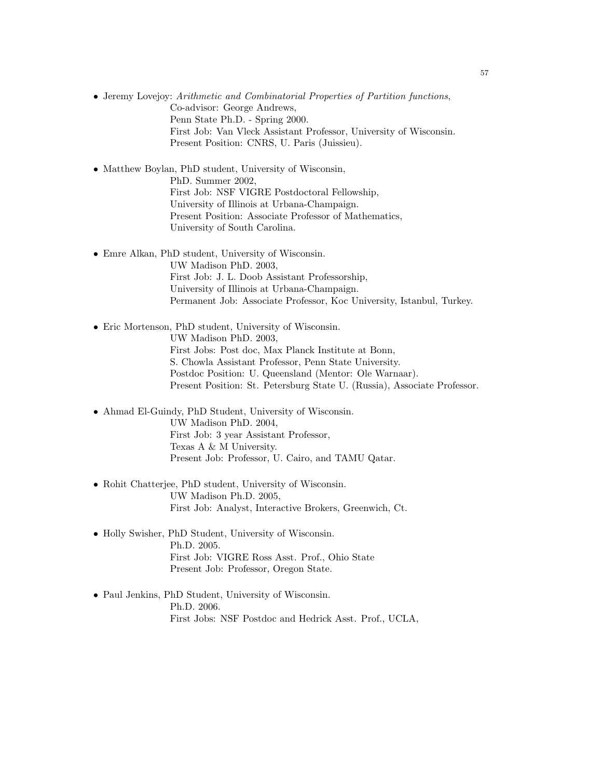• Jeremy Lovejoy: Arithmetic and Combinatorial Properties of Partition functions, Co-advisor: George Andrews, Penn State Ph.D. - Spring 2000. First Job: Van Vleck Assistant Professor, University of Wisconsin. Present Position: CNRS, U. Paris (Juissieu).

• Matthew Boylan, PhD student, University of Wisconsin, PhD. Summer 2002, First Job: NSF VIGRE Postdoctoral Fellowship, University of Illinois at Urbana-Champaign. Present Position: Associate Professor of Mathematics, University of South Carolina.

- Emre Alkan, PhD student, University of Wisconsin. UW Madison PhD. 2003, First Job: J. L. Doob Assistant Professorship, University of Illinois at Urbana-Champaign. Permanent Job: Associate Professor, Koc University, Istanbul, Turkey.
- Eric Mortenson, PhD student, University of Wisconsin. UW Madison PhD. 2003, First Jobs: Post doc, Max Planck Institute at Bonn, S. Chowla Assistant Professor, Penn State University. Postdoc Position: U. Queensland (Mentor: Ole Warnaar). Present Position: St. Petersburg State U. (Russia), Associate Professor.
- Ahmad El-Guindy, PhD Student, University of Wisconsin. UW Madison PhD. 2004, First Job: 3 year Assistant Professor, Texas A & M University. Present Job: Professor, U. Cairo, and TAMU Qatar.
- Rohit Chatterjee, PhD student, University of Wisconsin. UW Madison Ph.D. 2005, First Job: Analyst, Interactive Brokers, Greenwich, Ct.
- Holly Swisher, PhD Student, University of Wisconsin. Ph.D. 2005. First Job: VIGRE Ross Asst. Prof., Ohio State Present Job: Professor, Oregon State.
- Paul Jenkins, PhD Student, University of Wisconsin. Ph.D. 2006. First Jobs: NSF Postdoc and Hedrick Asst. Prof., UCLA,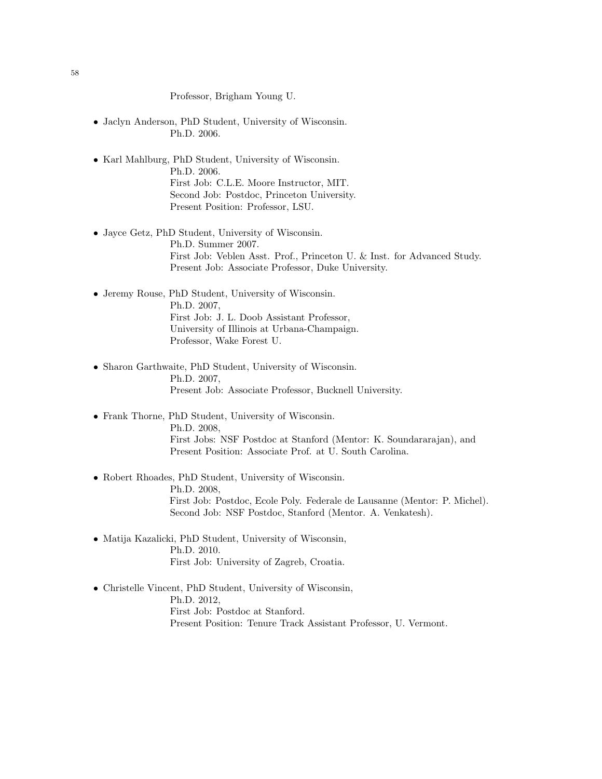Professor, Brigham Young U.

- Jaclyn Anderson, PhD Student, University of Wisconsin. Ph.D. 2006.
- Karl Mahlburg, PhD Student, University of Wisconsin. Ph.D. 2006. First Job: C.L.E. Moore Instructor, MIT. Second Job: Postdoc, Princeton University. Present Position: Professor, LSU.
- Jayce Getz, PhD Student, University of Wisconsin. Ph.D. Summer 2007. First Job: Veblen Asst. Prof., Princeton U. & Inst. for Advanced Study. Present Job: Associate Professor, Duke University.
- Jeremy Rouse, PhD Student, University of Wisconsin. Ph.D. 2007, First Job: J. L. Doob Assistant Professor, University of Illinois at Urbana-Champaign. Professor, Wake Forest U.
- Sharon Garthwaite, PhD Student, University of Wisconsin. Ph.D. 2007, Present Job: Associate Professor, Bucknell University.
- Frank Thorne, PhD Student, University of Wisconsin. Ph.D. 2008, First Jobs: NSF Postdoc at Stanford (Mentor: K. Soundararajan), and Present Position: Associate Prof. at U. South Carolina.
- Robert Rhoades, PhD Student, University of Wisconsin. Ph.D. 2008, First Job: Postdoc, Ecole Poly. Federale de Lausanne (Mentor: P. Michel). Second Job: NSF Postdoc, Stanford (Mentor. A. Venkatesh).
- Matija Kazalicki, PhD Student, University of Wisconsin, Ph.D. 2010. First Job: University of Zagreb, Croatia.
- Christelle Vincent, PhD Student, University of Wisconsin, Ph.D. 2012, First Job: Postdoc at Stanford. Present Position: Tenure Track Assistant Professor, U. Vermont.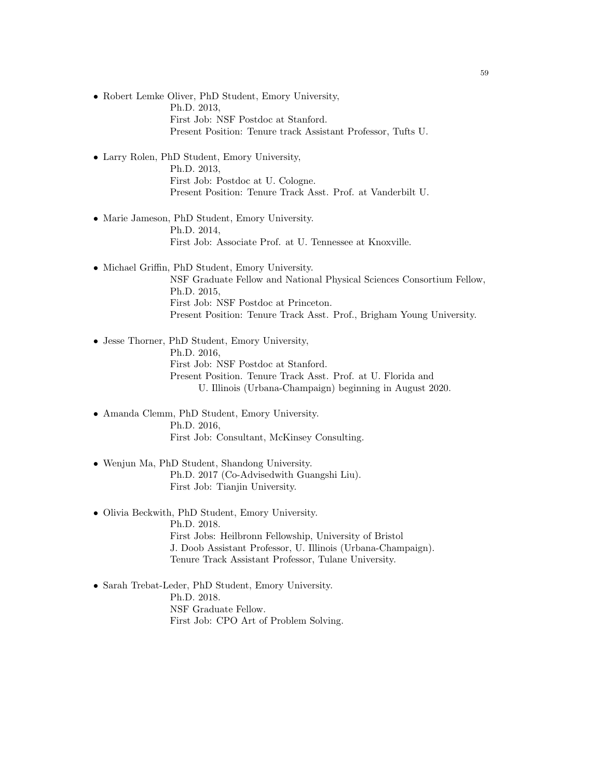- Robert Lemke Oliver, PhD Student, Emory University, Ph.D. 2013, First Job: NSF Postdoc at Stanford. Present Position: Tenure track Assistant Professor, Tufts U.
- Larry Rolen, PhD Student, Emory University, Ph.D. 2013, First Job: Postdoc at U. Cologne. Present Position: Tenure Track Asst. Prof. at Vanderbilt U.
- Marie Jameson, PhD Student, Emory University. Ph.D. 2014, First Job: Associate Prof. at U. Tennessee at Knoxville.
- Michael Griffin, PhD Student, Emory University. NSF Graduate Fellow and National Physical Sciences Consortium Fellow, Ph.D. 2015, First Job: NSF Postdoc at Princeton. Present Position: Tenure Track Asst. Prof., Brigham Young University.
- Jesse Thorner, PhD Student, Emory University, Ph.D. 2016, First Job: NSF Postdoc at Stanford. Present Position. Tenure Track Asst. Prof. at U. Florida and U. Illinois (Urbana-Champaign) beginning in August 2020.
- Amanda Clemm, PhD Student, Emory University. Ph.D. 2016, First Job: Consultant, McKinsey Consulting.
- Wenjun Ma, PhD Student, Shandong University. Ph.D. 2017 (Co-Advisedwith Guangshi Liu). First Job: Tianjin University.
- Olivia Beckwith, PhD Student, Emory University. Ph.D. 2018. First Jobs: Heilbronn Fellowship, University of Bristol J. Doob Assistant Professor, U. Illinois (Urbana-Champaign). Tenure Track Assistant Professor, Tulane University.
- Sarah Trebat-Leder, PhD Student, Emory University. Ph.D. 2018. NSF Graduate Fellow. First Job: CPO Art of Problem Solving.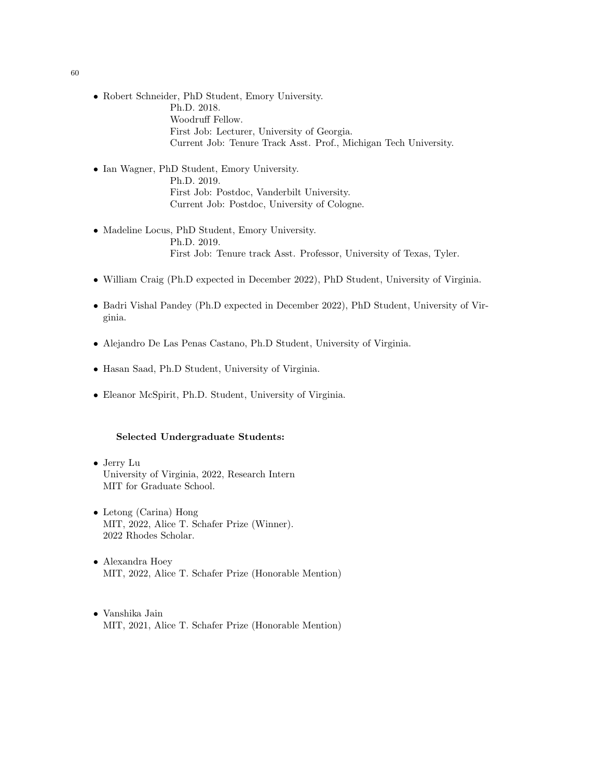- Robert Schneider, PhD Student, Emory University. Ph.D. 2018. Woodruff Fellow. First Job: Lecturer, University of Georgia. Current Job: Tenure Track Asst. Prof., Michigan Tech University.
- Ian Wagner, PhD Student, Emory University. Ph.D. 2019. First Job: Postdoc, Vanderbilt University. Current Job: Postdoc, University of Cologne.
- Madeline Locus, PhD Student, Emory University. Ph.D. 2019. First Job: Tenure track Asst. Professor, University of Texas, Tyler.
- William Craig (Ph.D expected in December 2022), PhD Student, University of Virginia.
- Badri Vishal Pandey (Ph.D expected in December 2022), PhD Student, University of Virginia.
- Alejandro De Las Penas Castano, Ph.D Student, University of Virginia.
- Hasan Saad, Ph.D Student, University of Virginia.
- Eleanor McSpirit, Ph.D. Student, University of Virginia.

## Selected Undergraduate Students:

- Jerry Lu University of Virginia, 2022, Research Intern MIT for Graduate School.
- Letong (Carina) Hong MIT, 2022, Alice T. Schafer Prize (Winner). 2022 Rhodes Scholar.
- Alexandra Hoey MIT, 2022, Alice T. Schafer Prize (Honorable Mention)
- Vanshika Jain MIT, 2021, Alice T. Schafer Prize (Honorable Mention)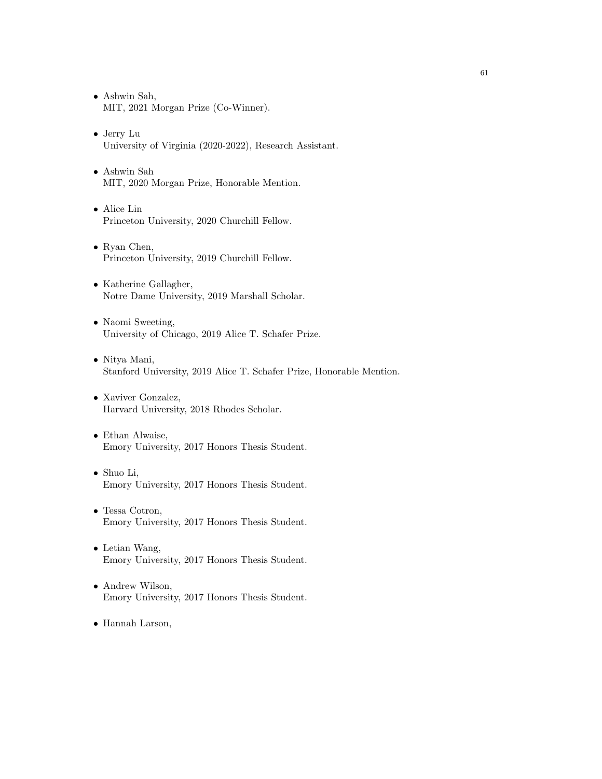- Ashwin Sah, MIT, 2021 Morgan Prize (Co-Winner).
- Jerry Lu University of Virginia (2020-2022), Research Assistant.
- Ashwin Sah MIT, 2020 Morgan Prize, Honorable Mention.
- Alice Lin Princeton University, 2020 Churchill Fellow.
- Ryan Chen, Princeton University, 2019 Churchill Fellow.
- Katherine Gallagher, Notre Dame University, 2019 Marshall Scholar.
- Naomi Sweeting, University of Chicago, 2019 Alice T. Schafer Prize.
- Nitya Mani, Stanford University, 2019 Alice T. Schafer Prize, Honorable Mention.
- Xaviver Gonzalez, Harvard University, 2018 Rhodes Scholar.
- Ethan Alwaise, Emory University, 2017 Honors Thesis Student.
- Shuo Li, Emory University, 2017 Honors Thesis Student.
- Tessa Cotron, Emory University, 2017 Honors Thesis Student.
- Letian Wang, Emory University, 2017 Honors Thesis Student.
- Andrew Wilson, Emory University, 2017 Honors Thesis Student.
- Hannah Larson,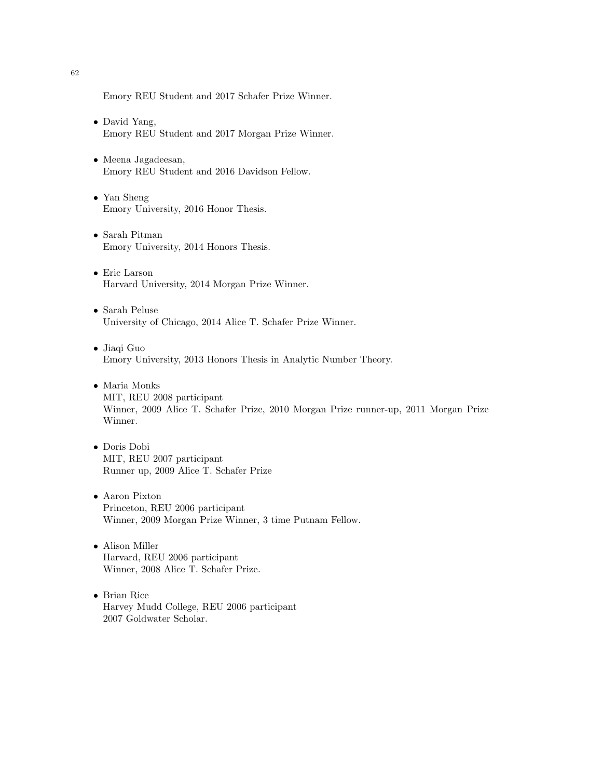Emory REU Student and 2017 Schafer Prize Winner.

- David Yang, Emory REU Student and 2017 Morgan Prize Winner.
- Meena Jagadeesan, Emory REU Student and 2016 Davidson Fellow.
- Yan Sheng Emory University, 2016 Honor Thesis.
- Sarah Pitman Emory University, 2014 Honors Thesis.
- Eric Larson Harvard University, 2014 Morgan Prize Winner.
- Sarah Peluse University of Chicago, 2014 Alice T. Schafer Prize Winner.
- Jiaqi Guo Emory University, 2013 Honors Thesis in Analytic Number Theory.
- Maria Monks MIT, REU 2008 participant Winner, 2009 Alice T. Schafer Prize, 2010 Morgan Prize runner-up, 2011 Morgan Prize Winner.
- Doris Dobi MIT, REU 2007 participant Runner up, 2009 Alice T. Schafer Prize
- Aaron Pixton Princeton, REU 2006 participant Winner, 2009 Morgan Prize Winner, 3 time Putnam Fellow.
- Alison Miller Harvard, REU 2006 participant Winner, 2008 Alice T. Schafer Prize.
- Brian Rice Harvey Mudd College, REU 2006 participant 2007 Goldwater Scholar.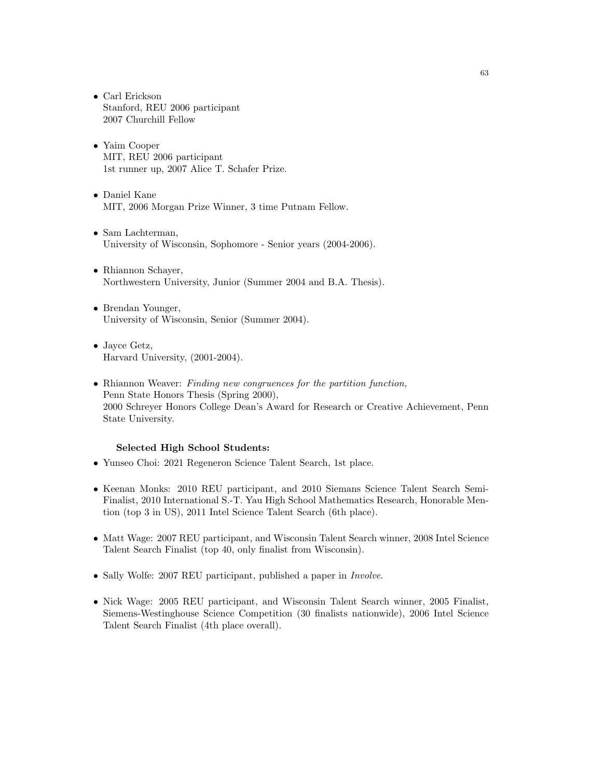- Carl Erickson Stanford, REU 2006 participant 2007 Churchill Fellow
- Yaim Cooper MIT, REU 2006 participant 1st runner up, 2007 Alice T. Schafer Prize.
- Daniel Kane MIT, 2006 Morgan Prize Winner, 3 time Putnam Fellow.
- Sam Lachterman, University of Wisconsin, Sophomore - Senior years (2004-2006).
- Rhiannon Schayer, Northwestern University, Junior (Summer 2004 and B.A. Thesis).
- Brendan Younger, University of Wisconsin, Senior (Summer 2004).
- Jayce Getz, Harvard University, (2001-2004).
- Rhiannon Weaver: Finding new congruences for the partition function, Penn State Honors Thesis (Spring 2000), 2000 Schreyer Honors College Dean's Award for Research or Creative Achievement, Penn State University.

### Selected High School Students:

- Yunseo Choi: 2021 Regeneron Science Talent Search, 1st place.
- Keenan Monks: 2010 REU participant, and 2010 Siemans Science Talent Search Semi-Finalist, 2010 International S.-T. Yau High School Mathematics Research, Honorable Mention (top 3 in US), 2011 Intel Science Talent Search (6th place).
- Matt Wage: 2007 REU participant, and Wisconsin Talent Search winner, 2008 Intel Science Talent Search Finalist (top 40, only finalist from Wisconsin).
- Sally Wolfe: 2007 REU participant, published a paper in *Involve*.
- Nick Wage: 2005 REU participant, and Wisconsin Talent Search winner, 2005 Finalist, Siemens-Westinghouse Science Competition (30 finalists nationwide), 2006 Intel Science Talent Search Finalist (4th place overall).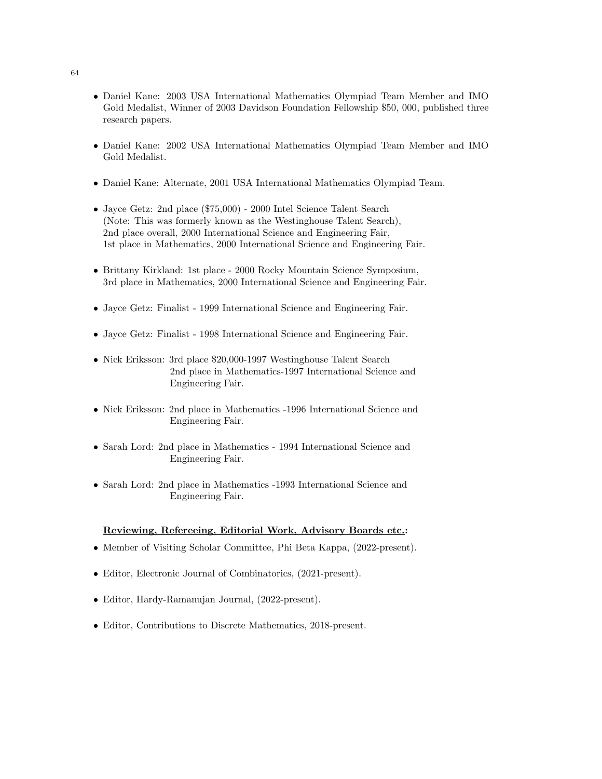- Daniel Kane: 2003 USA International Mathematics Olympiad Team Member and IMO Gold Medalist, Winner of 2003 Davidson Foundation Fellowship \$50, 000, published three research papers.
- Daniel Kane: 2002 USA International Mathematics Olympiad Team Member and IMO Gold Medalist.
- Daniel Kane: Alternate, 2001 USA International Mathematics Olympiad Team.
- Jayce Getz: 2nd place (\$75,000) 2000 Intel Science Talent Search (Note: This was formerly known as the Westinghouse Talent Search), 2nd place overall, 2000 International Science and Engineering Fair, 1st place in Mathematics, 2000 International Science and Engineering Fair.
- Brittany Kirkland: 1st place 2000 Rocky Mountain Science Symposium, 3rd place in Mathematics, 2000 International Science and Engineering Fair.
- Jayce Getz: Finalist 1999 International Science and Engineering Fair.
- Jayce Getz: Finalist 1998 International Science and Engineering Fair.
- Nick Eriksson: 3rd place \$20,000-1997 Westinghouse Talent Search 2nd place in Mathematics-1997 International Science and Engineering Fair.
- Nick Eriksson: 2nd place in Mathematics -1996 International Science and Engineering Fair.
- Sarah Lord: 2nd place in Mathematics 1994 International Science and Engineering Fair.
- Sarah Lord: 2nd place in Mathematics -1993 International Science and Engineering Fair.

### Reviewing, Refereeing, Editorial Work, Advisory Boards etc.:

- Member of Visiting Scholar Committee, Phi Beta Kappa, (2022-present).
- Editor, Electronic Journal of Combinatorics, (2021-present).
- Editor, Hardy-Ramanujan Journal, (2022-present).
- Editor, Contributions to Discrete Mathematics, 2018-present.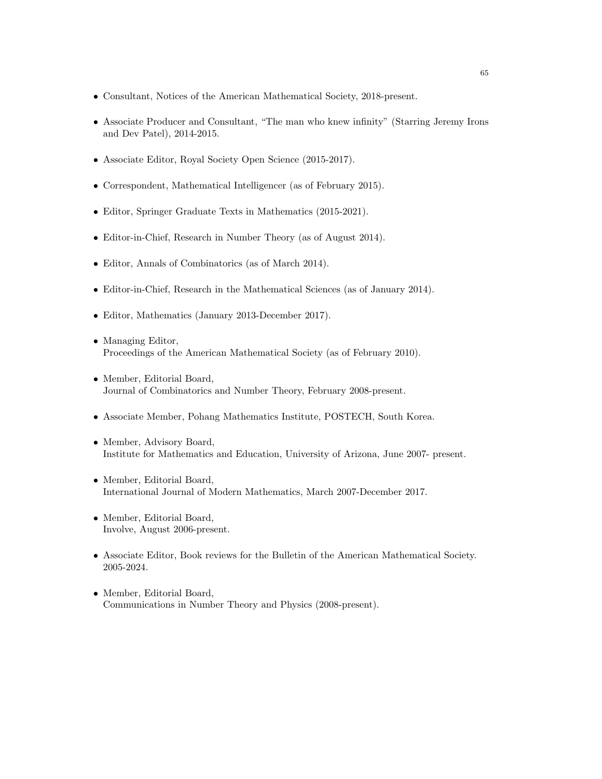- Consultant, Notices of the American Mathematical Society, 2018-present.
- Associate Producer and Consultant, "The man who knew infinity" (Starring Jeremy Irons and Dev Patel), 2014-2015.
- Associate Editor, Royal Society Open Science (2015-2017).
- Correspondent, Mathematical Intelligencer (as of February 2015).
- Editor, Springer Graduate Texts in Mathematics (2015-2021).
- Editor-in-Chief, Research in Number Theory (as of August 2014).
- Editor, Annals of Combinatorics (as of March 2014).
- Editor-in-Chief, Research in the Mathematical Sciences (as of January 2014).
- Editor, Mathematics (January 2013-December 2017).
- Managing Editor, Proceedings of the American Mathematical Society (as of February 2010).
- Member, Editorial Board, Journal of Combinatorics and Number Theory, February 2008-present.
- Associate Member, Pohang Mathematics Institute, POSTECH, South Korea.
- Member, Advisory Board, Institute for Mathematics and Education, University of Arizona, June 2007- present.
- Member, Editorial Board, International Journal of Modern Mathematics, March 2007-December 2017.
- Member, Editorial Board, Involve, August 2006-present.
- Associate Editor, Book reviews for the Bulletin of the American Mathematical Society. 2005-2024.
- Member, Editorial Board, Communications in Number Theory and Physics (2008-present).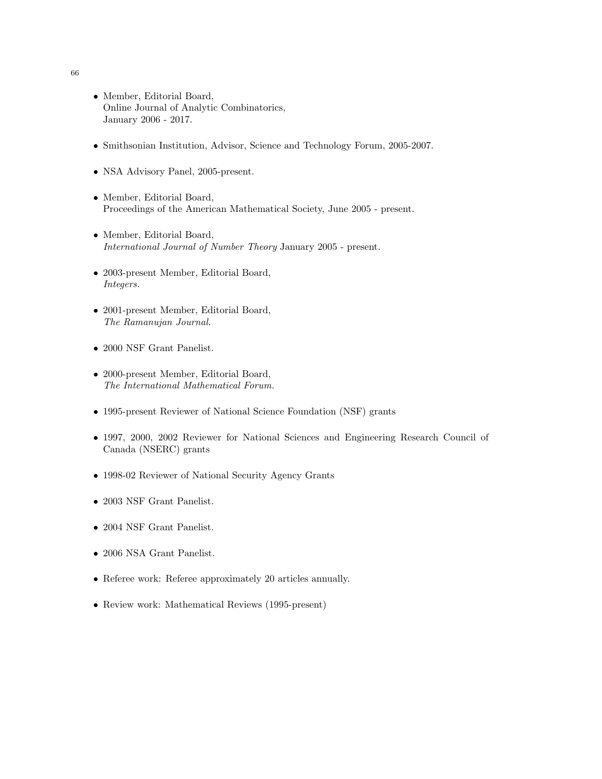- Member, Editorial Board, Online Journal of Analytic Combinatorics, January 2006 - 2017.
- Smithsonian Institution, Advisor, Science and Technology Forum, 2005-2007.
- NSA Advisory Panel, 2005-present.
- Member, Editorial Board, Proceedings of the American Mathematical Society, June 2005 - present.
- Member, Editorial Board, International Journal of Number Theory January 2005 - present.
- 2003-present Member, Editorial Board, Integers.
- 2001-present Member, Editorial Board, The Ramanujan Journal.
- 2000 NSF Grant Panelist.
- 2000-present Member, Editorial Board, The International Mathematical Forum.
- 1995-present Reviewer of National Science Foundation (NSF) grants
- 1997, 2000, 2002 Reviewer for National Sciences and Engineering Research Council of Canada (NSERC) grants
- 1998-02 Reviewer of National Security Agency Grants
- 2003 NSF Grant Panelist.
- 2004 NSF Grant Panelist.
- 2006 NSA Grant Panelist.
- Referee work: Referee approximately 20 articles annually.
- Review work: Mathematical Reviews (1995-present)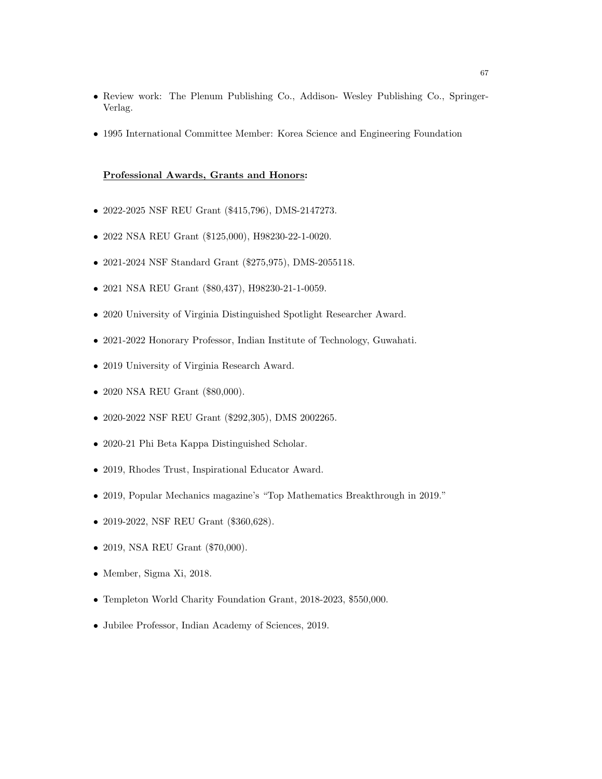- Review work: The Plenum Publishing Co., Addison- Wesley Publishing Co., Springer-Verlag.
- 1995 International Committee Member: Korea Science and Engineering Foundation

#### Professional Awards, Grants and Honors:

- 2022-2025 NSF REU Grant (\$415,796), DMS-2147273.
- 2022 NSA REU Grant (\$125,000), H98230-22-1-0020.
- 2021-2024 NSF Standard Grant (\$275,975), DMS-2055118.
- 2021 NSA REU Grant (\$80,437), H98230-21-1-0059.
- 2020 University of Virginia Distinguished Spotlight Researcher Award.
- 2021-2022 Honorary Professor, Indian Institute of Technology, Guwahati.
- 2019 University of Virginia Research Award.
- 2020 NSA REU Grant (\$80,000).
- 2020-2022 NSF REU Grant (\$292,305), DMS 2002265.
- 2020-21 Phi Beta Kappa Distinguished Scholar.
- 2019, Rhodes Trust, Inspirational Educator Award.
- 2019, Popular Mechanics magazine's "Top Mathematics Breakthrough in 2019."
- 2019-2022, NSF REU Grant (\$360,628).
- 2019, NSA REU Grant (\$70,000).
- Member, Sigma Xi, 2018.
- Templeton World Charity Foundation Grant, 2018-2023, \$550,000.
- Jubilee Professor, Indian Academy of Sciences, 2019.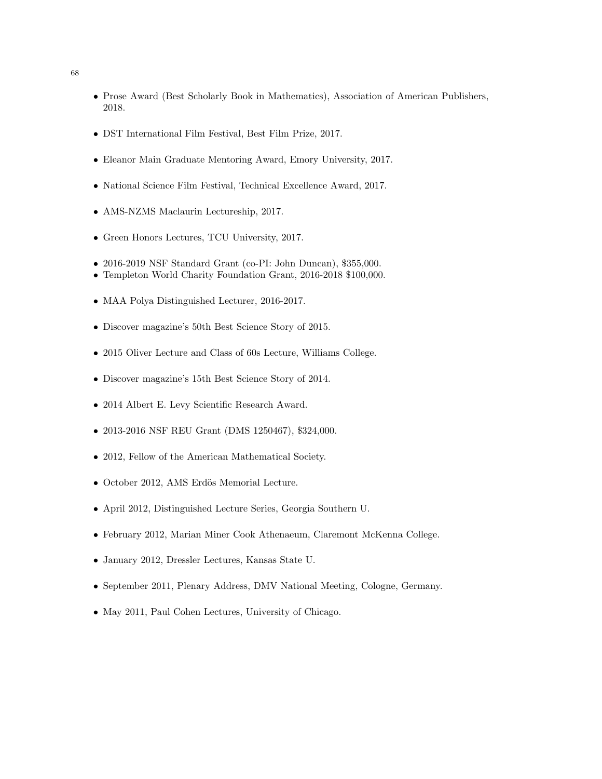- Prose Award (Best Scholarly Book in Mathematics), Association of American Publishers, 2018.
- DST International Film Festival, Best Film Prize, 2017.
- Eleanor Main Graduate Mentoring Award, Emory University, 2017.
- National Science Film Festival, Technical Excellence Award, 2017.
- AMS-NZMS Maclaurin Lectureship, 2017.
- Green Honors Lectures, TCU University, 2017.
- 2016-2019 NSF Standard Grant (co-PI: John Duncan), \$355,000.
- Templeton World Charity Foundation Grant, 2016-2018 \$100,000.
- MAA Polya Distinguished Lecturer, 2016-2017.
- Discover magazine's 50th Best Science Story of 2015.
- 2015 Oliver Lecture and Class of 60s Lecture, Williams College.
- Discover magazine's 15th Best Science Story of 2014.
- 2014 Albert E. Levy Scientific Research Award.
- 2013-2016 NSF REU Grant (DMS 1250467), \$324,000.
- 2012, Fellow of the American Mathematical Society.
- $\bullet$  October 2012, AMS Erdös Memorial Lecture.
- April 2012, Distinguished Lecture Series, Georgia Southern U.
- February 2012, Marian Miner Cook Athenaeum, Claremont McKenna College.
- January 2012, Dressler Lectures, Kansas State U.
- September 2011, Plenary Address, DMV National Meeting, Cologne, Germany.
- May 2011, Paul Cohen Lectures, University of Chicago.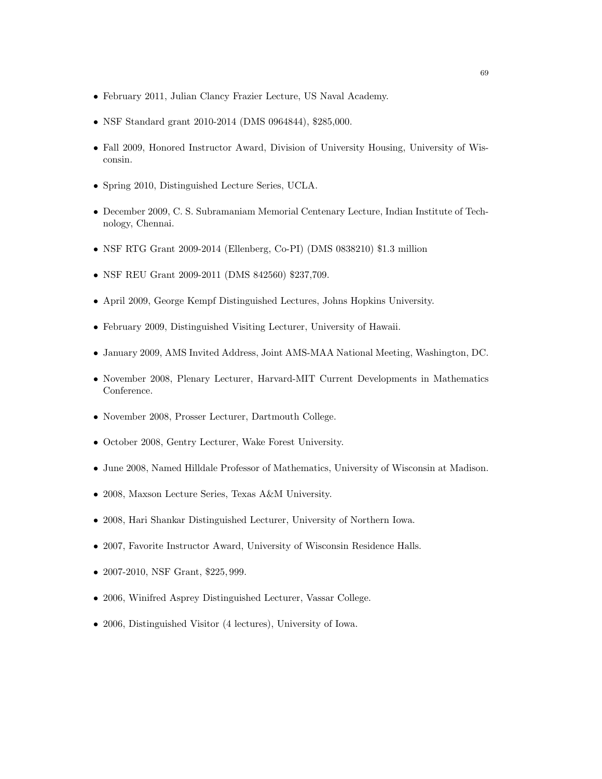- February 2011, Julian Clancy Frazier Lecture, US Naval Academy.
- NSF Standard grant 2010-2014 (DMS 0964844), \$285,000.
- Fall 2009, Honored Instructor Award, Division of University Housing, University of Wisconsin.
- Spring 2010, Distinguished Lecture Series, UCLA.
- December 2009, C. S. Subramaniam Memorial Centenary Lecture, Indian Institute of Technology, Chennai.
- NSF RTG Grant 2009-2014 (Ellenberg, Co-PI) (DMS 0838210) \$1.3 million
- NSF REU Grant 2009-2011 (DMS 842560) \$237,709.
- April 2009, George Kempf Distinguished Lectures, Johns Hopkins University.
- February 2009, Distinguished Visiting Lecturer, University of Hawaii.
- January 2009, AMS Invited Address, Joint AMS-MAA National Meeting, Washington, DC.
- November 2008, Plenary Lecturer, Harvard-MIT Current Developments in Mathematics Conference.
- November 2008, Prosser Lecturer, Dartmouth College.
- October 2008, Gentry Lecturer, Wake Forest University.
- June 2008, Named Hilldale Professor of Mathematics, University of Wisconsin at Madison.
- 2008, Maxson Lecture Series, Texas A&M University.
- 2008, Hari Shankar Distinguished Lecturer, University of Northern Iowa.
- 2007, Favorite Instructor Award, University of Wisconsin Residence Halls.
- 2007-2010, NSF Grant, \$225, 999.
- 2006, Winifred Asprey Distinguished Lecturer, Vassar College.
- 2006, Distinguished Visitor (4 lectures), University of Iowa.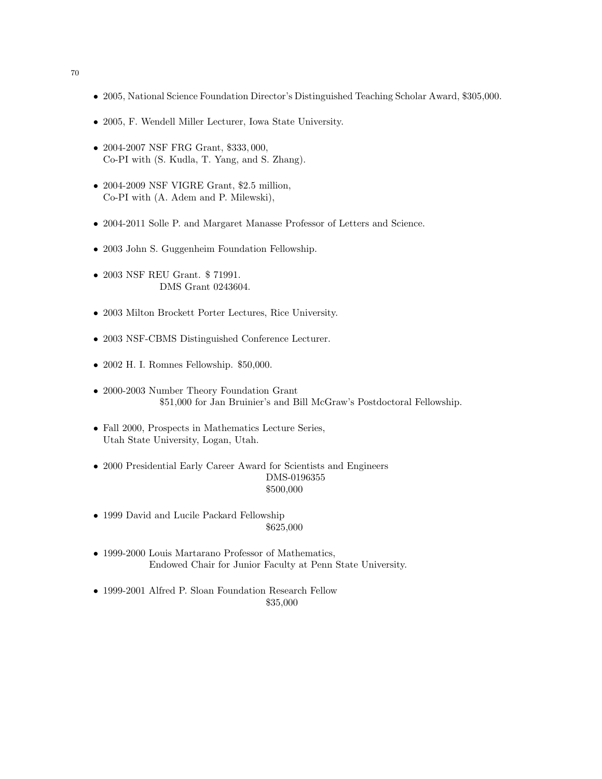- 2005, National Science Foundation Director's Distinguished Teaching Scholar Award, \$305,000.
- 2005, F. Wendell Miller Lecturer, Iowa State University.
- 2004-2007 NSF FRG Grant, \$333, 000, Co-PI with (S. Kudla, T. Yang, and S. Zhang).
- 2004-2009 NSF VIGRE Grant, \$2.5 million, Co-PI with (A. Adem and P. Milewski),
- 2004-2011 Solle P. and Margaret Manasse Professor of Letters and Science.
- 2003 John S. Guggenheim Foundation Fellowship.
- 2003 NSF REU Grant. \$71991. DMS Grant 0243604.
- 2003 Milton Brockett Porter Lectures, Rice University.
- 2003 NSF-CBMS Distinguished Conference Lecturer.
- 2002 H. I. Romnes Fellowship. \$50,000.
- 2000-2003 Number Theory Foundation Grant \$51,000 for Jan Bruinier's and Bill McGraw's Postdoctoral Fellowship.
- Fall 2000, Prospects in Mathematics Lecture Series, Utah State University, Logan, Utah.
- 2000 Presidential Early Career Award for Scientists and Engineers DMS-0196355 \$500,000
- 1999 David and Lucile Packard Fellowship \$625,000
- 1999-2000 Louis Martarano Professor of Mathematics, Endowed Chair for Junior Faculty at Penn State University.
- 1999-2001 Alfred P. Sloan Foundation Research Fellow \$35,000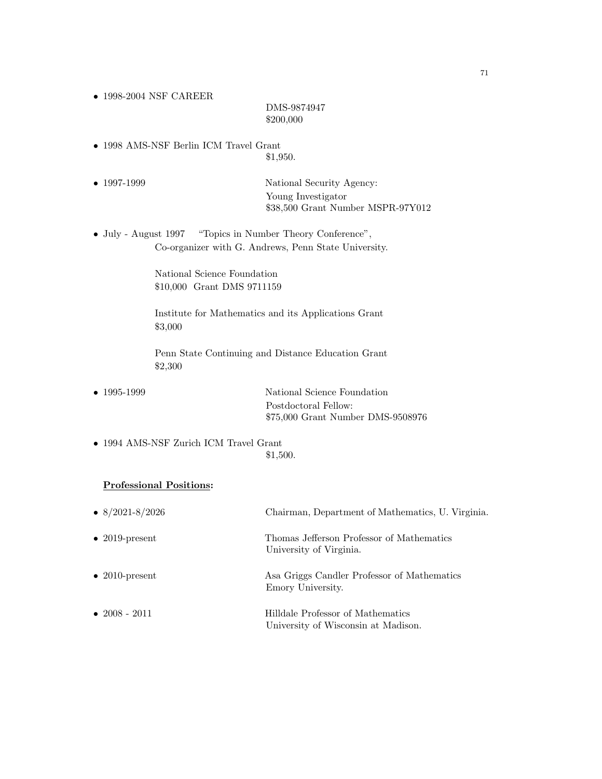• 1998-2004 NSF CAREER

# DMS-9874947 \$200,000

- 1998 AMS-NSF Berlin ICM Travel Grant \$1,950.
- 1997-1999 National Security Agency: Young Investigator \$38,500 Grant Number MSPR-97Y012
- July August 1997 "Topics in Number Theory Conference", Co-organizer with G. Andrews, Penn State University.

National Science Foundation \$10,000 Grant DMS 9711159

Institute for Mathematics and its Applications Grant \$3,000

Penn State Continuing and Distance Education Grant \$2,300

• 1995-1999 National Science Foundation Postdoctoral Fellow: \$75,000 Grant Number DMS-9508976

• 1994 AMS-NSF Zurich ICM Travel Grant \$1,500.

### Professional Positions:

| • $8/2021 - 8/2026$    | Chairman, Department of Mathematics, U. Virginia.                        |
|------------------------|--------------------------------------------------------------------------|
| $\bullet$ 2019-present | Thomas Jefferson Professor of Mathematics<br>University of Virginia.     |
| $\bullet$ 2010-present | Asa Griggs Candler Professor of Mathematics<br>Emory University.         |
| $\bullet$ 2008 - 2011  | Hilldale Professor of Mathematics<br>University of Wisconsin at Madison. |